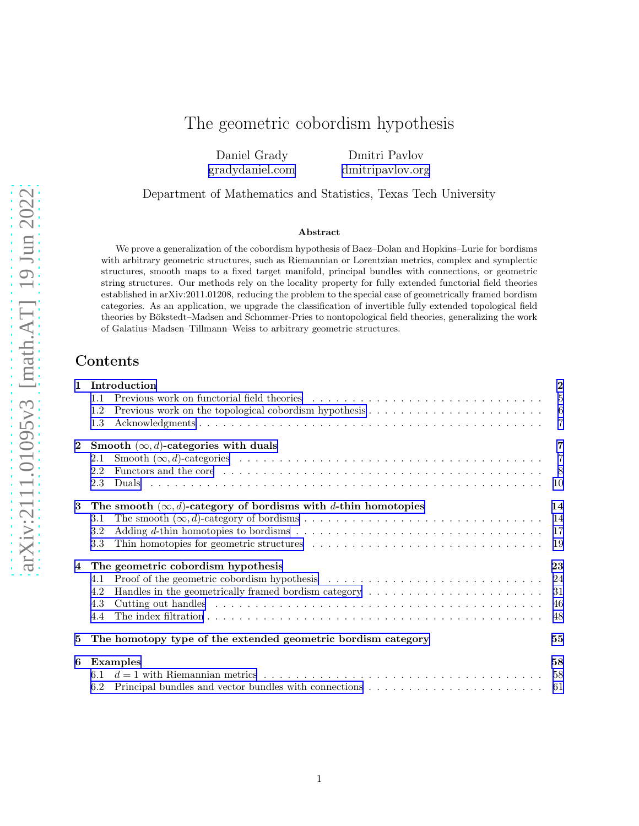# The geometric cobordism hypothesis

Daniel Grady [gradydaniel.com](http://www.gradydaniel.com/)

Dmitri Pavlov [dmitripavlov.org](https://dmitripavlov.org/)

Department of Mathematics and Statistics, Texas Tech University

#### Abstract

We prove a generalization of the cobordism hypothesis of Baez–Dolan and Hopkins–Lurie for bordisms with arbitrary geometric structures, such as Riemannian or Lorentzian metrics, complex and symplectic structures, smooth maps to a fixed target manifold, principal bundles with connections, or geometric string structures. Our methods rely on the locality property for fully extended functorial field theories established in arXiv:2011.01208, reducing the problem to the special case of geometrically framed bordism categories. As an application, we upgrade the classification of invertible fully extended topological field theories by Bökstedt–Madsen and Schommer-Pries to nontopological field theories, generalizing the work of Galatius–Madsen–Tillmann–Weiss to arbitrary geometric structures.

# Contents

| $\mathbf{1}$            | Introduction                                                                                                                                                                                                                          |                |  |  |  |  |
|-------------------------|---------------------------------------------------------------------------------------------------------------------------------------------------------------------------------------------------------------------------------------|----------------|--|--|--|--|
|                         | 1.1                                                                                                                                                                                                                                   | $\overline{5}$ |  |  |  |  |
|                         | 1.2                                                                                                                                                                                                                                   | 6              |  |  |  |  |
|                         | 1.3                                                                                                                                                                                                                                   | $\overline{7}$ |  |  |  |  |
| $\mathbf{2}$            | Smooth $(\infty, d)$ -categories with duals                                                                                                                                                                                           |                |  |  |  |  |
|                         | 2.1                                                                                                                                                                                                                                   | $\overline{7}$ |  |  |  |  |
|                         | Functors and the core education of the core of the core of the core of the core of the core of the core of the core of the core of the core of the core of the core of the core of the core of the core of the core of the cor<br>2.2 | - 8            |  |  |  |  |
|                         | 2.3                                                                                                                                                                                                                                   | - 10           |  |  |  |  |
| $\bf{3}$                | The smooth $(\infty, d)$ -category of bordisms with d-thin homotopies                                                                                                                                                                 |                |  |  |  |  |
|                         | 3.1                                                                                                                                                                                                                                   | -14            |  |  |  |  |
|                         | 3.2                                                                                                                                                                                                                                   | -17            |  |  |  |  |
|                         | 3.3                                                                                                                                                                                                                                   | -19            |  |  |  |  |
| $\overline{\mathbf{4}}$ | The geometric cobordism hypothesis                                                                                                                                                                                                    | 23             |  |  |  |  |
|                         | 4.1                                                                                                                                                                                                                                   |                |  |  |  |  |
|                         | 4.2                                                                                                                                                                                                                                   | 31             |  |  |  |  |
|                         | 4.3                                                                                                                                                                                                                                   | 46             |  |  |  |  |
|                         | 4.4                                                                                                                                                                                                                                   | 48             |  |  |  |  |
| 5                       | The homotopy type of the extended geometric bordism category                                                                                                                                                                          | 55             |  |  |  |  |
| 6                       | Examples                                                                                                                                                                                                                              | 58             |  |  |  |  |
|                         | 6.1                                                                                                                                                                                                                                   |                |  |  |  |  |
|                         | 6.2                                                                                                                                                                                                                                   |                |  |  |  |  |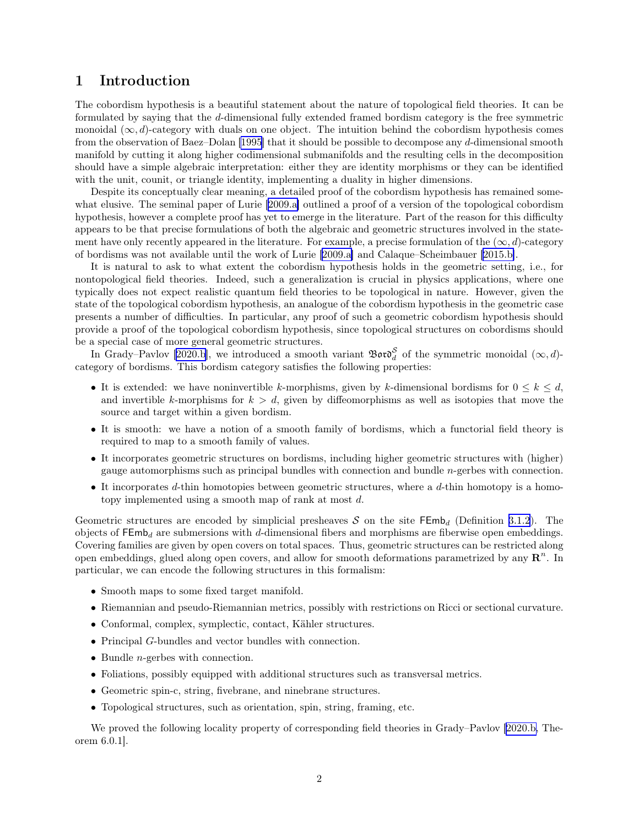### <span id="page-1-0"></span>1 Introduction

The cobordism hypothesis is a beautiful statement about the nature of topological field theories. It can be formulated by saying that the d-dimensional fully extended framed bordism category is the free symmetric monoidal  $(\infty, d)$ -category with duals on one object. The intuition behind the cobordism hypothesis comes from the observation of Baez–Dolan[[1995\]](#page-61-0) that it should be possible to decompose any d-dimensional smooth manifold by cutting it along higher codimensional submanifolds and the resulting cells in the decomposition should have a simple algebraic interpretation: either they are identity morphisms or they can be identified with the unit, counit, or triangle identity, implementing a duality in higher dimensions.

Despite its conceptually clear meaning, a detailed proof of the cobordism hypothesis has remained some-what elusive. The seminal paper of Lurie [\[2009.a\]](#page-62-0) outlined a proof of a version of the topological cobordism hypothesis, however a complete proof has yet to emerge in the literature. Part of the reason for this difficulty appears to be that precise formulations of both the algebraic and geometric structures involved in the statement have only recently appeared in the literature. For example, a precise formulation of the  $(\infty, d)$ -category of bordisms was not available until the work of Lurie[[2009.a\]](#page-62-0) and Calaque–Scheimbauer [\[2015.b\]](#page-63-0).

It is natural to ask to what extent the cobordism hypothesis holds in the geometric setting, i.e., for nontopological field theories. Indeed, such a generalization is crucial in physics applications, where one typically does not expect realistic quantum field theories to be topological in nature. However, given the state of the topological cobordism hypothesis, an analogue of the cobordism hypothesis in the geometric case presents a number of difficulties. In particular, any proof of such a geometric cobordism hypothesis should provide a proof of the topological cobordism hypothesis, since topological structures on cobordisms should be a special case of more general geometric structures.

InGrady–Pavlov [[2020.b](#page-63-0)], we introduced a smooth variant  $\mathfrak{B}$ oro $\delta_d$  of the symmetric monoidal  $(\infty, d)$ category of bordisms. This bordism category satisfies the following properties:

- It is extended: we have noninvertible k-morphisms, given by k-dimensional bordisms for  $0 \leq k \leq d$ , and invertible k-morphisms for  $k > d$ , given by diffeomorphisms as well as isotopies that move the source and target within a given bordism.
- It is smooth: we have a notion of a smooth family of bordisms, which a functorial field theory is required to map to a smooth family of values.
- It incorporates geometric structures on bordisms, including higher geometric structures with (higher) gauge automorphisms such as principal bundles with connection and bundle n-gerbes with connection.
- It incorporates  $d$ -thin homotopies between geometric structures, where a  $d$ -thin homotopy is a homotopy implemented using a smooth map of rank at most d.

Geometric structures are encoded by simplicial presheaves S on the site  $\mathsf{FEmb}_d$  (Definition [3.1.2](#page-13-0)). The objects of  $\mathsf{FEmb}_d$  are submersions with d-dimensional fibers and morphisms are fiberwise open embeddings. Covering families are given by open covers on total spaces. Thus, geometric structures can be restricted along open embeddings, glued along open covers, and allow for smooth deformations parametrized by any  $\mathbb{R}^n$ . In particular, we can encode the following structures in this formalism:

- Smooth maps to some fixed target manifold.
- Riemannian and pseudo-Riemannian metrics, possibly with restrictions on Ricci or sectional curvature.
- Conformal, complex, symplectic, contact, Kähler structures.
- Principal G-bundles and vector bundles with connection.
- Bundle *n*-gerbes with connection.
- Foliations, possibly equipped with additional structures such as transversal metrics.
- Geometric spin-c, string, fivebrane, and ninebrane structures.
- Topological structures, such as orientation, spin, string, framing, etc.

We proved the following locality property of corresponding field theories in Grady–Pavlov [\[2020.b,](#page-63-0) Theorem 6.0.1].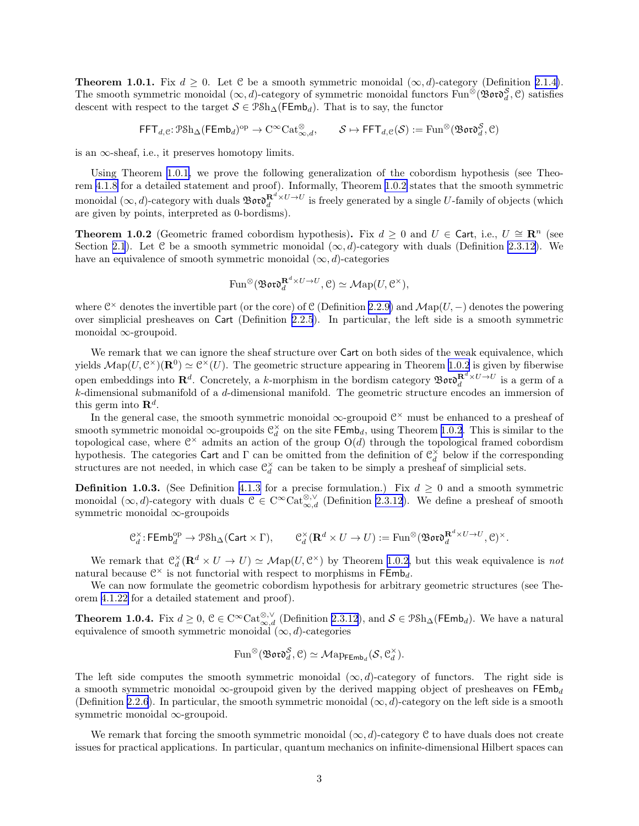<span id="page-2-0"></span>**Theorem 1.0.1.** Fix  $d > 0$ . Let C be a smooth symmetric monoidal  $(\infty, d)$ -category (Definition [2.1.4\)](#page-7-0). The smooth symmetric monoidal  $(\infty, d)$ -category of symmetric monoidal functors Fun®(Bor $\mathfrak{d}^{\mathcal{S}}_{d}$ , C) satisfies descent with respect to the target  $S \in \mathcal{P} \text{Sh}_{\Delta}(\mathsf{FEmb}_d)$ . That is to say, the functor

$$
\mathsf{FFT}_{d,\mathcal{C}}\colon \mathcal{P}\mathrm{Sh}_\Delta(\mathsf{FEmb}_d)^\mathrm{op} \to \mathrm{C}^\infty\mathrm{Cat}^\otimes_{\infty,d},\qquad \mathcal{S}\mapsto \mathsf{FFT}_{d,\mathcal{C}}(\mathcal{S}):=\mathrm{Fun}^\otimes(\mathfrak{B}\mathfrak{o}\mathfrak{r}\mathfrak{d}^{\mathcal{S}}_d,\mathcal{C})
$$

is an  $\infty$ -sheaf, i.e., it preserves homotopy limits.

Using Theorem [1.0.1,](#page-1-0) we prove the following generalization of the cobordism hypothesis (see Theorem [4.1.8](#page-24-0) for a detailed statement and proof). Informally, Theorem 1.0.2 states that the smooth symmetric monoidal  $(\infty, d)$ -category with duals  $\mathfrak{B}$ or $\mathfrak{d}^{\mathbf{R}^d \times U \to U}_d$  is freely generated by a single U-family of objects (which are given by points, interpreted as 0-bordisms).

**Theorem 1.0.2** (Geometric framed cobordism hypothesis). Fix  $d \geq 0$  and  $U \in \text{Cart, i.e., } U \cong \mathbb{R}^n$  (see Section [2.1](#page-6-0)). Let C be a smooth symmetric monoidal  $(\infty, d)$ -category with duals (Definition [2.3.12](#page-12-0)). We have an equivalence of smooth symmetric monoidal  $(\infty, d)$ -categories

$$
\mathrm{Fun}^{\otimes}(\mathfrak{B}\mathfrak{o}\mathfrak{r}\mathfrak{d}^{\mathbf{R}^d\times U\to U}_d,\mathfrak{C})\simeq\mathcal{M}\mathrm{ap}(U,\mathfrak{C}^{\times}),
$$

where  $\mathcal{C}^{\times}$  denotes the invertible part (or the core) of C (Definition [2.2.9\)](#page-9-0) and  $\mathcal{M}ap(U, -)$  denotes the powering over simplicial presheaves on Cart (Definition [2.2.5](#page-8-0)). In particular, the left side is a smooth symmetric monoidal ∞-groupoid.

We remark that we can ignore the sheaf structure over Cart on both sides of the weak equivalence, which yields  $\mathcal{M}ap(U, \mathcal{C}^{\times})(\mathbf{R}^0) \simeq \mathcal{C}^{\times}(U)$ . The geometric structure appearing in Theorem 1.0.2 is given by fiberwise open embeddings into  $\mathbf{R}^d$ . Concretely, a k-morphism in the bordism category  $\mathfrak{B}$ oro $\mathbf{R}^d \times U \to U$  is a germ of a k-dimensional submanifold of a d-dimensional manifold. The geometric structure encodes an immersion of this germ into  $\mathbf{R}^d$ .

In the general case, the smooth symmetric monoidal  $\infty$ -groupoid  $\mathcal{C}^{\times}$  must be enhanced to a presheaf of smooth symmetric monoidal  $\infty$ -groupoids  $\mathcal{C}_d^{\times}$  on the site  $\mathsf{FEmb}_d$ , using Theorem 1.0.2. This is similar to the topological case, where  $\mathbb{C}^{\times}$  admits an action of the group  $O(d)$  through the topological framed cobordism hypothesis. The categories Cart and  $\Gamma$  can be omitted from the definition of  $\mathcal{C}_d^{\times}$  below if the corresponding structures are not needed, in which case  $\mathcal{C}_d^{\times}$  can be taken to be simply a presheaf of simplicial sets.

**Definition 1.0.3.** (See Definition [4.1.3](#page-23-0) for a precise formulation.) Fix  $d \ge 0$  and a smooth symmetric monoidal  $(\infty, d)$ -category with duals  $C \in C^{\infty} \text{Cat}_{\infty, d}^{\otimes, \vee}$  (Definition [2.3.12](#page-12-0)). We define a presheaf of smooth symmetric monoidal ∞-groupoids

$$
\mathcal{C}_d^{\times} \colon \mathsf{FEmb}_d^{\rm op} \to \mathcal{P}\mathcal{S} \mathrm{h}_{\Delta}(\mathsf{Cart} \times \Gamma), \qquad \mathcal{C}_d^{\times}(\mathbf{R}^d \times U \to U) := \mathrm{Fun}^{\otimes}(\mathfrak{B}\mathfrak{o} \mathfrak{r} \mathfrak{d}_d^{\mathbf{R}^d \times U \to U}, \mathcal{C})^{\times}.
$$

We remark that  $\mathcal{C}_d^{\times}(\mathbf{R}^d \times U \to U) \simeq \mathcal{M}\text{ap}(U, \mathcal{C}^{\times})$  by Theorem 1.0.2, but this weak equivalence is not natural because  $\mathbb{C}^{\times}$  is not functorial with respect to morphisms in  $\mathsf{FEmb}_d$ .

We can now formulate the geometric cobordism hypothesis for arbitrary geometric structures (see Theorem [4.1.22](#page-28-0) for a detailed statement and proof).

**Theorem 1.0.4.** Fix  $d \geq 0$ ,  $C \in \text{C}^{\infty} \text{Cat}_{\infty,d}^{\otimes,\vee}$  (Definition [2.3.12](#page-12-0)), and  $S \in \text{PSh}_{\Delta}(\mathsf{FEmb}_d)$ . We have a natural equivalence of smooth symmetric monoidal  $(\infty, d)$ -categories

$$
\operatorname{Fun}^{\otimes}(\mathfrak{B}\mathfrak{o}\mathfrak{r}\mathfrak{d}^{\mathcal{S}}_d, \mathcal{C}) \simeq \mathcal{M}{\rm ap}_{\mathsf{FEmb}_d}(\mathcal{S}, \mathcal{C}_d^{\times}).
$$

The left side computes the smooth symmetric monoidal  $(\infty, d)$ -category of functors. The right side is a smooth symmetric monoidal  $\infty$ -groupoid given by the derived mapping object of presheaves on FEmb<sub>d</sub> (Definition [2.2.6](#page-8-0)). In particular, the smooth symmetric monoidal  $(\infty, d)$ -category on the left side is a smooth symmetric monoidal ∞-groupoid.

We remark that forcing the smooth symmetric monoidal  $(\infty, d)$ -category C to have duals does not create issues for practical applications. In particular, quantum mechanics on infinite-dimensional Hilbert spaces can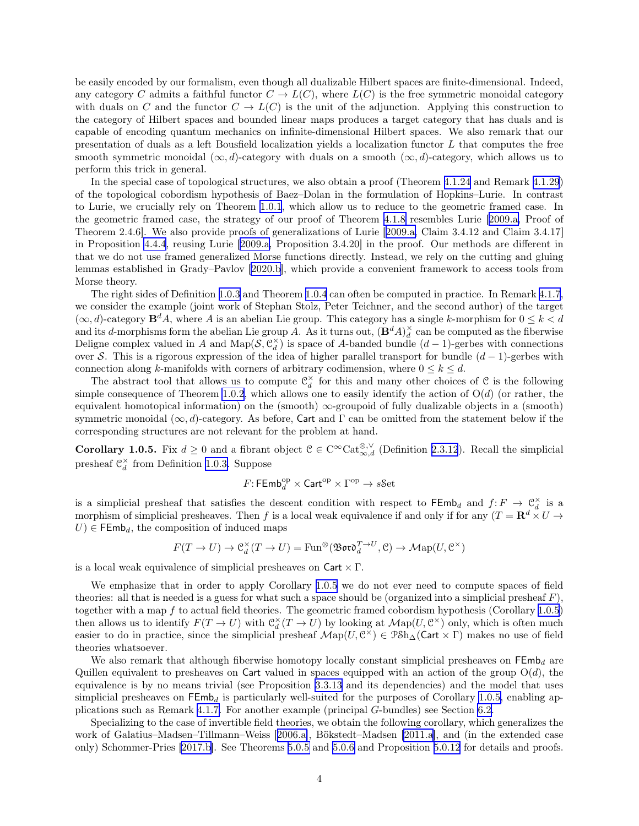<span id="page-3-0"></span>be easily encoded by our formalism, even though all dualizable Hilbert spaces are finite-dimensional. Indeed, any category C admits a faithful functor  $C \to L(C)$ , where  $L(C)$  is the free symmetric monoidal category with duals on C and the functor  $C \to L(C)$  is the unit of the adjunction. Applying this construction to the category of Hilbert spaces and bounded linear maps produces a target category that has duals and is capable of encoding quantum mechanics on infinite-dimensional Hilbert spaces. We also remark that our presentation of duals as a left Bousfield localization yields a localization functor L that computes the free smooth symmetric monoidal  $(\infty, d)$ -category with duals on a smooth  $(\infty, d)$ -category, which allows us to perform this trick in general.

In the special case of topological structures, we also obtain a proof (Theorem [4.1.24](#page-29-0) and Remark [4.1.29](#page-30-0)) of the topological cobordism hypothesis of Baez–Dolan in the formulation of Hopkins–Lurie. In contrast to Lurie, we crucially rely on Theorem [1.0.1](#page-1-0), which allow us to reduce to the geometric framed case. In the geometric framed case, the strategy of our proof of Theorem [4.1.8](#page-24-0) resembles Lurie[[2009.a,](#page-62-0) Proof of Theorem 2.4.6]. We also provide proofs of generalizations of Lurie[[2009.a,](#page-62-0) Claim 3.4.12 and Claim 3.4.17] in Proposition [4.4.4](#page-50-0), reusing Lurie [\[2009.a,](#page-62-0) Proposition 3.4.20] in the proof. Our methods are different in that we do not use framed generalized Morse functions directly. Instead, we rely on the cutting and gluing lemmas established in Grady–Pavlov[[2020.b](#page-63-0)], which provide a convenient framework to access tools from Morse theory.

The right sides of Definition [1.0.3](#page-2-0) and Theorem [1.0.4](#page-2-0) can often be computed in practice. In Remark [4.1.7](#page-23-0), we consider the example (joint work of Stephan Stolz, Peter Teichner, and the second author) of the target  $(\infty, d)$ -category  $\mathbf{B}^d A$ , where A is an abelian Lie group. This category has a single k-morphism for  $0 \le k < d$ and its d-morphisms form the abelian Lie group A. As it turns out,  $(\mathbf{B}^d A)^{\times}_d$  can be computed as the fiberwise Deligne complex valued in A and Map( $S, \mathcal{C}_d^{\times}$ ) is space of A-banded bundle  $(d-1)$ -gerbes with connections over S. This is a rigorous expression of the idea of higher parallel transport for bundle  $(d-1)$ -gerbes with connection along k-manifolds with corners of arbitrary codimension, where  $0 \leq k \leq d$ .

The abstract tool that allows us to compute  $\mathcal{C}_d^{\times}$  for this and many other choices of C is the following simple consequence of Theorem [1.0.2](#page-2-0), which allows one to easily identify the action of  $O(d)$  (or rather, the equivalent homotopical information) on the (smooth)  $\infty$ -groupoid of fully dualizable objects in a (smooth) symmetric monoidal  $(\infty, d)$ -category. As before, Cart and Γ can be omitted from the statement below if the corresponding structures are not relevant for the problem at hand.

**Corollary 1.0.5.** Fix  $d \geq 0$  and a fibrant object  $C \in C^{\infty} \text{Cat}_{\infty,d}^{\otimes,\vee}$  (Definition [2.3.12](#page-12-0)). Recall the simplicial presheaf  $\mathfrak{C}_d^{\times}$  from Definition [1.0.3.](#page-2-0) Suppose

$$
F\hbox{\rm :}\, \mathsf{FEmb}_d^{\rm op} \times \mathsf{Cart}^{\rm op} \times \Gamma^{\rm op} \to s\hbox{\rm \&et}
$$

is a simplicial presheaf that satisfies the descent condition with respect to  $\mathsf{FEmb}_d$  and  $f: F \to \mathfrak{C}_d^{\times}$  is a morphism of simplicial presheaves. Then f is a local weak equivalence if and only if for any  $(T = \mathbf{R}^d \times U \to$  $U \in \mathsf{FEmb}_d$ , the composition of induced maps

$$
F(T \to U) \to \mathcal{C}_d^{\times}(T \to U) = \text{Fun}^{\otimes}(\mathfrak{B}\mathfrak{o}\mathfrak{r}\mathfrak{o}_d^{T \to U}, \mathcal{C}) \to \mathcal{M}\text{ap}(U, \mathcal{C}^{\times})
$$

is a local weak equivalence of simplicial presheaves on  $\text{Cart} \times \Gamma$ .

We emphasize that in order to apply Corollary 1.0.5 we do not ever need to compute spaces of field theories: all that is needed is a guess for what such a space should be (organized into a simplicial presheaf  $F$ ), together with a map f to actual field theories. The geometric framed cobordism hypothesis (Corollary 1.0.5) then allows us to identify  $F(T \to U)$  with  $\mathfrak{C}_d^{\times}(T \to U)$  by looking at  $\mathcal{M}$ ap $(U, \mathcal{C}^{\times})$  only, which is often much easier to do in practice, since the simplicial presheaf  $\mathcal{M}_{\text{ap}}(U, \mathcal{C}^{\times}) \in \mathcal{P} \text{Sh}_{\Delta}(\text{Cart} \times \Gamma)$  makes no use of field theories whatsoever.

We also remark that although fiberwise homotopy locally constant simplicial presheaves on  $\mathsf{FEmb}_d$  are Quillen equivalent to presheaves on Cart valued in spaces equipped with an action of the group  $O(d)$ , the equivalence is by no means trivial (see Proposition [3.3.13](#page-20-0) and its dependencies) and the model that uses simplicial presheaves on  $\mathsf{FEmb}_d$  is particularly well-suited for the purposes of Corollary 1.0.5, enabling applications such as Remark [4.1.7.](#page-23-0) For another example (principal G-bundles) see Section [6.2.](#page-60-0)

Specializing to the case of invertible field theories, we obtain the following corollary, which generalizes the work of Galatius–Madsen–Tillmann–Weiss[[2006.a\]](#page-62-0), Bökstedt–Madsen [\[2011.a\]](#page-62-0), and (in the extended case only) Schommer-Pries[[2017.b](#page-63-0)]. See Theorems [5.0.5](#page-54-0) and [5.0.6](#page-55-0) and Proposition [5.0.12](#page-56-0) for details and proofs.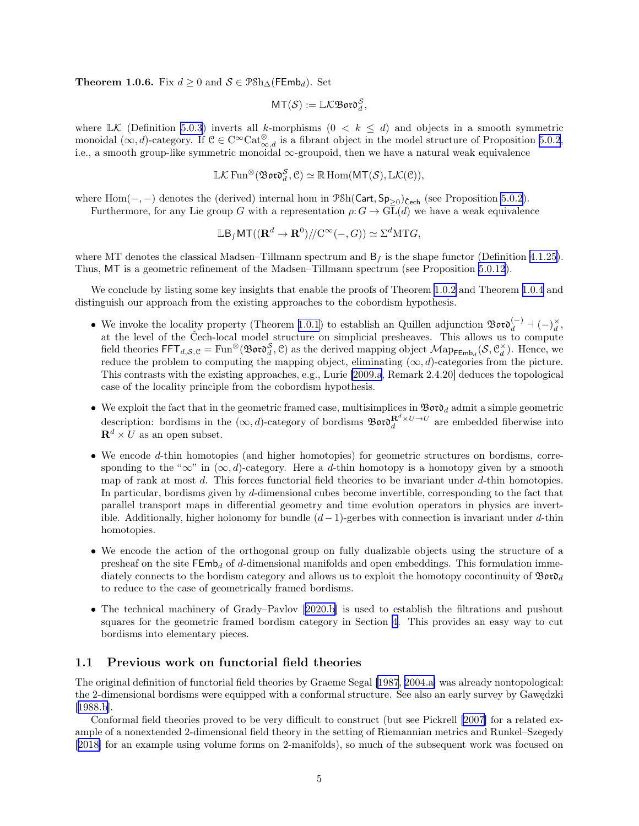<span id="page-4-0"></span>**Theorem 1.0.6.** Fix  $d > 0$  and  $S \in \mathcal{P} \mathcal{S} \mathcal{h} \wedge (\mathsf{F} \mathsf{Emb}_d)$ . Set

$$
\mathsf{MT}(\mathcal{S}):=\mathbb{L}\mathcal{K}\mathfrak{B}\mathfrak{o}\mathfrak{r}\mathfrak{d}_d^{\mathcal{S}},
$$

where  $\mathbb{L}\mathcal{K}$  (Definition [5.0.3](#page-54-0)) inverts all k-morphisms  $(0 \lt k \leq d)$  and objects in a smooth symmetric monoidal  $(\infty, d)$ -category. If  $C \in C^{\infty} \text{Cat}_{\infty, d}^{\otimes}$  is a fibrant object in the model structure of Proposition [5.0.2](#page-54-0), i.e., a smooth group-like symmetric monoidal ∞-groupoid, then we have a natural weak equivalence

$$
\mathbb{L}\mathcal{K}\operatorname{Fun}^{\otimes}(\mathfrak{B}\mathfrak{o}\mathfrak{r}\mathfrak{d}^{\mathcal{S}}_d, \mathcal{C}) \simeq \mathbb{R}\operatorname{Hom}(MT(\mathcal{S}), \mathbb{L}\mathcal{K}(\mathcal{C})),
$$

where  $Hom(-, -)$  denotes the (derived) internal hom in  $\mathcal{P}Sh(Cart, Sp_{\geq 0})_{\text{Cech}}$  (see Proposition [5.0.2](#page-54-0)). Furthermore, for any Lie group G with a representation  $\rho: G \to \widetilde{\text{GL}(d)}$  we have a weak equivalence

 $\mathbb{L}\mathsf{B}_f \mathsf{MT}((\mathbf{R}^d \to \mathbf{R}^0)/\!/\mathrm{C}^\infty(-,G)) \simeq \Sigma^d \mathrm{MT}G,$ 

where MT denotes the classical Madsen–Tillmann spectrum and  $B<sub>f</sub>$  is the shape functor (Definition [4.1.25\)](#page-30-0). Thus, MT is a geometric refinement of the Madsen–Tillmann spectrum (see Proposition [5.0.12](#page-56-0)).

We conclude by listing some key insights that enable the proofs of Theorem [1.0.2](#page-2-0) and Theorem [1.0.4](#page-2-0) and distinguish our approach from the existing approaches to the cobordism hypothesis.

- We invoke the locality property (Theorem [1.0.1](#page-1-0)) to establish an Quillen adjunction  $\mathfrak{Bor} \mathfrak{d}_d^{(-)} + (-)^\times_d$ , at the level of the Čech-local model structure on simplicial presheaves. This allows us to compute field theories  $\mathsf{FFT}_{d,\mathcal{S},\mathcal{C}} = \text{Fun}^{\otimes}(\mathfrak{B} \mathfrak{or} \mathfrak{d}^{\mathcal{S}}_d, \mathcal{C})$  as the derived mapping object  $\mathcal{M}ap_{\mathsf{FEmb}_d}(\mathcal{S}, \mathcal{C}_d^{\times})$ . Hence, we reduce the problem to computing the mapping object, eliminating  $(\infty, d)$ -categories from the picture. This contrasts with the existing approaches, e.g., Lurie [\[2009.a](#page-62-0), Remark 2.4.20] deduces the topological case of the locality principle from the cobordism hypothesis.
- We exploit the fact that in the geometric framed case, multisimplices in  $\mathfrak{B}$ or $\mathfrak{d}_d$  admit a simple geometric description: bordisms in the  $(\infty, d)$ -category of bordisms  $\mathfrak{B}$ or $\mathfrak{d}^{\mathbf{R}^d \times U \to U}_d$  are embedded fiberwise into  $\mathbf{R}^d \times U$  as an open subset.
- We encode d-thin homotopies (and higher homotopies) for geometric structures on bordisms, corresponding to the " $\infty$ " in  $(\infty, d)$ -category. Here a d-thin homotopy is a homotopy given by a smooth map of rank at most d. This forces functorial field theories to be invariant under d-thin homotopies. In particular, bordisms given by d-dimensional cubes become invertible, corresponding to the fact that parallel transport maps in differential geometry and time evolution operators in physics are invertible. Additionally, higher holonomy for bundle  $(d-1)$ -gerbes with connection is invariant under d-thin homotopies.
- We encode the action of the orthogonal group on fully dualizable objects using the structure of a presheaf on the site  $FEmb_d$  of d-dimensional manifolds and open embeddings. This formulation immediately connects to the bordism category and allows us to exploit the homotopy cocontinuity of  $\mathfrak{B}$ or $\mathfrak{d}_d$ to reduce to the case of geometrically framed bordisms.
- •The technical machinery of Grady–Pavlov [[2020.b\]](#page-63-0) is used to establish the filtrations and pushout squares for the geometric framed bordism category in Section [4](#page-22-0). This provides an easy way to cut bordisms into elementary pieces.

### 1.1 Previous work on functorial field theories

The original definition of functorial field theories by Graeme Segal [\[1987](#page-61-0), [2004.a\]](#page-62-0) was already nontopological: the 2-dimensional bordisms were equipped with a conformal structure. See also an early survey by Gawędzki  $[1988.b]$  $[1988.b]$ .

Conformal field theories proved to be very difficult to construct (but see Pickrell [\[2007](#page-62-0)] for a related example of a nonextended 2-dimensional field theory in the setting of Riemannian metrics and Runkel–Szegedy [[2018\]](#page-63-0) for an example using volume forms on 2-manifolds), so much of the subsequent work was focused on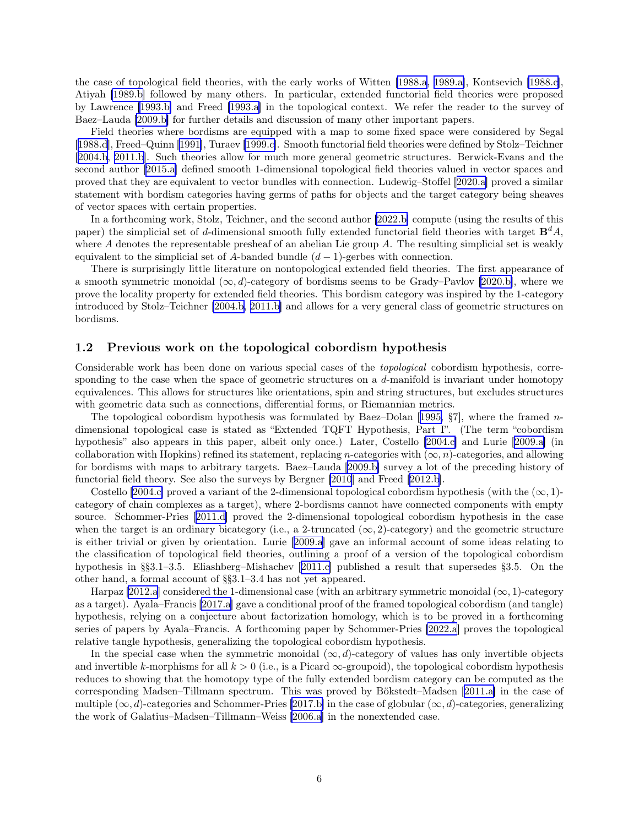<span id="page-5-0"></span>the case of topological field theories, with the early works of Witten [\[1988.a](#page-61-0), [1989.a\]](#page-61-0), Kontsevich [\[1988.c\]](#page-61-0), Atiyah [\[1989.b\]](#page-61-0) followed by many others. In particular, extended functorial field theories were proposed by Lawrence [\[1993.b\]](#page-61-0) and Freed [\[1993.a\]](#page-61-0) in the topological context. We refer the reader to the survey of Baez–Lauda [\[2009.b\]](#page-62-0) for further details and discussion of many other important papers.

Field theories where bordisms are equipped with a map to some fixed space were considered by Segal [[1988.d\]](#page-61-0), Freed–Quinn [\[1991](#page-61-0)], Turaev [\[1999.c\]](#page-62-0). Smooth functorial field theories were defined by Stolz–Teichner [[2004.b, 2011.b\]](#page-62-0). Such theories allow for much more general geometric structures. Berwick-Evans and the second author[[2015.a\]](#page-63-0) defined smooth 1-dimensional topological field theories valued in vector spaces and proved that they are equivalent to vector bundles with connection. Ludewig–Stoffel[[2020.a](#page-63-0)] proved a similar statement with bordism categories having germs of paths for objects and the target category being sheaves of vector spaces with certain properties.

In a forthcoming work, Stolz, Teichner, and the second author [\[2022.b\]](#page-63-0) compute (using the results of this paper) the simplicial set of d-dimensional smooth fully extended functorial field theories with target  $\mathbf{B}^d A$ , where A denotes the representable presheaf of an abelian Lie group A. The resulting simplicial set is weakly equivalent to the simplicial set of A-banded bundle  $(d-1)$ -gerbes with connection.

There is surprisingly little literature on nontopological extended field theories. The first appearance of a smooth symmetric monoidal  $(\infty, d)$ -category of bordisms seems to be Grady–Pavlov [\[2020.b\]](#page-63-0), where we prove the locality property for extended field theories. This bordism category was inspired by the 1-category introduced by Stolz–Teichner [\[2004.b, 2011.b\]](#page-62-0) and allows for a very general class of geometric structures on bordisms.

#### 1.2 Previous work on the topological cobordism hypothesis

Considerable work has been done on various special cases of the topological cobordism hypothesis, corresponding to the case when the space of geometric structures on a d-manifold is invariant under homotopy equivalences. This allows for structures like orientations, spin and string structures, but excludes structures with geometric data such as connections, differential forms, or Riemannian metrics.

Thetopological cobordism hypothesis was formulated by Baez–Dolan [[1995,](#page-61-0)  $\S7$ ], where the framed ndimensional topological case is stated as "Extended TQFT Hypothesis, Part I". (The term "cobordism hypothesis" also appears in this paper, albeit only once.) Later, Costello [\[2004.c\]](#page-62-0) and Lurie [\[2009.a\]](#page-62-0) (in collaboration with Hopkins) refined its statement, replacing n-categories with  $(\infty, n)$ -categories, and allowing for bordisms with maps to arbitrary targets. Baez–Lauda [\[2009.b\]](#page-62-0) survey a lot of the preceding history of functorial field theory. See also the surveys by Bergner [\[2010](#page-62-0)] and Freed[[2012.b\]](#page-63-0).

Costello [\[2004.c\]](#page-62-0) proved a variant of the 2-dimensional topological cobordism hypothesis (with the  $(\infty, 1)$ category of chain complexes as a target), where 2-bordisms cannot have connected components with empty source. Schommer-Pries[[2011.d\]](#page-63-0) proved the 2-dimensional topological cobordism hypothesis in the case when the target is an ordinary bicategory (i.e., a 2-truncated  $(\infty, 2)$ -category) and the geometric structure is either trivial or given by orientation. Lurie[[2009.a](#page-62-0)] gave an informal account of some ideas relating to the classification of topological field theories, outlining a proof of a version of the topological cobordism hypothesis in §§3.1–3.5. Eliashberg–Mishachev[[2011.c\]](#page-62-0) published a result that supersedes §3.5. On the other hand, a formal account of §§3.1–3.4 has not yet appeared.

Harpaz [\[2012.a](#page-63-0)] considered the 1-dimensional case (with an arbitrary symmetric monoidal  $(\infty, 1)$ -category as a target). Ayala–Francis [\[2017.a](#page-63-0)] gave a conditional proof of the framed topological cobordism (and tangle) hypothesis, relying on a conjecture about factorization homology, which is to be proved in a forthcoming series of papers by Ayala–Francis. A forthcoming paper by Schommer-Pries [\[2022.a](#page-63-0)] proves the topological relative tangle hypothesis, generalizing the topological cobordism hypothesis.

In the special case when the symmetric monoidal  $(\infty, d)$ -category of values has only invertible objects and invertible k-morphisms for all  $k > 0$  (i.e., is a Picard  $\infty$ -groupoid), the topological cobordism hypothesis reduces to showing that the homotopy type of the fully extended bordism category can be computed as the corresponding Madsen–Tillmann spectrum. This was proved by Bökstedt–Madsen [\[2011.a\]](#page-62-0) in the case of multiple  $(\infty, d)$ -categories and Schommer-Pries [\[2017.b\]](#page-63-0) in the case of globular  $(\infty, d)$ -categories, generalizing the work of Galatius–Madsen–Tillmann–Weiss [\[2006.a](#page-62-0)] in the nonextended case.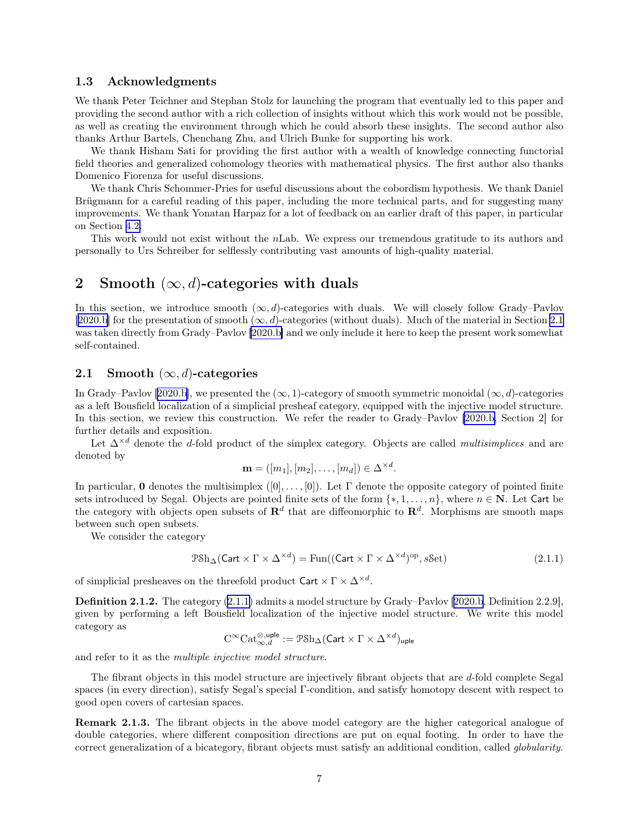#### <span id="page-6-0"></span>1.3 Acknowledgments

We thank Peter Teichner and Stephan Stolz for launching the program that eventually led to this paper and providing the second author with a rich collection of insights without which this work would not be possible, as well as creating the environment through which he could absorb these insights. The second author also thanks Arthur Bartels, Chenchang Zhu, and Ulrich Bunke for supporting his work.

We thank Hisham Sati for providing the first author with a wealth of knowledge connecting functorial field theories and generalized cohomology theories with mathematical physics. The first author also thanks Domenico Fiorenza for useful discussions.

We thank Chris Schommer-Pries for useful discussions about the cobordism hypothesis. We thank Daniel Brügmann for a careful reading of this paper, including the more technical parts, and for suggesting many improvements. We thank Yonatan Harpaz for a lot of feedback on an earlier draft of this paper, in particular on Section [4.2.](#page-30-0)

This work would not exist without the nLab. We express our tremendous gratitude to its authors and personally to Urs Schreiber for selflessly contributing vast amounts of high-quality material.

### 2 Smooth  $(\infty, d)$ -categories with duals

In this section, we introduce smooth  $(\infty, d)$ -categories with duals. We will closely follow Grady–Pavlov [[2020.b\]](#page-63-0) for the presentation of smooth  $(\infty, d)$ -categories (without duals). Much of the material in Section 2.1 was taken directly from Grady–Pavlov [\[2020.b\]](#page-63-0) and we only include it here to keep the present work somewhat self-contained.

### 2.1 Smooth  $(\infty, d)$ -categories

InGrady–Pavlov [[2020.b\]](#page-63-0), we presented the  $(\infty, 1)$ -category of smooth symmetric monoidal  $(\infty, d)$ -categories as a left Bousfield localization of a simplicial presheaf category, equipped with the injective model structure. In this section, we review this construction. We refer the reader to Grady–Pavlov [\[2020.b,](#page-63-0) Section 2] for further details and exposition.

Let  $\Delta^{\times d}$  denote the d-fold product of the simplex category. Objects are called *multisimplices* and are denoted by

$$
\mathbf{m} = ([m_1], [m_2], \dots, [m_d]) \in \Delta^{\times d}.
$$

In particular, 0 denotes the multisimplex  $([0], \ldots, [0])$ . Let  $\Gamma$  denote the opposite category of pointed finite sets introduced by Segal. Objects are pointed finite sets of the form  $\{*, 1, \ldots, n\}$ , where  $n \in \mathbb{N}$ . Let Cart be the category with objects open subsets of  $\mathbb{R}^d$  that are diffeomorphic to  $\mathbb{R}^d$ . Morphisms are smooth maps between such open subsets.

We consider the category

$$
\mathcal{P} \text{Sh}_{\Delta}(\text{Cart} \times \Gamma \times \Delta^{\times d}) = \text{Fun}((\text{Cart} \times \Gamma \times \Delta^{\times d})^{\text{op}}, s\text{Set})
$$
\n(2.1.1)

of simplicial presheaves on the threefold product  $\text{Cart} \times \Gamma \times \Delta^{\times d}$ .

Definition 2.1.2. The category (2.1.1) admits a model structure by Grady–Pavlov[[2020.b](#page-63-0), Definition 2.2.9], given by performing a left Bousfield localization of the injective model structure. We write this model category as

$$
\mathrm{C}^\infty\mathrm{Cat}_{\infty,d}^{\otimes,\mathsf{uple}}:=\mathcal{P}\mathrm{Sh}_\Delta(\mathsf{Cart}\times\Gamma\times\Delta^{\times d})_{\mathsf{uple}}
$$

and refer to it as the multiple injective model structure.

The fibrant objects in this model structure are injectively fibrant objects that are d-fold complete Segal spaces (in every direction), satisfy Segal's special Γ-condition, and satisfy homotopy descent with respect to good open covers of cartesian spaces.

Remark 2.1.3. The fibrant objects in the above model category are the higher categorical analogue of double categories, where different composition directions are put on equal footing. In order to have the correct generalization of a bicategory, fibrant objects must satisfy an additional condition, called globularity.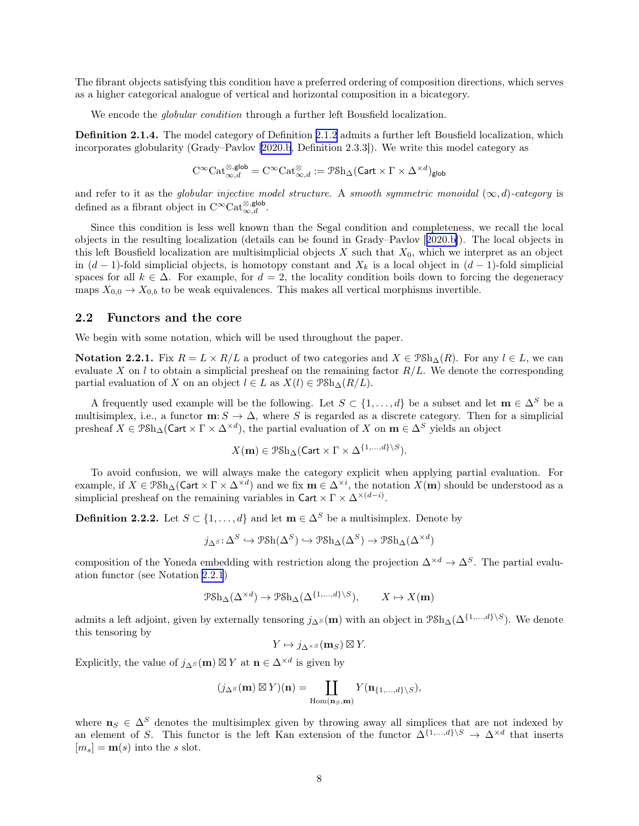<span id="page-7-0"></span>The fibrant objects satisfying this condition have a preferred ordering of composition directions, which serves as a higher categorical analogue of vertical and horizontal composition in a bicategory.

We encode the *globular condition* through a further left Bousfield localization.

Definition 2.1.4. The model category of Definition [2.1.2](#page-6-0) admits a further left Bousfield localization, which incorporates globularity (Grady–Pavlov[[2020.b](#page-63-0), Definition 2.3.3]). We write this model category as

$$
\mathrm{C}^\infty\mathrm{Cat}_{\infty,d}^{\otimes,\mathsf{glob}}=\mathrm{C}^\infty\mathrm{Cat}_{\infty,d}^{\otimes}:=\mathcal{P}\mathrm{Sh}_\Delta(\mathsf{Cart}\times\Gamma\times\Delta^{\times d})_{\mathsf{glob}}
$$

and refer to it as the globular injective model structure. A smooth symmetric monoidal  $(\infty, d)$ -category is defined as a fibrant object in  $C^{\infty} \text{Cat}_{\infty,d}^{\otimes, \text{glob}}$ .

Since this condition is less well known than the Segal condition and completeness, we recall the local objects in the resulting localization (details can be found in Grady–Pavlov[[2020.b\]](#page-63-0)). The local objects in this left Bousfield localization are multisimplicial objects  $X$  such that  $X_0$ , which we interpret as an object in  $(d-1)$ -fold simplicial objects, is homotopy constant and  $X_k$  is a local object in  $(d-1)$ -fold simplicial spaces for all  $k \in \Delta$ . For example, for  $d = 2$ , the locality condition boils down to forcing the degeneracy maps  $X_{0,0} \to X_{0,b}$  to be weak equivalences. This makes all vertical morphisms invertible.

#### 2.2 Functors and the core

We begin with some notation, which will be used throughout the paper.

Notation 2.2.1. Fix  $R = L \times R/L$  a product of two categories and  $X \in \mathcal{P}(\mathcal{S})$ . For any  $l \in L$ , we can evaluate X on l to obtain a simplicial presheaf on the remaining factor  $R/L$ . We denote the corresponding partial evaluation of X on an object  $l \in L$  as  $X(l) \in \mathcal{P} \text{Sh}_{\Delta}(R/L)$ .

A frequently used example will be the following. Let  $S \subset \{1, ..., d\}$  be a subset and let  $\mathbf{m} \in \Delta^S$  be a multisimplex, i.e., a functor  $\mathbf{m}: S \to \Delta$ , where S is regarded as a discrete category. Then for a simplicial presheaf  $X \in \text{PSh}_{\Delta}(\text{Cart} \times \Gamma \times \Delta^{\times d})$ , the partial evaluation of X on  $\mathbf{m} \in \Delta^S$  yields an object

$$
X(\mathbf{m}) \in \mathcal{P} \mathcal{S} \mathbf{h}_{\Delta}(\mathsf{Cart} \times \Gamma \times \Delta^{\{1,\dots,d\} \setminus S}).
$$

To avoid confusion, we will always make the category explicit when applying partial evaluation. For example, if  $X \in \mathcal{P} \mathcal{S} \mathcal{h}_{\Delta}(\mathsf{Cart} \times \Gamma \times \Delta^{\times d})$  and we fix  $\mathbf{m} \in \Delta^{\times i}$ , the notation  $X(\mathbf{m})$  should be understood as a simplicial presheaf on the remaining variables in Cart  $\times \Gamma \times \Delta^{\times (d-i)}$ .

**Definition 2.2.2.** Let  $S \subset \{1, ..., d\}$  and let  $\mathbf{m} \in \Delta^S$  be a multisimplex. Denote by

$$
j_{\Delta^S}\!:\!\Delta^S\hookrightarrow \mathcal{P}\mathcal{S}\mathrm{h}(\Delta^S)\hookrightarrow\mathcal{P}\mathcal{S}\mathrm{h}_{\Delta}(\Delta^S)\to \mathcal{P}\mathcal{S}\mathrm{h}_{\Delta}(\Delta^{\times d})
$$

composition of the Yoneda embedding with restriction along the projection  $\Delta^{\times d} \to \Delta^S$ . The partial evaluation functor (see Notation 2.2.1)

$$
\mathcal{P}\mathrm{Sh}_{\Delta}(\Delta^{\times d}) \to \mathcal{P}\mathrm{Sh}_{\Delta}(\Delta^{\{1,\dots,d\}\setminus S}), \qquad X \mapsto X(\mathbf{m})
$$

admits a left adjoint, given by externally tensoring  $j_{\Delta^{S}}(\mathbf{m})$  with an object in  $\mathcal{P}Sh_{\Delta}(\Delta^{\{1,\ldots,d\}})$ . We denote this tensoring by

$$
Y \mapsto j_{\Delta^{\times S}}(\mathbf{m}_{S}) \boxtimes Y.
$$

Explicitly, the value of  $j_{\Delta} s(\mathbf{m}) \boxtimes Y$  at  $\mathbf{n} \in \Delta^{\times d}$  is given by

$$
(j_{\Delta^S}(\mathbf{m}) \boxtimes Y)(\mathbf{n}) = \coprod_{\mathrm{Hom}(\mathbf{n}_S, \mathbf{m})} Y(\mathbf{n}_{\{1,\ldots,d\} \backslash S}),
$$

where  $n_S \in \Delta^S$  denotes the multisimplex given by throwing away all simplices that are not indexed by an element of S. This functor is the left Kan extension of the functor  $\Delta^{\{1,\ldots,d\}\setminus S} \to \Delta^{\times d}$  that inserts  $[m_s] = \mathbf{m}(s)$  into the s slot.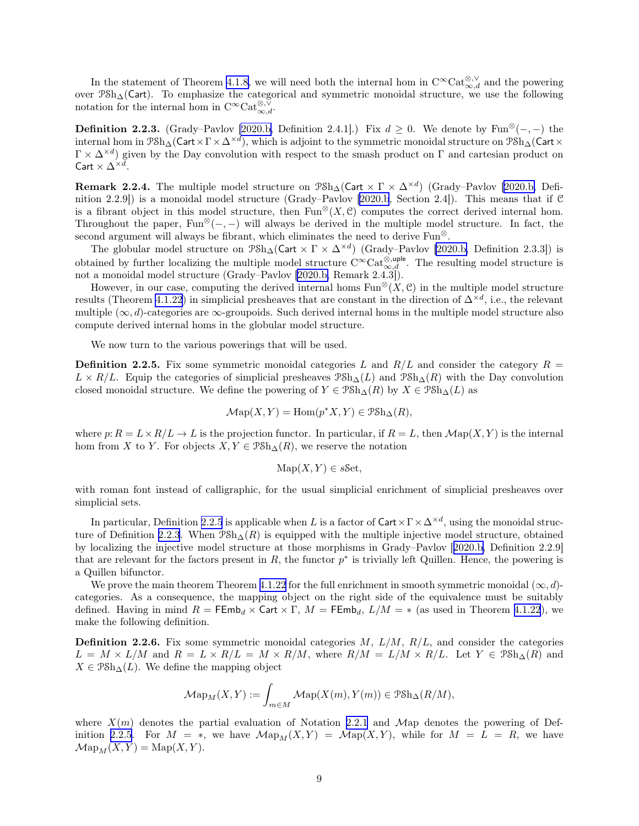<span id="page-8-0"></span>In the statement of Theorem [4.1.8,](#page-24-0) we will need both the internal hom in  $C^{\infty}Cat_{\infty,d}^{\otimes,\vee}$  and the powering over PSh∆(Cart). To emphasize the categorical and symmetric monoidal structure, we use the following notation for the internal hom in  $C^{\infty} \text{Cat}_{\infty,d}^{\otimes,\check{\vee}}$ .

**Definition 2.2.3.** (Grady–Pavlov [\[2020.b,](#page-63-0) Definition 2.4.1].) Fix  $d \ge 0$ . We denote by Fun<sup>⊗</sup>(−,−) the internal hom in  $\mathcal{P} \text{Sh}_{\Delta}(\mathsf{Cart} \times \Gamma \times \Delta^{\times d})$ , which is adjoint to the symmetric monoidal structure on  $\mathcal{P} \text{Sh}_{\Delta}(\mathsf{Cart} \times \Gamma))$  $\Gamma \times \Delta^{\times d}$  given by the Day convolution with respect to the smash product on  $\Gamma$  and cartesian product on Cart  $\times \Delta^{\times d}$ .

**Remark 2.2.4.** The multiple model structure on  $\mathcal{P}Sh_{\Delta}(\text{Cart} \times \Gamma \times \Delta^{\times d})$  (Grady–Pavlov [\[2020.b,](#page-63-0) Definition 2.2.9]) is a monoidal model structure (Grady–Pavlov [[2020.b](#page-63-0), Section 2.4]). This means that if C is a fibrant object in this model structure, then  $Fun^{\otimes}(X, \mathcal{C})$  computes the correct derived internal hom. Throughout the paper, Fun<sup>⊗</sup>(−, −) will always be derived in the multiple model structure. In fact, the second argument will always be fibrant, which eliminates the need to derive  $Fun^{\otimes}$ .

The globular model structure on  $\mathcal{P}Sh_{\Delta}(\mathsf{Cart} \times \Gamma \times \Delta^{\times d})$  (Grady–Pavlov [\[2020.b,](#page-63-0) Definition 2.3.3]) is obtained by further localizing the multiple model structure  $C^{\infty}$ Cat<sup>⊗,uple</sup>. The resulting model structure is not a monoidal model structure (Grady–Pavlov [\[2020.b,](#page-63-0) Remark 2.4.3]).

However, in our case, computing the derived internal homs  $\text{Fun}^{\otimes}(X, \mathcal{C})$  in the multiple model structure results (Theorem [4.1.22\)](#page-28-0) in simplicial presheaves that are constant in the direction of  $\Delta^{\times d}$ , i.e., the relevant multiple  $(\infty, d)$ -categories are  $\infty$ -groupoids. Such derived internal homs in the multiple model structure also compute derived internal homs in the globular model structure.

We now turn to the various powerings that will be used.

**Definition 2.2.5.** Fix some symmetric monoidal categories L and  $R/L$  and consider the category  $R =$  $L \times R/L$ . Equip the categories of simplicial presheaves  $\mathcal{P}Sh_{\Delta}(L)$  and  $\mathcal{P}Sh_{\Delta}(R)$  with the Day convolution closed monoidal structure. We define the powering of  $Y \in \mathcal{P} \text{Sh}_{\Delta}(R)$  by  $X \in \mathcal{P} \text{Sh}_{\Delta}(L)$  as

$$
\mathcal{M}\mathrm{ap}(X,Y) = \mathrm{Hom}(p^*X,Y) \in \mathcal{P}\mathrm{Sh}_{\Delta}(R),
$$

where  $p: R = L \times R/L \to L$  is the projection functor. In particular, if  $R = L$ , then  $\mathcal{M}ap(X, Y)$  is the internal hom from X to Y. For objects  $X, Y \in \mathcal{P} \mathcal{S} \mathcal{h}_{\Delta}(R)$ , we reserve the notation

$$
\mathrm{Map}(X, Y) \in s\mathcal{S}\mathrm{et},
$$

with roman font instead of calligraphic, for the usual simplicial enrichment of simplicial presheaves over simplicial sets.

In particular, Definition 2.2.5 is applicable when L is a factor of  $\text{Cart} \times \Gamma \times \Delta^{\times d}$ , using the monoidal structure of Definition 2.2.3. When  $\mathcal{P}Sh_{\Delta}(R)$  is equipped with the multiple injective model structure, obtained by localizing the injective model structure at those morphisms in Grady–Pavlov[[2020.b,](#page-63-0) Definition 2.2.9] that are relevant for the factors present in  $R$ , the functor  $p^*$  is trivially left Quillen. Hence, the powering is a Quillen bifunctor.

We prove the main theorem Theorem [4.1.22](#page-28-0) for the full enrichment in smooth symmetric monoidal ( $\infty, d$ )categories. As a consequence, the mapping object on the right side of the equivalence must be suitably defined. Having in mind  $R = \text{FEmb}_d \times \text{Cart} \times \Gamma$ ,  $M = \text{FEmb}_d$ ,  $L/M = *$  (as used in Theorem [4.1.22](#page-28-0)), we make the following definition.

**Definition 2.2.6.** Fix some symmetric monoidal categories  $M$ ,  $L/M$ ,  $R/L$ , and consider the categories  $L = M \times L/M$  and  $R = L \times R/L = M \times R/M$ , where  $R/M = L/M \times R/L$ . Let  $Y \in \mathcal{P} \mathcal{S} \mathcal{h} \Delta(R)$  and  $X \in \mathcal{P} \mathcal{S} \mathcal{h}_{\Delta}(L)$ . We define the mapping object

$$
\mathcal{M}{\rm ap}_M(X,Y):=\int_{m\in M} \mathcal{M}{\rm ap}(X(m),Y(m))\in \mathcal{P}{\rm Sh}_\Delta(R/M),
$$

where  $X(m)$  denotes the partial evaluation of Notation [2.2.1](#page-7-0) and Map denotes the powering of Definition 2.2.5. For  $M = *$ , we have  $\mathcal{M}ap_M(X, Y) = \mathcal{M}ap(X, Y)$ , while for  $M = L = R$ , we have  $\mathcal{M}ap_M(X, Y) = \mathrm{Map}(X, Y).$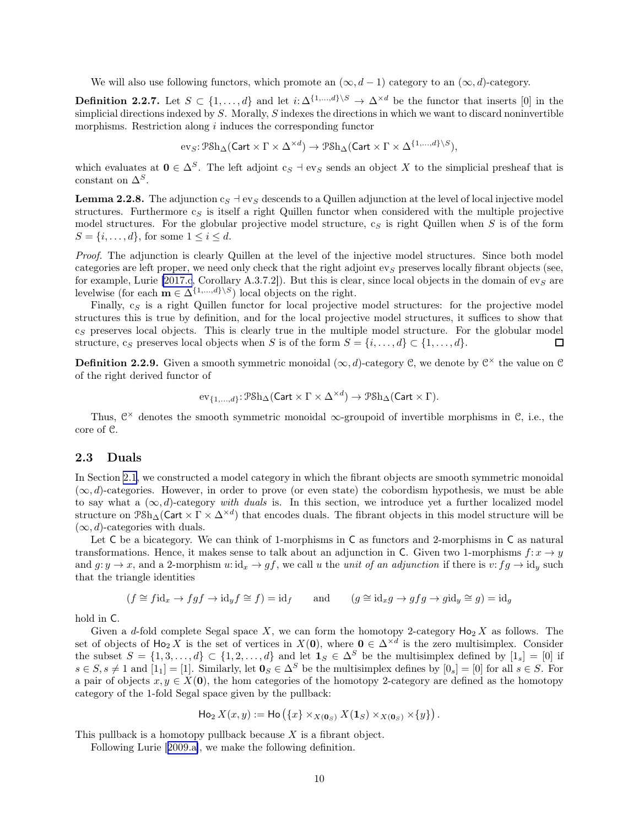<span id="page-9-0"></span>We will also use following functors, which promote an  $(\infty, d - 1)$  category to an  $(\infty, d)$ -category.

**Definition 2.2.7.** Let  $S \subset \{1, ..., d\}$  and let  $i: \Delta^{\{1, ..., d\}\setminus S} \to \Delta^{\times d}$  be the functor that inserts [0] in the simplicial directions indexed by  $S$ . Morally,  $S$  indexes the directions in which we want to discard noninvertible morphisms. Restriction along  $i$  induces the corresponding functor

$$
\mathrm{ev}_S \colon \mathcal{P} \mathrm{Sh}_\Delta(\mathsf{Cart} \times \Gamma \times \Delta^{\times d}) \to \mathcal{P} \mathrm{Sh}_\Delta(\mathsf{Cart} \times \Gamma \times \Delta^{\{1,\ldots,d\} \setminus S}),
$$

which evaluates at  $0 \in \Delta^S$ . The left adjoint  $c_S \dashv \text{ev}_S$  sends an object X to the simplicial presheaf that is constant on  $\Delta^S$ .

**Lemma 2.2.8.** The adjunction  $c_S + \text{ev}_S$  descends to a Quillen adjunction at the level of local injective model structures. Furthermore  $c_S$  is itself a right Quillen functor when considered with the multiple projective model structures. For the globular projective model structure,  $c_S$  is right Quillen when S is of the form  $S = \{i, \ldots, d\}$ , for some  $1 \leq i \leq d$ .

Proof. The adjunction is clearly Quillen at the level of the injective model structures. Since both model categories are left proper, we need only check that the right adjoint  $ev_S$  preserves locally fibrant objects (see, for example, Lurie [\[2017.c](#page-63-0), Corollary A.3.7.2]). But this is clear, since local objects in the domain of ev $_S$  are levelwise (for each  $\mathbf{m} \in \Delta^{\{1,\ldots,d\}\setminus S}$ ) local objects on the right.

Finally,  $c_S$  is a right Quillen functor for local projective model structures: for the projective model structures this is true by definition, and for the local projective model structures, it suffices to show that  $c<sub>S</sub>$  preserves local objects. This is clearly true in the multiple model structure. For the globular model structure, c<sub>S</sub> preserves local objects when S is of the form  $S = \{i, \ldots, d\} \subset \{1, \ldots, d\}$ . П

**Definition 2.2.9.** Given a smooth symmetric monoidal  $(\infty, d)$ -category C, we denote by  $C^{\times}$  the value on C of the right derived functor of

$$
\mathrm{ev}_{\{1,...,d\}} \colon \mathcal{P} \mathrm{Sh}_{\Delta}(\mathsf{Cart} \times \Gamma \times \Delta^{\times d}) \rightarrow \mathcal{P} \mathrm{Sh}_{\Delta}(\mathsf{Cart} \times \Gamma).
$$

Thus,  $\mathcal{C}^{\times}$  denotes the smooth symmetric monoidal  $\infty$ -groupoid of invertible morphisms in  $\mathcal{C}$ , i.e., the core of C.

#### 2.3 Duals

In Section [2.1](#page-6-0), we constructed a model category in which the fibrant objects are smooth symmetric monoidal  $(\infty, d)$ -categories. However, in order to prove (or even state) the cobordism hypothesis, we must be able to say what a  $(\infty, d)$ -category with duals is. In this section, we introduce yet a further localized model structure on  $\Reh_{\Delta}(\operatorname{Cart} \times \Gamma \times \Delta^{\times d})$  that encodes duals. The fibrant objects in this model structure will be  $(\infty, d)$ -categories with duals.

Let C be a bicategory. We can think of 1-morphisms in C as functors and 2-morphisms in C as natural transformations. Hence, it makes sense to talk about an adjunction in C. Given two 1-morphisms  $f: x \to y$ and  $g: y \to x$ , and a 2-morphism  $u: id_x \to gf$ , we call u the unit of an adjunction if there is  $v: fg \to id_y$  such that the triangle identities

$$
(f \cong f \mathrm{id}_x \to fgf \to \mathrm{id}_y f \cong f) = \mathrm{id}_f
$$
 and  $(g \cong \mathrm{id}_x g \to gfg \to g \mathrm{id}_y \cong g) = \mathrm{id}_g$ 

hold in C.

Given a d-fold complete Segal space X, we can form the homotopy 2-category  $Ho_2 X$  as follows. The set of objects of  $Ho_2 X$  is the set of vertices in  $X(0)$ , where  $0 \in \Delta^{\times d}$  is the zero multisimplex. Consider the subset  $S = \{1, 3, \ldots, d\} \subset \{1, 2, \ldots, d\}$  and let  $1_S \in \Delta^S$  be the multisimplex defined by  $[1_s] = [0]$  if  $s \in S$ ,  $s \neq 1$  and  $[1_1] = [1]$ . Similarly, let  $\mathbf{0}_S \in \Delta^S$  be the multisimplex defines by  $[0_s] = [0]$  for all  $s \in S$ . For a pair of objects  $x, y \in X(0)$ , the hom categories of the homotopy 2-category are defined as the homotopy category of the 1-fold Segal space given by the pullback:

$$
\operatorname{Ho}_2X(x,y) := \operatorname{Ho}(\{x\} \times_{X(\mathbf{0}_S)} X(\mathbf{1}_S) \times_{X(\mathbf{0}_S)} \times \{y\}).
$$

This pullback is a homotopy pullback because  $X$  is a fibrant object.

Following Lurie[[2009.a\]](#page-62-0), we make the following definition.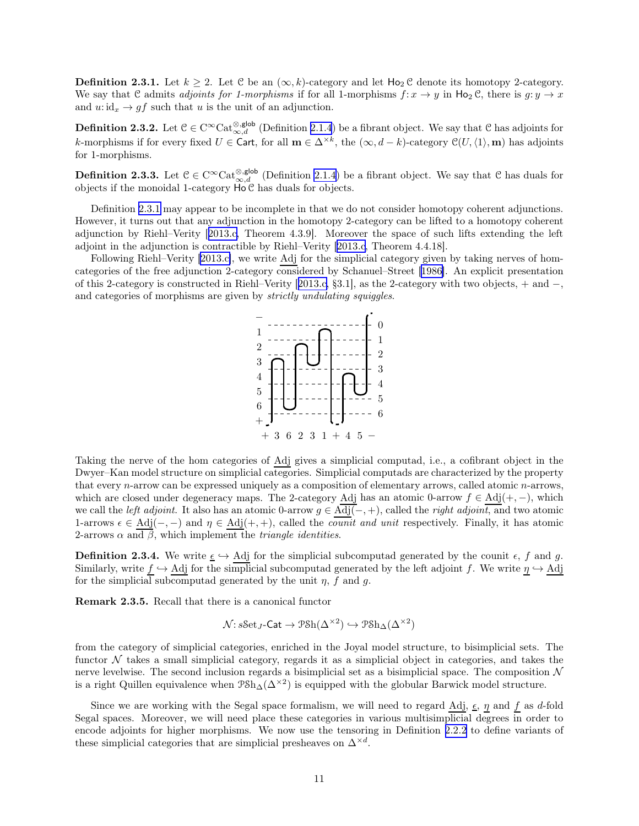<span id="page-10-0"></span>**Definition 2.3.1.** Let  $k \geq 2$ . Let C be an  $(\infty, k)$ -category and let  $\text{Ho}_2 \mathcal{C}$  denote its homotopy 2-category. We say that C admits adjoints for 1-morphisms if for all 1-morphisms  $f: x \to y$  in  $\text{Ho}_2 \mathcal{C}$ , there is  $g: y \to x$ and  $u: id_x \to gf$  such that u is the unit of an adjunction.

**Definition 2.3.2.** Let  $\mathcal{C} \in \mathrm{C}^{\infty} \mathrm{Cat}_{\infty,d}^{\otimes, \mathsf{glob}}$  (Definition [2.1.4](#page-7-0)) be a fibrant object. We say that  $\mathcal{C}$  has adjoints for k-morphisms if for every fixed  $U \in \text{Cart}$ , for all  $\mathbf{m} \in \Delta^{\times k}$ , the  $(\infty, d - k)$ -category  $\mathcal{C}(U, \langle 1 \rangle, \mathbf{m})$  has adjoints for 1-morphisms.

**Definition 2.3.3.** Let  $C \in \text{C}^{\infty} \text{Cat}_{\infty,d}^{\otimes, \text{glob}}$  (Definition [2.1.4](#page-7-0)) be a fibrant object. We say that C has duals for objects if the monoidal 1-category  $\overrightarrow{Ho}$  has duals for objects.

Definition [2.3.1](#page-9-0) may appear to be incomplete in that we do not consider homotopy coherent adjunctions. However, it turns out that any adjunction in the homotopy 2-category can be lifted to a homotopy coherent adjunction by Riehl–Verity[[2013.c,](#page-63-0) Theorem 4.3.9]. Moreover the space of such lifts extending the left adjoint in the adjunction is contractible by Riehl–Verity[[2013.c](#page-63-0), Theorem 4.4.18].

Following Riehl–Verity [\[2013.c\]](#page-63-0), we write Adj for the simplicial category given by taking nerves of homcategories of the free adjunction 2-category considered by Schanuel–Street[[1986\]](#page-61-0). An explicit presentation of this 2-category is constructed in Riehl–Verity[[2013.c,](#page-63-0) §3.1], as the 2-category with two objects, + and −, and categories of morphisms are given by strictly undulating squiggles.



Taking the nerve of the hom categories of Adj gives a simplicial computad, i.e., a cofibrant object in the Dwyer–Kan model structure on simplicial categories. Simplicial computads are characterized by the property that every n-arrow can be expressed uniquely as a composition of elementary arrows, called atomic n-arrows, which are closed under degeneracy maps. The 2-category Adj has an atomic 0-arrow  $f \in Adj(+, -)$ , which we call the left adjoint. It also has an atomic 0-arrow  $g \in \overline{\text{Adj}(-, +)}$ , called the right adjoint, and two atomic 1-arrows  $\epsilon \in Adj(-,-)$  and  $\eta \in Adj(+,+)$ , called the *counit and unit* respectively. Finally, it has atomic 2-arrows  $\alpha$  and  $\beta$ , which implement the *triangle identities*.

**Definition 2.3.4.** We write  $\underline{\epsilon} \hookrightarrow$  Adj for the simplicial subcomputad generated by the counit  $\epsilon$ , f and g. Similarly, write  $f \hookrightarrow$  Adj for the simplicial subcomputad generated by the left adjoint f. We write  $\eta \hookrightarrow$  Adj for the simplicial subcomputad generated by the unit  $\eta$ , f and q.

Remark 2.3.5. Recall that there is a canonical functor

$$
\mathcal{N}\colon \mathit{sSet}_J\text{-}\mathsf{Cat} \to \mathcal{P}\mathcal{S}\mathrm{h}(\Delta^{\times 2}) \hookrightarrow \mathcal{P}\mathcal{S}\mathrm{h}_\Delta(\Delta^{\times 2})
$$

from the category of simplicial categories, enriched in the Joyal model structure, to bisimplicial sets. The functor  $\mathcal N$  takes a small simplicial category, regards it as a simplicial object in categories, and takes the nerve levelwise. The second inclusion regards a bisimplicial set as a bisimplicial space. The composition  $\mathcal N$ is a right Quillen equivalence when  $\Reh_{\Delta}(\Delta^{\times 2})$  is equipped with the globular Barwick model structure.

Since we are working with the Segal space formalism, we will need to regard Adj,  $\epsilon$ ,  $\eta$  and f as d-fold Segal spaces. Moreover, we will need place these categories in various multisimplicial degrees in order to encode adjoints for higher morphisms. We now use the tensoring in Definition [2.2.2](#page-7-0) to define variants of these simplicial categories that are simplicial presheaves on  $\Delta^{\times d}$ .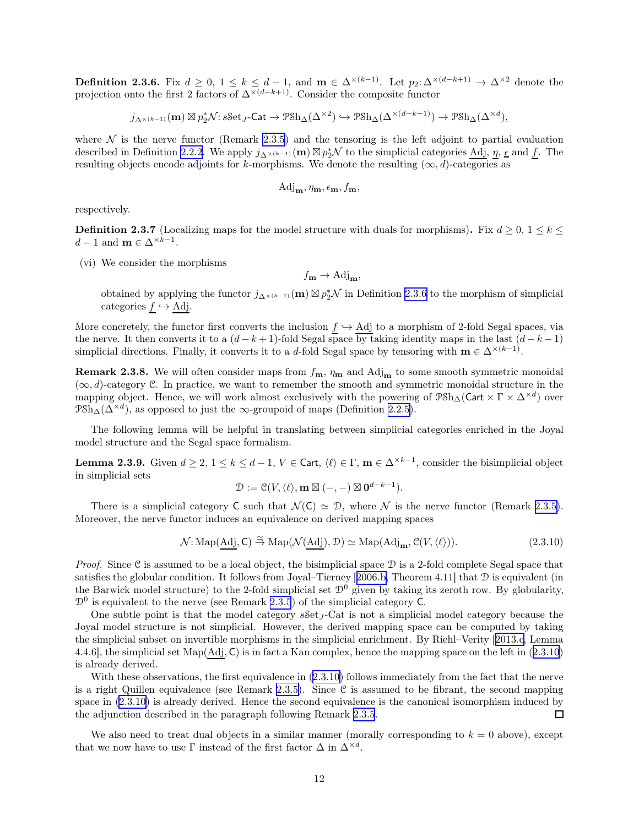<span id="page-11-0"></span>**Definition 2.3.6.** Fix  $d \geq 0, 1 \leq k \leq d-1$ , and  $\mathbf{m} \in \Delta^{\times(k-1)}$ . Let  $p_2: \Delta^{\times(d-k+1)} \to \Delta^{\times 2}$  denote the projection onto the first 2 factors of  $\Delta^{\times(d-k+1)}$ . Consider the composite functor

 $j_{\Delta^{\times (k-1)}}(\mathbf{m}) \boxtimes p_2^*\mathcal{N} : s\mathcal{S}\text{et}_J\text{-}\mathsf{Cat} \to \mathcal{P}\mathcal{S}\text{h}_{\Delta}(\Delta^{\times 2}) \hookrightarrow \mathcal{P}\mathcal{S}\text{h}_{\Delta}(\Delta^{\times (d-k+1)}) \to \mathcal{P}\mathcal{S}\text{h}_{\Delta}(\Delta^{\times d}),$ 

where  $\mathcal N$  is the nerve functor (Remark [2.3.5](#page-10-0)) and the tensoring is the left adjoint to partial evaluation described in Definition [2.2.2](#page-7-0). We apply  $j_{\Delta^{(k-1)}}(\mathbf{m}) \boxtimes p_2^* \mathcal{N}$  to the simplicial categories  $\underline{\text{Adj}}, \underline{\eta}, \underline{\epsilon}$  and  $\underline{f}$ . The resulting objects encode adjoints for k-morphisms. We denote the resulting  $(\infty, d)$ -categories as

$$
\mathrm{Adj}_{\mathbf{m}}, \eta_{\mathbf{m}}, \epsilon_{\mathbf{m}}, f_{\mathbf{m}},
$$

respectively.

**Definition 2.3.7** (Localizing maps for the model structure with duals for morphisms). Fix  $d \geq 0, 1 \leq k \leq 1$  $d-1$  and  $\mathbf{m} \in \Delta^{\times k-1}$ .

(vi) We consider the morphisms

$$
f_{\mathbf{m}} \to \text{Adj}_{\mathbf{m}},
$$

obtained by applying the functor  $j_{\Delta^{(k-1)}}(\mathbf{m}) \boxtimes p_2^* \mathcal{N}$  in Definition [2.3.6](#page-10-0) to the morphism of simplicial categories  $f \hookrightarrow \text{Adj}.$ 

More concretely, the functor first converts the inclusion  $f \hookrightarrow$  Adj to a morphism of 2-fold Segal spaces, via the nerve. It then converts it to a  $(d-k+1)$ -fold Segal space by taking identity maps in the last  $(d-k-1)$ simplicial directions. Finally, it converts it to a d-fold Segal space by tensoring with  $\mathbf{m} \in \Delta^{\times (k-1)}$ .

Remark 2.3.8. We will often consider maps from  $f_m$ ,  $\eta_m$  and  $\text{Adj}_m$  to some smooth symmetric monoidal  $(\infty, d)$ -category C. In practice, we want to remember the smooth and symmetric monoidal structure in the mapping object. Hence, we will work almost exclusively with the powering of  $\Re \mathbb{A}(\mathsf{Cart} \times \Gamma \times \Delta^{\times d})$  over  $\mathcal{P} \overline{\mathrm{Sh}}_{\Delta}(\Delta^{\times d})$ , as opposed to just the  $\infty$ -groupoid of maps (Definition [2.2.5\)](#page-8-0).

The following lemma will be helpful in translating between simplicial categories enriched in the Joyal model structure and the Segal space formalism.

**Lemma 2.3.9.** Given  $d \geq 2, 1 \leq k \leq d-1, V \in \mathsf{Cart}, \langle \ell \rangle \in \Gamma, \mathbf{m} \in \Delta^{\times k-1}$ , consider the bisimplicial object in simplicial sets

$$
\mathcal{D} := \mathcal{C}(V, \langle \ell \rangle, \mathbf{m} \boxtimes (-, -) \boxtimes \mathbf{0}^{d-k-1}).
$$

There is a simplicial category C such that  $\mathcal{N}(C) \simeq \mathcal{D}$ , where  $\mathcal N$  is the nerve functor (Remark [2.3.5\)](#page-10-0). Moreover, the nerve functor induces an equivalence on derived mapping spaces

$$
\mathcal{N} : \text{Map}(\underline{Adj}, \mathsf{C}) \xrightarrow{\simeq} \text{Map}(\mathcal{N}(\underline{Adj}), \mathcal{D}) \simeq \text{Map}(\text{Adj}_{\mathbf{m}}, \mathcal{C}(V, \langle \ell \rangle)).
$$
\n(2.3.10)

*Proof.* Since C is assumed to be a local object, the bisimplicial space D is a 2-fold complete Segal space that satisfies the globular condition. It follows from Joyal–Tierney[[2006.b,](#page-62-0) Theorem 4.11] that D is equivalent (in the Barwick model structure) to the 2-fold simplicial set  $\mathcal{D}^0$  given by taking its zeroth row. By globularity,  $\mathcal{D}^0$  is equivalent to the nerve (see Remark [2.3.5](#page-10-0)) of the simplicial category C.

One subtle point is that the model category  $sSet_J$ -Cat is not a simplicial model category because the Joyal model structure is not simplicial. However, the derived mapping space can be computed by taking the simplicial subset on invertible morphisms in the simplicial enrichment. By Riehl–Verity[[2013.c,](#page-63-0) Lemma 4.4.6], the simplicial set Map(Adj, C) is in fact a Kan complex, hence the mapping space on the left in (2.3.10) is already derived.

With these observations, the first equivalence in (2.3.10) follows immediately from the fact that the nerve is a right Quillen equivalence (see Remark [2.3.5\)](#page-10-0). Since  $\mathcal C$  is assumed to be fibrant, the second mapping space in (2.3.10) is already derived. Hence the second equivalence is the canonical isomorphism induced by the adjunction described in the paragraph following Remark [2.3.5](#page-10-0).  $\Box$ 

We also need to treat dual objects in a similar manner (morally corresponding to  $k = 0$  above), except that we now have to use  $\Gamma$  instead of the first factor  $\Delta$  in  $\Delta^{\times d}$ .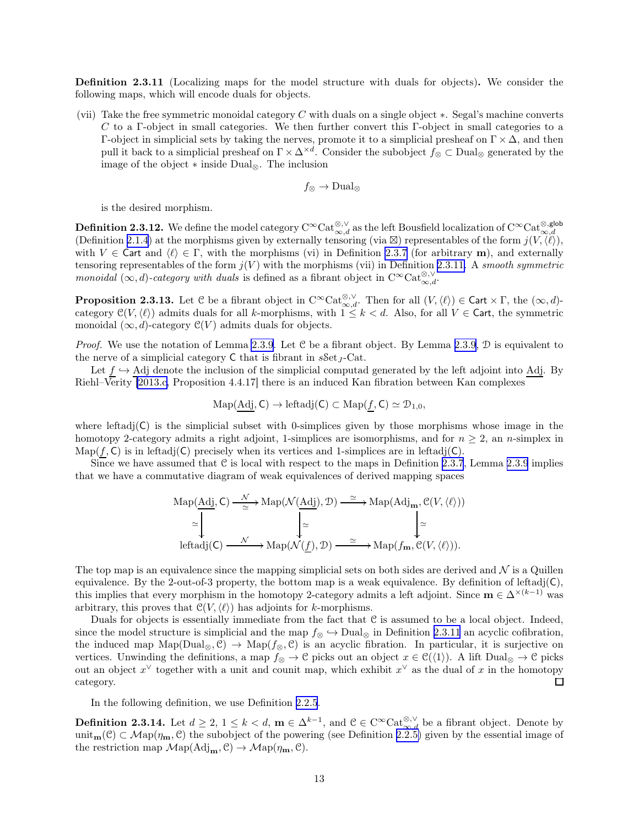<span id="page-12-0"></span>Definition 2.3.11 (Localizing maps for the model structure with duals for objects). We consider the following maps, which will encode duals for objects.

(vii) Take the free symmetric monoidal category  $C$  with duals on a single object  $\ast$ . Segal's machine converts C to a Γ-object in small categories. We then further convert this Γ-object in small categories to a Γ-object in simplicial sets by taking the nerves, promote it to a simplicial presheaf on  $Γ \times Δ$ , and then pull it back to a simplicial presheaf on  $\Gamma \times \Delta^{\times d}$ . Consider the subobject  $f_{\otimes} \subset \text{Dual}_{\otimes}$  generated by the image of the object ∗ inside Dual⊗. The inclusion

$$
f_{\otimes} \to \text{Dual}_{\otimes}
$$

is the desired morphism.

**Definition 2.3.12.** We define the model category  $C^{\infty}$ Cat<sup>⊗</sup>, $\vee$ <sub>∞,d</sub> as the left Bousfield localization of  $C^{\infty}$ Cat $_{\infty,d}^{\otimes,s}$ (Definition [2.1.4](#page-7-0)) at the morphisms given by externally tensoring (via  $\boxtimes$ ) representables of the form  $j(V,\langle\ell\rangle)$ , with  $V \in \mathsf{Cart}$  and  $\langle \ell \rangle \in \Gamma$ , with the morphisms (vi) in Definition [2.3.7](#page-11-0) (for arbitrary m), and externally tensoring representables of the form  $j(V)$  with the morphisms (vii) in Definition [2.3.11.](#page-11-0) A smooth symmetric monoidal  $(\infty, d)$ -category with duals is defined as a fibrant object in  $C^{\infty}$ Cat $_{\infty,d}^{\otimes, \vee}$ .

**Proposition 2.3.13.** Let C be a fibrant object in  $C^{\infty}$ Cat $_{\infty,d}^{\otimes,\vee}$ . Then for all  $(V,\langle \ell \rangle) \in$  Cart  $\times$   $\Gamma$ , the  $(\infty,d)$ category  $\mathcal{C}(V,\langle\ell\rangle)$  admits duals for all k-morphisms, with  $1 \leq k < d$ . Also, for all  $V \in \mathsf{Cart}$ , the symmetric monoidal  $(\infty, d)$ -category  $\mathcal{C}(V)$  admits duals for objects.

*Proof.* We use the notation of Lemma [2.3.9](#page-11-0). Let  $C$  be a fibrant object. By Lemma 2.3.9,  $D$  is equivalent to the nerve of a simplicial category  $C$  that is fibrant in  $sSet_{I}$ -Cat.

Let  $f \hookrightarrow$  Adj denote the inclusion of the simplicial computad generated by the left adjoint into Adj. By Riehl–Verity [\[2013.c,](#page-63-0) Proposition 4.4.17] there is an induced Kan fibration between Kan complexes

$$
\mathrm{Map}(\mathrm{Adj},\mathsf{C})\to\mathrm{leftadj}(\mathsf{C})\subset\mathrm{Map}(f,\mathsf{C})\simeq\mathfrak{D}_{1,0},
$$

where leftadj $(C)$  is the simplicial subset with 0-simplices given by those morphisms whose image in the homotopy 2-category admits a right adjoint, 1-simplices are isomorphisms, and for  $n \geq 2$ , an n-simplex in  $\text{Map}(f, \mathsf{C})$  is in leftadj( $\mathsf{C}$ ) precisely when its vertices and 1-simplices are in leftadj( $\mathsf{C}$ ).

Since we have assumed that  $C$  is local with respect to the maps in Definition [2.3.7](#page-11-0), Lemma [2.3.9](#page-11-0) implies that we have a commutative diagram of weak equivalences of derived mapping spaces

$$
\mathrm{Map}(\underline{Adj}, C) \xrightarrow{\mathcal{N}} \mathrm{Map}(\mathcal{N}(\underline{Adj}), \mathcal{D}) \xrightarrow{\simeq} \mathrm{Map}(\mathrm{Adj}_{\mathbf{m}}, \mathcal{C}(V, \langle \ell \rangle))
$$

$$
\simeq \downarrow \qquad \qquad \downarrow \simeq
$$

$$
\mathrm{leftadj}(C) \xrightarrow{\mathcal{N}} \mathrm{Map}(\mathcal{N}(\underline{f}), \mathcal{D}) \xrightarrow{\simeq} \mathrm{Map}(f_{\mathbf{m}}, \mathcal{C}(V, \langle \ell \rangle)).
$$

The top map is an equivalence since the mapping simplicial sets on both sides are derived and  $\mathcal N$  is a Quillen equivalence. By the 2-out-of-3 property, the bottom map is a weak equivalence. By definition of leftadj $(C)$ , this implies that every morphism in the homotopy 2-category admits a left adjoint. Since  $\mathbf{m} \in \Delta^{\times (k-1)}$  was arbitrary, this proves that  $\mathcal{C}(V,\langle \ell \rangle)$  has adjoints for k-morphisms.

Duals for objects is essentially immediate from the fact that C is assumed to be a local object. Indeed, since the model structure is simplicial and the map  $f$ ⊗  $\hookrightarrow$  Dual<sub>⊗</sub> in Definition [2.3.11](#page-11-0) an acyclic cofibration, the induced map  $\text{Map}(Dual_{\otimes}, \mathcal{C}) \rightarrow \text{Map}(f_{\otimes}, \mathcal{C})$  is an acyclic fibration. In particular, it is surjective on vertices. Unwinding the definitions, a map  $f \otimes \to \mathcal{C}$  picks out an object  $x \in \mathcal{C}(\langle 1 \rangle)$ . A lift Dual<sub> $\otimes \to \mathcal{C}$ </sub> picks out an object  $x^{\vee}$  together with a unit and counit map, which exhibit  $x^{\vee}$  as the dual of x in the homotopy category.  $\Box$ 

In the following definition, we use Definition [2.2.5](#page-8-0).

**Definition 2.3.14.** Let  $d \geq 2$ ,  $1 \leq k < d$ ,  $\mathbf{m} \in \Delta^{k-1}$ , and  $\mathcal{C} \in \mathrm{C}^{\infty} \mathrm{Cat}_{\infty,d}^{\otimes, \vee}$  be a fibrant object. Denote by unit<sub>m</sub>(C) ⊂ Map( $\eta_m$ , C) the subobject of the powering (see Definition [2.2.5\)](#page-8-0) given by the essential image of the restriction map  $\mathcal{M}\text{ap}(\text{Adj}_{m}, \mathcal{C}) \to \mathcal{M}\text{ap}(\eta_{m}, \mathcal{C})$ .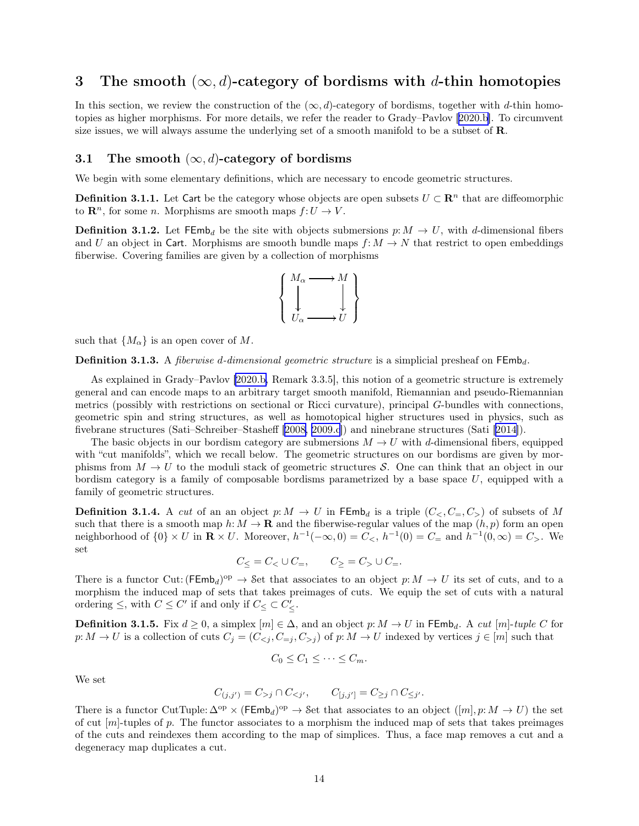## <span id="page-13-0"></span>3 The smooth  $(\infty, d)$ -category of bordisms with d-thin homotopies

In this section, we review the construction of the  $(\infty, d)$ -category of bordisms, together with d-thin homotopies as higher morphisms. For more details, we refer the reader to Grady–Pavlov[[2020.b\]](#page-63-0). To circumvent size issues, we will always assume the underlying set of a smooth manifold to be a subset of R.

### 3.1 The smooth  $(\infty, d)$ -category of bordisms

We begin with some elementary definitions, which are necessary to encode geometric structures.

**Definition 3.1.1.** Let Cart be the category whose objects are open subsets  $U \subset \mathbb{R}^n$  that are diffeomorphic to  $\mathbf{R}^n$ , for some *n*. Morphisms are smooth maps  $f:U\to V$ .

**Definition 3.1.2.** Let  $\mathsf{FEmb}_d$  be the site with objects submersions  $p: M \to U$ , with d-dimensional fibers and U an object in Cart. Morphisms are smooth bundle maps  $f: M \to N$  that restrict to open embeddings fiberwise. Covering families are given by a collection of morphisms



such that  $\{M_{\alpha}\}\$ is an open cover of M.

**Definition 3.1.3.** A *fiberwise d-dimensional geometric structure* is a simplicial presheaf on  $\mathsf{FEmb}_d$ .

As explained in Grady–Pavlov [\[2020.b,](#page-63-0) Remark 3.3.5], this notion of a geometric structure is extremely general and can encode maps to an arbitrary target smooth manifold, Riemannian and pseudo-Riemannian metrics (possibly with restrictions on sectional or Ricci curvature), principal G-bundles with connections, geometric spin and string structures, as well as homotopical higher structures used in physics, such as fivebrane structures (Sati–Schreiber–Stasheff[[2008, 2009.c](#page-62-0)]) and ninebrane structures (Sati [\[2014\]](#page-63-0)).

The basic objects in our bordism category are submersions  $M \to U$  with d-dimensional fibers, equipped with "cut manifolds", which we recall below. The geometric structures on our bordisms are given by morphisms from  $M \to U$  to the moduli stack of geometric structures S. One can think that an object in our bordism category is a family of composable bordisms parametrized by a base space  $U$ , equipped with a family of geometric structures.

**Definition 3.1.4.** A cut of an an object p:  $M \to U$  in FEmb<sub>d</sub> is a triple  $(C_<, C_<, C_<)$  of subsets of M such that there is a smooth map  $h: M \to \mathbf{R}$  and the fiberwise-regular values of the map  $(h, p)$  form an open neighborhood of  $\{0\} \times U$  in  $\mathbb{R} \times U$ . Moreover,  $h^{-1}(-\infty, 0) = C_0$ ,  $h^{-1}(0) = C_{\equiv}$  and  $h^{-1}(0, \infty) = C_0$ . We set

$$
C_{\leq} = C_{\leq} \cup C_{=}, \qquad C_{\geq} = C_{>} \cup C_{=}.
$$

There is a functor Cut:  $(\text{FEmb}_d)^{\text{op}} \to \text{Set}$  that associates to an object  $p: M \to U$  its set of cuts, and to a morphism the induced map of sets that takes preimages of cuts. We equip the set of cuts with a natural ordering  $\leq$ , with  $C \leq C'$  if and only if  $C \leq C \leq C'$ .

**Definition 3.1.5.** Fix  $d \geq 0$ , a simplex  $[m] \in \Delta$ , and an object  $p: M \to U$  in FEmb<sub>d</sub>. A cut  $[m]$ -tuple C for  $p: M \to U$  is a collection of cuts  $C_j = (C_{\leq j}, C_{=j}, C_{>j})$  of  $p: M \to U$  indexed by vertices  $j \in [m]$  such that

$$
C_0 \leq C_1 \leq \cdots \leq C_m.
$$

We set

$$
C_{(j,j')} = C_{>j} \cap C_{
$$

There is a functor CutTuple:  $\Delta^{op} \times (\text{FEmb}_d)^{op} \to \text{Set}$  that associates to an object  $([m], p: M \to U)$  the set of cut  $[m]$ -tuples of p. The functor associates to a morphism the induced map of sets that takes preimages of the cuts and reindexes them according to the map of simplices. Thus, a face map removes a cut and a degeneracy map duplicates a cut.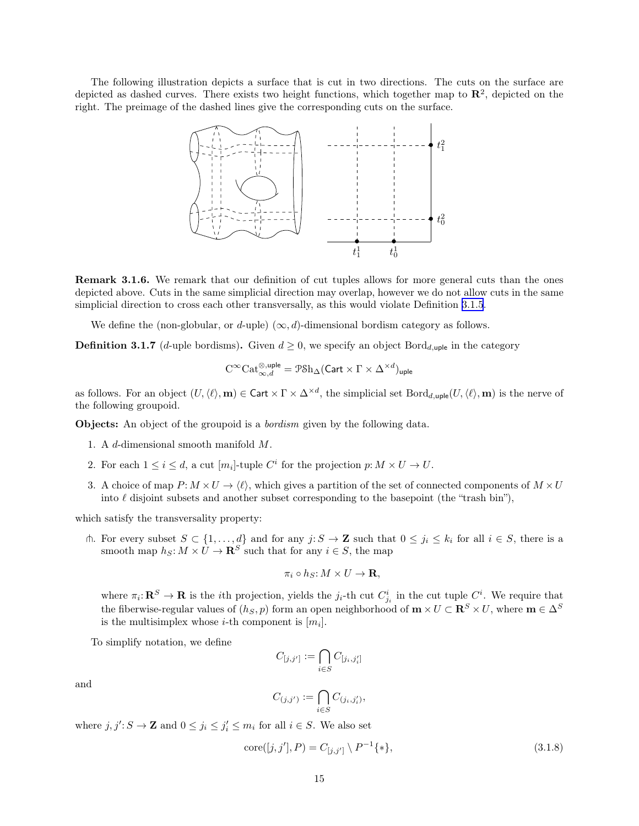<span id="page-14-0"></span>The following illustration depicts a surface that is cut in two directions. The cuts on the surface are depicted as dashed curves. There exists two height functions, which together map to  $\mathbb{R}^2$ , depicted on the right. The preimage of the dashed lines give the corresponding cuts on the surface.



Remark 3.1.6. We remark that our definition of cut tuples allows for more general cuts than the ones depicted above. Cuts in the same simplicial direction may overlap, however we do not allow cuts in the same simplicial direction to cross each other transversally, as this would violate Definition [3.1.5](#page-13-0).

We define the (non-globular, or d-uple)  $(\infty, d)$ -dimensional bordism category as follows.

**Definition 3.1.7** (d-uple bordisms). Given  $d \geq 0$ , we specify an object Bord<sub>d,uple</sub> in the category

$$
\mathrm{C}^{\infty}\mathrm{Cat}_{\infty,d}^{\otimes,\mathrm{uple}} = \mathcal{P} \mathrm{Sh}_{\Delta}(\mathsf{Cart} \times \Gamma \times \Delta^{\times d})_{\mathrm{uple}}
$$

as follows. For an object  $(U, \langle \ell \rangle, m) \in \text{Cart} \times \Gamma \times \Delta^{\times d}$ , the simplicial set  $\text{Bord}_{d,\text{uple}}(U, \langle \ell \rangle, m)$  is the nerve of the following groupoid.

**Objects:** An object of the groupoid is a *bordism* given by the following data.

- 1. A d-dimensional smooth manifold M.
- 2. For each  $1 \leq i \leq d$ , a cut  $[m_i]$ -tuple  $C^i$  for the projection  $p: M \times U \to U$ .
- 3. A choice of map  $P: M \times U \to \langle \ell \rangle$ , which gives a partition of the set of connected components of  $M \times U$ into  $\ell$  disjoint subsets and another subset corresponding to the basepoint (the "trash bin"),

which satisfy the transversality property:

h. For every subset  $S \subset \{1, ..., d\}$  and for any  $j: S \to \mathbf{Z}$  such that  $0 \leq j_i \leq k_i$  for all  $i \in S$ , there is a smooth map  $h_S: M \times U \to \mathbf{R}^S$  such that for any  $i \in S$ , the map

$$
\pi_i \circ h_S \colon M \times U \to \mathbf{R},
$$

where  $\pi_i: \mathbf{R}^S \to \mathbf{R}$  is the *i*th projection, yields the  $j_i$ -th cut  $C^i_{j_i}$  in the cut tuple  $C^i$ . We require that the fiberwise-regular values of  $(h_S, p)$  form an open neighborhood of  $\mathbf{m} \times U \subset \mathbf{R}^S \times U$ , where  $\mathbf{m} \in \Delta^S$ is the multisimplex whose *i*-th component is  $[m_i]$ .

To simplify notation, we define

$$
C_{[j,j']}:=\bigcap_{i\in S}C_{[j_i,j_i']}
$$

and

$$
C_{(j,j')} := \bigcap_{i \in S} C_{(j_i,j'_i)},
$$

where  $j, j'; S \to \mathbf{Z}$  and  $0 \leq j_i \leq j'_i \leq m_i$  for all  $i \in S$ . We also set

$$
core([j, j'], P) = C_{[j, j']} \setminus P^{-1} \{ * \},
$$
\n(3.1.8)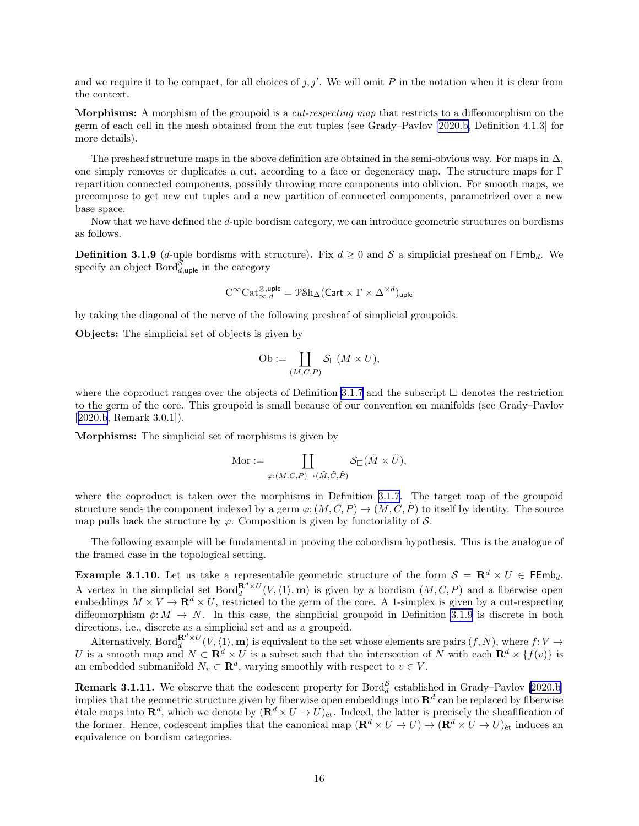<span id="page-15-0"></span>and we require it to be compact, for all choices of  $j, j'$ . We will omit P in the notation when it is clear from the context.

Morphisms: A morphism of the groupoid is a *cut-respecting map* that restricts to a diffeomorphism on the germ of each cell in the mesh obtained from the cut tuples (see Grady–Pavlov [\[2020.b,](#page-63-0) Definition 4.1.3] for more details).

The presheaf structure maps in the above definition are obtained in the semi-obvious way. For maps in  $\Delta$ , one simply removes or duplicates a cut, according to a face or degeneracy map. The structure maps for Γ repartition connected components, possibly throwing more components into oblivion. For smooth maps, we precompose to get new cut tuples and a new partition of connected components, parametrized over a new base space.

Now that we have defined the d-uple bordism category, we can introduce geometric structures on bordisms as follows.

**Definition 3.1.9** (d-uple bordisms with structure). Fix  $d \ge 0$  and S a simplicial presheaf on FEmb<sub>d</sub>. We specify an object  $\text{Bord}_{d,\text{uple}}^{\mathcal{S}}$  in the category

$$
\mathrm{C}^{\infty}\mathrm{Cat}_{\infty,d}^{\otimes,\mathrm{uple}} = \mathcal{P}\mathrm{Sh}_{\Delta}(\mathsf{Cart} \times \Gamma \times \Delta^{\times d})_{\mathrm{uple}}
$$

by taking the diagonal of the nerve of the following presheaf of simplicial groupoids.

Objects: The simplicial set of objects is given by

Ob := 
$$
\coprod_{(M,C,P)} \mathcal{S}_{\square}(M \times U),
$$

where the coproduct ranges over the objects of Definition [3.1.7](#page-14-0) and the subscript  $\Box$  denotes the restriction to the germ of the core. This groupoid is small because of our convention on manifolds (see Grady–Pavlov [[2020.b,](#page-63-0) Remark 3.0.1]).

Morphisms: The simplicial set of morphisms is given by

$$
\mathrm{Mor}:=\coprod_{\varphi:(M,C,P)\to (\tilde{M},\tilde{C},\tilde{P})}\mathcal{S}_{\square}(\tilde{M}\times \tilde{U}),
$$

where the coproduct is taken over the morphisms in Definition [3.1.7](#page-14-0). The target map of the groupoid structure sends the component indexed by a germ  $\varphi: (M, C, P) \to (M, C, P)$  to itself by identity. The source map pulls back the structure by  $\varphi$ . Composition is given by functoriality of S.

The following example will be fundamental in proving the cobordism hypothesis. This is the analogue of the framed case in the topological setting.

**Example 3.1.10.** Let us take a representable geometric structure of the form  $S = \mathbb{R}^d \times U \in \mathsf{FEmb}_d$ . A vertex in the simplicial set  $Bord_d^{\mathbf{R}^d\times U}(V,\langle 1\rangle,\mathbf{m})$  is given by a bordism  $(M,C,P)$  and a fiberwise open embeddings  $M \times V \to \mathbf{R}^d \times U$ , restricted to the germ of the core. A 1-simplex is given by a cut-respecting diffeomorphism  $\phi: M \to N$ . In this case, the simplicial groupoid in Definition 3.1.9 is discrete in both directions, i.e., discrete as a simplicial set and as a groupoid.

Alternatively,  $\text{Bord}_{d}^{\mathbf{R}^{d}\times U}(V,\langle 1\rangle,\mathbf{m})$  is equivalent to the set whose elements are pairs  $(f,N)$ , where  $f:V\to V$ U is a smooth map and  $N \subset \mathbf{R}^d \times U$  is a subset such that the intersection of N with each  $\mathbf{R}^d \times \{f(v)\}$  is an embedded submanifold  $N_v \subset \mathbf{R}^d$ , varying smoothly with respect to  $v \in V$ .

**Remark 3.1.11.** We observe that the codescent property for Bord $_{d}^{\mathcal{S}}$  established in Grady–Pavlov [\[2020.b](#page-63-0)] **increased in ST.111.** We observe that the codescent property for Bord<sub>d</sub> established in Grady–1 aviov [2020.0] implies that the geometric structure given by fiberwise open embeddings into  $\mathbb{R}^d$  can be replaced by fi etale maps into  $\mathbf{R}^d$ , which we denote by  $(\mathbf{R}^d \times U \to U)_{\text{\'et}}$ . Indeed, the latter is precisely the sheafification of the former. Hence, codescent implies that the canonical map  $(\mathbf{R}^d \times U \to U) \to (\mathbf{R}^d \times U \to U)_{\text{\'et}}$  induces an equivalence on bordism categories.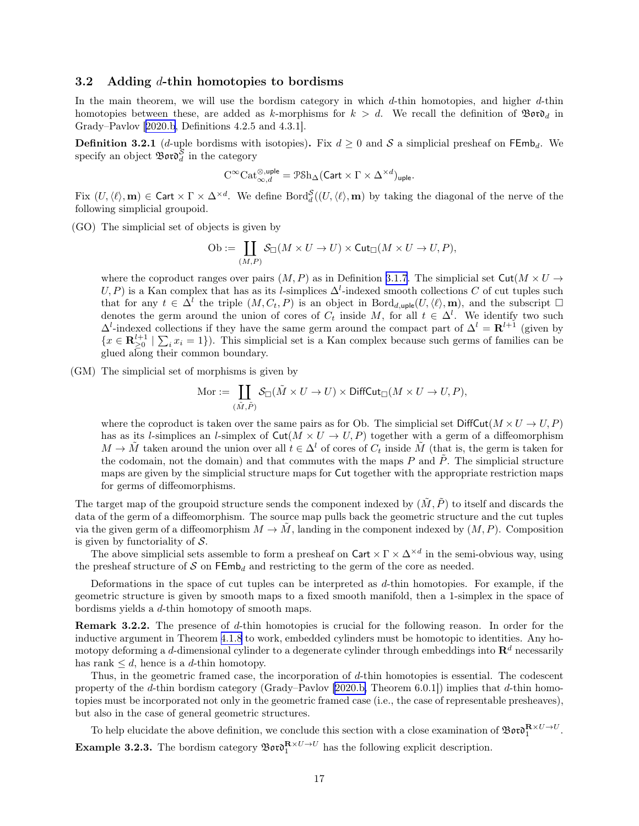#### <span id="page-16-0"></span>3.2 Adding  $d$ -thin homotopies to bordisms

In the main theorem, we will use the bordism category in which  $d$ -thin homotopies, and higher  $d$ -thin homotopies between these, are added as k-morphisms for  $k > d$ . We recall the definition of  $\mathcal{B}$ oro<sub>d</sub> in Grady–Pavlov[[2020.b](#page-63-0), Definitions 4.2.5 and 4.3.1].

**Definition 3.2.1** (d-uple bordisms with isotopies). Fix  $d \ge 0$  and S a simplicial presheaf on FEmb<sub>d</sub>. We specify an object  $\mathfrak{B}$  or  $\mathfrak{d}^{\mathcal{S}}_d$  in the category

$$
\mathrm{C}^{\infty}\mathrm{Cat}_{\infty,d}^{\otimes,\mathrm{uple}} = \mathcal{P}\mathrm{Sh}_{\Delta}(\mathrm{Cart} \times \Gamma \times \Delta^{\times d})_{\mathrm{uple}}.
$$

Fix  $(U, \langle \ell \rangle, m) \in \text{Cart} \times \Gamma \times \Delta^{\times d}$ . We define  $\text{Bord}_d^{\mathcal{S}}((U, \langle \ell \rangle, m)$  by taking the diagonal of the nerve of the following simplicial groupoid.

(GO) The simplicial set of objects is given by

$$
\mathrm{Ob} := \coprod_{(M,P)} \mathcal{S}_{\square}(M \times U \to U) \times \mathsf{Cut}_{\square}(M \times U \to U, P),
$$

where the coproduct ranges over pairs  $(M, P)$  as in Definition [3.1.7](#page-14-0). The simplicial set Cut $(M \times U \rightarrow$  $(U, P)$  is a Kan complex that has as its l-simplices  $\Delta^l$ -indexed smooth collections C of cut tuples such that for any  $t \in \Delta^l$  the triple  $(M, C_t, P)$  is an object in Bord<sub>d,uple</sub> $(U, \langle \ell \rangle, m)$ , and the subscript  $\Box$ denotes the germ around the union of cores of  $C_t$  inside M, for all  $t \in \Delta^l$ . We identify two such  $\Delta^l$ -indexed collections if they have the same germ around the compact part of  $\Delta^l = \mathbf{R}^{l+1}$  (given by  $\{x \in \mathbf{R}_{\geq 0}^{l+1} \mid \sum_i x_i = 1\}$ . This simplicial set is a Kan complex because such germs of families can be glued along their common boundary.

(GM) The simplicial set of morphisms is given by

$$
\text{Mor} := \coprod_{(\tilde{M}, \tilde{P})} \mathcal{S}_{\Box}(\tilde{M} \times U \to U) \times \text{DiffCut}_{\Box}(M \times U \to U, P),
$$

where the coproduct is taken over the same pairs as for Ob. The simplicial set  $\text{DiffCut}(M \times U \to U, P)$ has as its *l*-simplices an *l*-simplex of  $Cut(M \times U \rightarrow U, P)$  together with a germ of a diffeomorphism  $M \to \tilde{M}$  taken around the union over all  $t \in \Delta^l$  of cores of  $C_t$  inside  $\tilde{M}$  (that is, the germ is taken for the codomain, not the domain) and that commutes with the maps  $P$  and  $P$ . The simplicial structure maps are given by the simplicial structure maps for Cut together with the appropriate restriction maps for germs of diffeomorphisms.

The target map of the groupoid structure sends the component indexed by  $(\tilde{M}, \tilde{P})$  to itself and discards the data of the germ of a diffeomorphism. The source map pulls back the geometric structure and the cut tuples via the given germ of a diffeomorphism  $M \to \tilde{M}$ , landing in the component indexed by  $(M, P)$ . Composition is given by functoriality of  $S$ .

The above simplicial sets assemble to form a presheaf on  $\text{Cart} \times \Gamma \times \Delta^{\times d}$  in the semi-obvious way, using the presheaf structure of S on  $\mathsf{FEmb}_d$  and restricting to the germ of the core as needed.

Deformations in the space of cut tuples can be interpreted as d-thin homotopies. For example, if the geometric structure is given by smooth maps to a fixed smooth manifold, then a 1-simplex in the space of bordisms yields a d-thin homotopy of smooth maps.

Remark 3.2.2. The presence of d-thin homotopies is crucial for the following reason. In order for the inductive argument in Theorem [4.1.8](#page-24-0) to work, embedded cylinders must be homotopic to identities. Any homotopy deforming a d-dimensional cylinder to a degenerate cylinder through embeddings into  $\mathbb{R}^d$  necessarily has rank  $\leq d$ , hence is a d-thin homotopy.

Thus, in the geometric framed case, the incorporation of d-thin homotopies is essential. The codescent property of the d-thin bordism category (Grady–Pavlov [\[2020.b,](#page-63-0) Theorem 6.0.1]) implies that d-thin homotopies must be incorporated not only in the geometric framed case (i.e., the case of representable presheaves), but also in the case of general geometric structures.

To help elucidate the above definition, we conclude this section with a close examination of  $\mathfrak{B}$ or $\mathfrak{d}^{\mathbf{R}\times U\rightarrow U}_{1}$ . **Example 3.2.3.** The bordism category  $\mathcal{B}ov\mathfrak{d}_1^{R\times U\to U}$  has the following explicit description.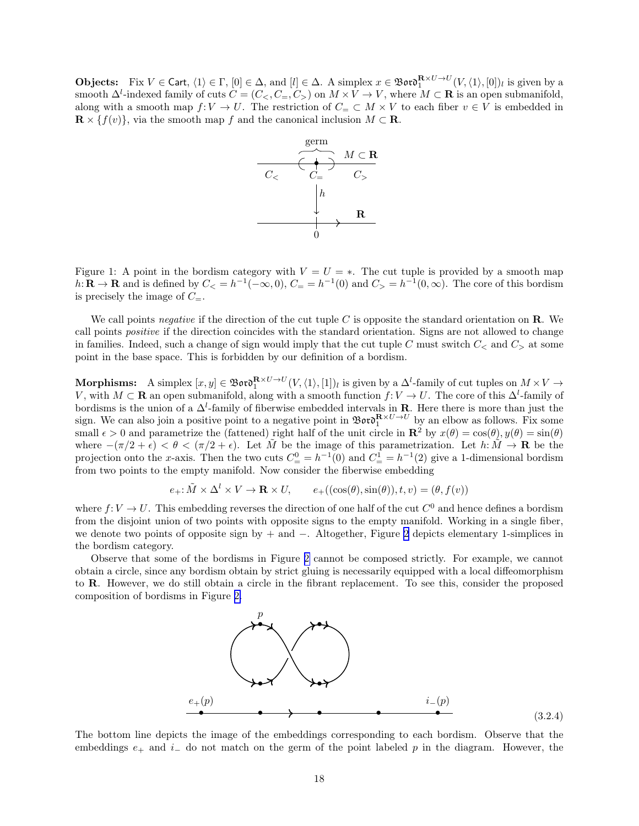<span id="page-17-0"></span>**Objects:** Fix  $V \in \text{Cart}, \langle 1 \rangle \in \Gamma$ ,  $[0] \in \Delta$ , and  $[l] \in \Delta$ . A simplex  $x \in \mathfrak{B}$  or  $\mathfrak{d}_1^{\mathbf{R} \times U \to U}(V, \langle 1 \rangle, [0])_l$  is given by a smooth  $\Delta^l$ -indexed family of cuts  $C = (C_<, C_<, C_<)$  on  $M \times V \to V$ , where  $M \subset \mathbf{R}$  is an open submanifold, along with a smooth map  $f: V \to U$ . The restriction of  $C = \subset M \times V$  to each fiber  $v \in V$  is embedded in  $\mathbf{R} \times \{f(v)\}\)$ , via the smooth map f and the canonical inclusion  $M \subset \mathbf{R}$ .



Figure 1: A point in the bordism category with  $V = U = *$ . The cut tuple is provided by a smooth map  $h: \mathbf{R} \to \mathbf{R}$  and is defined by  $C_{\leq h} = h^{-1}(-\infty, 0), C_{\equiv} = h^{-1}(0)$  and  $C_{> h} = h^{-1}(0, \infty)$ . The core of this bordism is precisely the image of  $C_{-}$ .

We call points negative if the direction of the cut tuple C is opposite the standard orientation on  $\bf R$ . We call points positive if the direction coincides with the standard orientation. Signs are not allowed to change in families. Indeed, such a change of sign would imply that the cut tuple C must switch  $C_{\le}$  and  $C_{\ge}$  at some point in the base space. This is forbidden by our definition of a bordism.

Morphisms: A simplex  $[x, y] \in \mathfrak{B}$ or $\mathfrak{d}_1^{\mathbf{R} \times U \to U}(V, \langle 1 \rangle, [1])_l$  is given by a  $\Delta^l$ -family of cut tuples on  $M \times V \to$ V, with  $M \subset \mathbf{R}$  an open submanifold, along with a smooth function  $f: V \to U$ . The core of this  $\Delta^l$ -family of bordisms is the union of a  $\Delta^l$ -family of fiberwise embedded intervals in **R**. Here there is more than just the sign. We can also join a positive point to a negative point in  $\mathfrak{B}$ oro $R^{\times U \to U}$  by an elbow as follows. Fix some small  $\epsilon > 0$  and parametrize the (fattened) right half of the unit circle in  $\mathbb{R}^2$  by  $x(\theta) = \cos(\theta), y(\theta) = \sin(\theta)$ where  $-(\pi/2 + \epsilon) < \theta < (\pi/2 + \epsilon)$ . Let  $\tilde{M}$  be the image of this parametrization. Let  $h: \tilde{M} \to \mathbf{R}$  be the projection onto the x-axis. Then the two cuts  $C_{\equiv}^0 = h^{-1}(0)$  and  $C_{\equiv}^1 = h^{-1}(2)$  give a 1-dimensional bordism from two points to the empty manifold. Now consider the fiberwise embedding

$$
e_+ : \tilde{M} \times \Delta^l \times V \to \mathbf{R} \times U, \qquad e_+((\cos(\theta), \sin(\theta)), t, v) = (\theta, f(v))
$$

where  $f: V \to U$ . This embedding reverses the direction of one half of the cut  $C^0$  and hence defines a bordism from the disjoint union of two points with opposite signs to the empty manifold. Working in a single fiber, we denote two points of opposite sign by + and −. Altogether, Figure [2](#page-18-0) depicts elementary 1-simplices in the bordism category.

Observe that some of the bordisms in Figure [2](#page-18-0) cannot be composed strictly. For example, we cannot obtain a circle, since any bordism obtain by strict gluing is necessarily equipped with a local diffeomorphism to R. However, we do still obtain a circle in the fibrant replacement. To see this, consider the proposed composition of bordisms in Figure [2.](#page-18-0)



The bottom line depicts the image of the embeddings corresponding to each bordism. Observe that the embeddings  $e_+$  and  $i_-\,$  do not match on the germ of the point labeled p in the diagram. However, the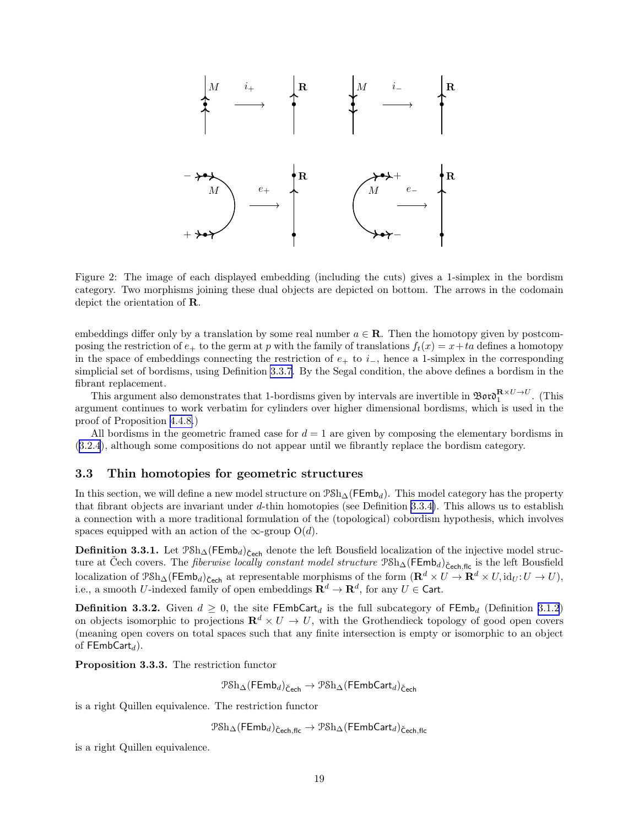<span id="page-18-0"></span>

Figure 2: The image of each displayed embedding (including the cuts) gives a 1-simplex in the bordism category. Two morphisms joining these dual objects are depicted on bottom. The arrows in the codomain depict the orientation of R.

embeddings differ only by a translation by some real number  $a \in \mathbf{R}$ . Then the homotopy given by postcomposing the restriction of  $e_+$  to the germ at p with the family of translations  $f_t(x) = x + ta$  defines a homotopy in the space of embeddings connecting the restriction of  $e_+$  to  $i_-,$  hence a 1-simplex in the corresponding simplicial set of bordisms, using Definition [3.3.7.](#page-19-0) By the Segal condition, the above defines a bordism in the fibrant replacement.

This argument also demonstrates that 1-bordisms given by intervals are invertible in  $\mathfrak{Boro}_1^{\mathbf{R}\times U\rightarrow U}$ . (This argument continues to work verbatim for cylinders over higher dimensional bordisms, which is used in the proof of Proposition [4.4.8.](#page-52-0))

All bordisms in the geometric framed case for  $d = 1$  are given by composing the elementary bordisms in ([3.2.4](#page-17-0)), although some compositions do not appear until we fibrantly replace the bordism category.

#### 3.3 Thin homotopies for geometric structures

In this section, we will define a new model structure on  $\mathcal{PSh}_{\Delta}(\mathsf{FEmb}_d)$ . This model category has the property that fibrant objects are invariant under d-thin homotopies (see Definition [3.3.4\)](#page-19-0). This allows us to establish a connection with a more traditional formulation of the (topological) cobordism hypothesis, which involves spaces equipped with an action of the  $\infty$ -group O(d).

**Definition 3.3.1.** Let  $P\text{Sh}_{\Delta}(\text{FEmb}_d)_{\text{Cech}}$  denote the left Bousfield localization of the injective model structure at Čech covers. The *fiberwise locally constant model structure*  $\mathcal{PSh}_{\Delta}(\mathsf{FEmb}_d)_{\mathsf{Cech,flc}}$  is the left Bousfield localization of  $\mathcal{P} \text{Sh}_{\Delta}(\mathsf{FEmb}_d)_{\text{Cech}}$  at representable morphisms of the form  $(\mathbf{R}^d \times U \to \mathbf{R}^d \times U, \text{id}_U: U \to U)$ , i.e., a smooth U-indexed family of open embeddings  $\mathbf{R}^d \to \mathbf{R}^d$ , for any  $U \in \mathsf{Cart}$ .

**Definition 3.3.2.** Given  $d \geq 0$ , the site FEmbCart<sub>d</sub> is the full subcategory of FEmb<sub>d</sub> (Definition [3.1.2](#page-13-0)) on objects isomorphic to projections  $\mathbb{R}^d \times U \to U$ , with the Grothendieck topology of good open covers (meaning open covers on total spaces such that any finite intersection is empty or isomorphic to an object of  $FEmbCart_d$ ).

Proposition 3.3.3. The restriction functor

 $\text{PSh}_{\Delta}(\mathsf{FEmb}_d)_{\check{\mathsf{C}}_{\mathsf{ech}}} \to \text{PSh}_{\Delta}(\mathsf{FEmbCart}_d)_{\check{\mathsf{C}}_{\mathsf{ech}}}$ 

is a right Quillen equivalence. The restriction functor

 $\text{PSh}_{\Delta}(\mathsf{FEmb}_d)_{\text{Čech,flc}} \to \text{PSh}_{\Delta}(\mathsf{FEmbCart}_d)_{\text{Čech,flc}}$ 

is a right Quillen equivalence.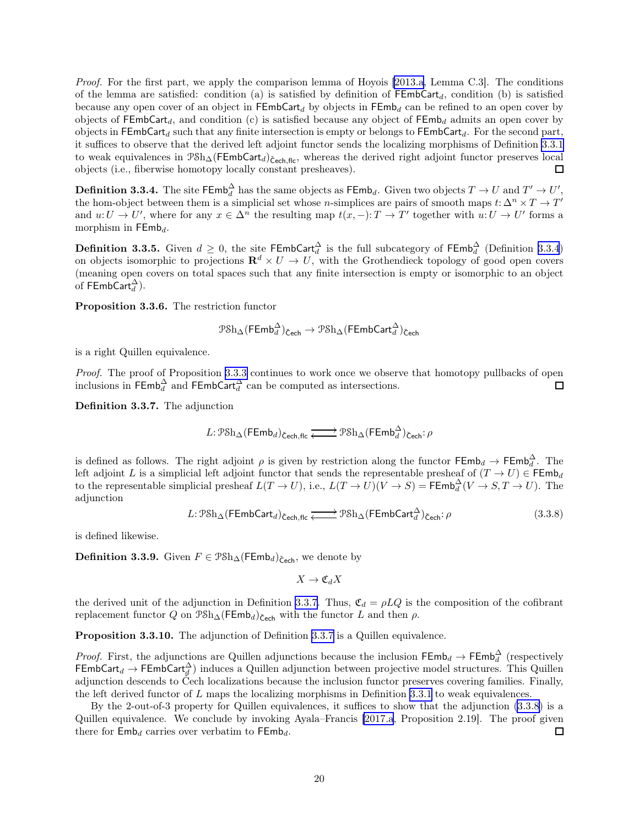<span id="page-19-0"></span>Proof. For the first part, we apply the comparison lemma of Hoyois [\[2013.a,](#page-63-0) Lemma C.3]. The conditions of the lemma are satisfied: condition (a) is satisfied by definition of  $\mathsf{FEmbCart}_{d}$ , condition (b) is satisfied because any open cover of an object in FEmbCart<sub>d</sub> by objects in FEmb<sub>d</sub> can be refined to an open cover by objects of  $FEmbCart_d$ , and condition (c) is satisfied because any object of  $FEmb_d$  admits an open cover by objects in FEmbCart<sub>d</sub> such that any finite intersection is empty or belongs to FEmbCart<sub>d</sub>. For the second part, it suffices to observe that the derived left adjoint functor sends the localizing morphisms of Definition [3.3.1](#page-18-0) to weak equivalences in  $\mathcal{P}Sh_{\Delta}(\mathsf{FEmbCart}_d)_{\check{\mathsf{Cech}},\mathsf{flc}}$ , whereas the derived right adjoint functor preserves local objects (i.e., fiberwise homotopy locally constant presheaves). 口

**Definition 3.3.4.** The site  $\mathsf{FEmb}_d^\Delta$  has the same objects as  $\mathsf{FEmb}_d.$  Given two objects  $T\to U$  and  $T'\to U',$ the hom-object between them is a simplicial set whose *n*-simplices are pairs of smooth maps  $t: \Delta^n \times T \to T'$ and  $u: U \to U'$ , where for any  $x \in \Delta^n$  the resulting map  $t(x, -): T \to T'$  together with  $u: U \to U'$  forms a morphism in  $\mathsf{FEmb}_d$ .

**Definition 3.3.5.** Given  $d \ge 0$ , the site  $\mathsf{FEmbCart}_d^\Delta$  is the full subcategory of  $\mathsf{FEmb}_d^\Delta$  (Definition 3.3.4) on objects isomorphic to projections  $\mathbb{R}^d \times U \to U$ , with the Grothendieck topology of good open covers (meaning open covers on total spaces such that any finite intersection is empty or isomorphic to an object of  $\mathsf{FEmbCart}_d^{\Delta}$ ).

Proposition 3.3.6. The restriction functor

$$
\mathcal{P}\mathrm{Sh}_\Delta(\mathsf{FEmb}_d^\Delta)_{\mathsf{Cech}}\rightarrow \mathcal{P}\mathrm{Sh}_\Delta(\mathsf{FEmbCart}_d^\Delta)_{\mathsf{Cech}}
$$

is a right Quillen equivalence.

Proof. The proof of Proposition [3.3.3](#page-18-0) continues to work once we observe that homotopy pullbacks of open inclusions in  $\mathsf{FEmb}_d^{\Delta}$  and  $\mathsf{FEmbCart}_d^{\Delta}$  can be computed as intersections.  $\Box$ 

Definition 3.3.7. The adjunction

$$
L: \mathcal{P} \mathcal{S} \mathbf{h}_{\Delta}(\mathsf{FEmb}_d)_{\mathsf{Cech,flc}} \xrightarrow{\longrightarrow} \mathcal{P} \mathcal{S} \mathbf{h}_{\Delta}(\mathsf{FEmb}_d^{\Delta})_{\mathsf{Cech}} : \rho
$$

is defined as follows. The right adjoint  $\rho$  is given by restriction along the functor  $\mathsf{FEmb}_d \to \mathsf{FEmb}_d^{\Delta}$ . The left adjoint L is a simplicial left adjoint functor that sends the representable presheaf of  $(T \to U) \in \mathsf{FEmb}_d$ to the representable simplicial presheaf  $L(T \to U)$ , i.e.,  $L(T \to U)(V \to S) = \text{FEmb}_d^{\Delta}(V \to S, T \to U)$ . The adjunction

$$
L: \mathcal{P} \mathcal{S} \mathcal{h}_{\Delta}(\mathsf{FEmbCart}_{d})_{\check{\mathsf{Cech}}, \mathsf{flc}} \xrightarrow{\longrightarrow} \mathcal{P} \mathcal{S} \mathcal{h}_{\Delta}(\mathsf{FEmbCart}_{d}^{\Delta})_{\check{\mathsf{Cech}}} : \rho
$$
\n(3.3.8)

is defined likewise.

**Definition 3.3.9.** Given  $F \in \text{PSh}_{\Delta}(\mathsf{FEmb}_d)_{\mathsf{Cech}}$ , we denote by

 $X \to \mathfrak{C}_d X$ 

the derived unit of the adjunction in Definition 3.3.7. Thus,  $\mathfrak{C}_d = \rho LQ$  is the composition of the cofibrant replacement functor Q on  $\mathcal{P} \delta h_{\Delta}(\mathsf{FEmb}_d)_{\mathsf{Cech}}$  with the functor L and then  $\rho$ .

Proposition 3.3.10. The adjunction of Definition 3.3.7 is a Quillen equivalence.

*Proof.* First, the adjunctions are Quillen adjunctions because the inclusion  $\mathsf{FEmb}_d \to \mathsf{FEmb}_d^{\Delta}$  (respectively  $FEmbCart_d \to FEmbCart_d^{\Delta})$  induces a Quillen adjunction between projective model structures. This Quillen adjunction descends to Čech localizations because the inclusion functor preserves covering families. Finally, the left derived functor of  $L$  maps the localizing morphisms in Definition [3.3.1](#page-18-0) to weak equivalences.

By the 2-out-of-3 property for Quillen equivalences, it suffices to show that the adjunction (3.3.8) is a Quillen equivalence. We conclude by invoking Ayala–Francis [\[2017.a](#page-63-0), Proposition 2.19]. The proof given there for  $\mathsf{Emb}_d$  carries over verbatim to  $\mathsf{FEmb}_d$ .  $\Box$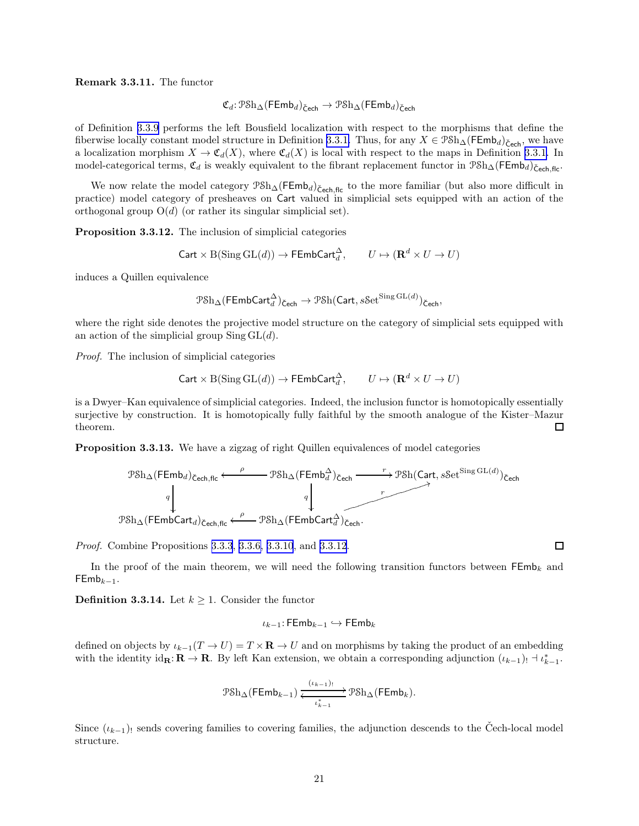#### <span id="page-20-0"></span>Remark 3.3.11. The functor

$$
\mathfrak{C}_d \colon \mathcal{P} \mathrm{Sh}_\Delta(\mathsf{FEmb}_d)_{\mathsf{Cech}} \to \mathcal{P} \mathrm{Sh}_\Delta(\mathsf{FEmb}_d)_{\mathsf{Cech}}
$$

of Definition [3.3.9](#page-19-0) performs the left Bousfield localization with respect to the morphisms that define the fiberwise locally constant model structure in Definition [3.3.1.](#page-18-0) Thus, for any  $X \in \mathcal{P} \mathcal{S} h_\Delta(\mathsf{FEmb}_d)_{\mathsf{Cech}}^{\sim}$ , we have a localization morphism  $X \to \mathfrak{C}_d(X)$ , where  $\mathfrak{C}_d(X)$  is local with respect to the maps in Definition [3.3.1.](#page-18-0) In model-categorical terms,  $\mathfrak{C}_d$  is weakly equivalent to the fibrant replacement functor in  $\mathfrak{P}sh_{\Delta}(\mathsf{FEmb}_d)_{\mathsf{Cech.flc}}$ .

We now relate the model category  $P\delta h_{\Delta}(FEmb_d)_{\check{C}ech,flc}$  to the more familiar (but also more difficult in practice) model category of presheaves on Cart valued in simplicial sets equipped with an action of the orthogonal group  $O(d)$  (or rather its singular simplicial set).

Proposition 3.3.12. The inclusion of simplicial categories

$$
\mathsf{Cart} \times \mathrm{B}(\operatorname{Sing} \mathrm{GL}(d)) \to \mathsf{FEmbCart}_d^\Delta, \qquad U \mapsto (\mathbf{R}^d \times U \to U)
$$

induces a Quillen equivalence

$$
\mathcal{P}\mathrm{Sh}_\Delta(\mathsf{FEmbCart}_d^\Delta)_{\mathsf{Cech}}\rightarrow \mathcal{P}\mathrm{Sh}(\mathsf{Cart},s\mathsf{Set}^{\mathrm{Sing}\,\mathrm{GL}(d)})_{\mathsf{Cech}},
$$

where the right side denotes the projective model structure on the category of simplicial sets equipped with an action of the simplicial group  $\text{Sing } GL(d)$ .

Proof. The inclusion of simplicial categories

$$
\mathsf{Cart} \times \mathrm{B}(\operatorname{Sing} \mathrm{GL}(d)) \to \mathsf{FEmbCart}_d^{\Delta}, \qquad U \mapsto (\mathbf{R}^d \times U \to U)
$$

is a Dwyer–Kan equivalence of simplicial categories. Indeed, the inclusion functor is homotopically essentially surjective by construction. It is homotopically fully faithful by the smooth analogue of the Kister–Mazur theorem.  $\Box$ 

Proposition 3.3.13. We have a zigzag of right Quillen equivalences of model categories



Proof. Combine Propositions [3.3.3](#page-18-0), [3.3.6, 3.3.10](#page-19-0), and 3.3.12.

In the proof of the main theorem, we will need the following transition functors between  $\mathsf{FEmb}_k$  and  $FEmb_{k-1}$ .

**Definition 3.3.14.** Let  $k \geq 1$ . Consider the functor

$$
\iota_{k-1}\colon \mathsf{FEmb}_{k-1}\hookrightarrow \mathsf{FEmb}_k
$$

defined on objects by  $\iota_{k-1}(T \to U) = T \times \mathbf{R} \to U$  and on morphisms by taking the product of an embedding with the identity  $id_{\mathbf{R}}: \mathbf{R} \to \mathbf{R}$ . By left Kan extension, we obtain a corresponding adjunction  $(\iota_{k-1})_! \dashv \iota_{k-1}^*$ .

$$
\mathcal{P} \text{Sh}_{\Delta}(\mathsf{FEmb}_{k-1}) \xleftarrow{\iota_{k-1}} \mathcal{P} \text{Sh}_{\Delta}(\mathsf{FEmb}_k).
$$

Since  $(\iota_{k-1})$  sends covering families to covering families, the adjunction descends to the Cech-local model structure.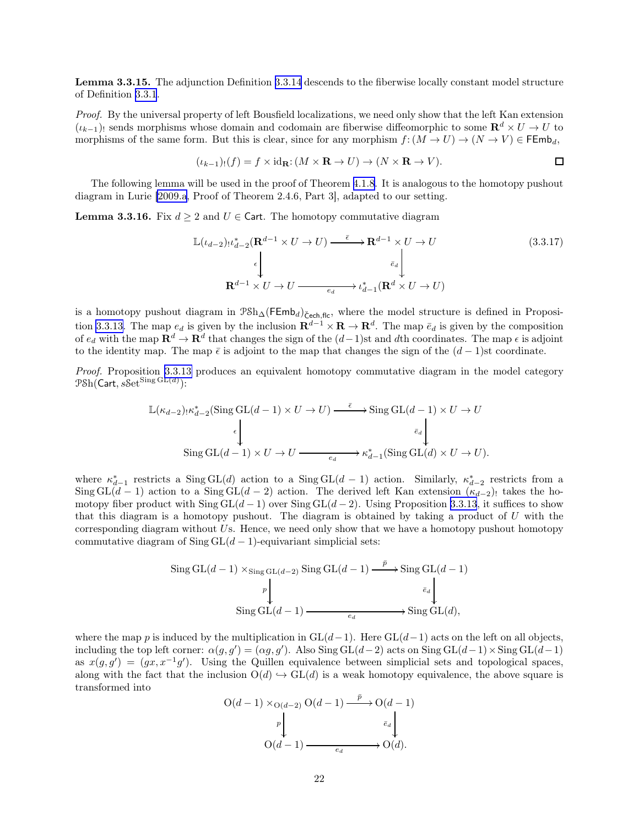<span id="page-21-0"></span>Lemma 3.3.15. The adjunction Definition [3.3.14](#page-20-0) descends to the fiberwise locally constant model structure of Definition [3.3.1](#page-18-0).

Proof. By the universal property of left Bousfield localizations, we need only show that the left Kan extension  $(\iota_{k-1})_!$  sends morphisms whose domain and codomain are fiberwise diffeomorphic to some  $\mathbb{R}^d \times U \to U$  to morphisms of the same form. But this is clear, since for any morphism  $f: (M \to U) \to (N \to V) \in \mathsf{FEmb}_d$ ,

$$
(\iota_{k-1})_!(f) = f \times id_{\mathbf{R}}: (M \times \mathbf{R} \to U) \to (N \times \mathbf{R} \to V).
$$

The following lemma will be used in the proof of Theorem [4.1.8](#page-24-0). It is analogous to the homotopy pushout diagram in Lurie [\[2009.a](#page-62-0), Proof of Theorem 2.4.6, Part 3], adapted to our setting.

**Lemma 3.3.16.** Fix  $d \geq 2$  and  $U \in \text{Cart.}$  The homotopy commutative diagram

$$
\mathbb{L}(\iota_{d-2})\iota_{d-2}^{*}(\mathbf{R}^{d-1} \times U \to U) \xrightarrow{\tilde{\epsilon}} \mathbf{R}^{d-1} \times U \to U
$$
\n
$$
\downarrow \qquad \qquad \downarrow \qquad \qquad (3.3.17)
$$
\n
$$
\mathbf{R}^{d-1} \times U \to U \xrightarrow{\epsilon_d} \iota_{d-1}^{*}(\mathbf{R}^{d} \times U \to U)
$$

is a homotopy pushout diagram in  $\mathcal{P}Sh_{\Delta}(\mathsf{FEmb}_d)_{\mathsf{Cech,flc}}$ , where the model structure is defined in Proposi-tion [3.3.13.](#page-20-0) The map  $e_d$  is given by the inclusion  $\mathbf{R}^{d-1} \times \mathbf{R} \to \mathbf{R}^d$ . The map  $\bar{e}_d$  is given by the composition of  $e_d$  with the map  $\mathbf{R}^d \to \mathbf{R}^d$  that changes the sign of the  $(d-1)$ st and dth coordinates. The map  $\epsilon$  is adjoint to the identity map. The map  $\bar{\epsilon}$  is adjoint to the map that changes the sign of the  $(d-1)$ st coordinate.

Proof. Proposition [3.3.13](#page-20-0) produces an equivalent homotopy commutative diagram in the model category  $\mathcal{PSh}(\mathsf{Cart},s\mathcal{S}\mathrm{et}^{\mathsf{Sing}\,\mathrm{GL}(d)})$ :

$$
\mathbb{L}(\kappa_{d-2})_! \kappa_{d-2}^* (\text{Sing GL}(d-1) \times U \to U) \xrightarrow{\bar{\epsilon}} \text{Sing GL}(d-1) \times U \to U
$$
\n
$$
\begin{array}{c} \epsilon \\ \downarrow \\ \text{Sing GL}(d-1) \times U \to U \xrightarrow{\bar{\epsilon}_d} \downarrow \\ \end{array}
$$
\n
$$
\text{Sing GL}(d-1) \times U \to U \xrightarrow{\bar{\epsilon}_d} \kappa_{d-1}^* (\text{Sing GL}(d) \times U \to U).
$$

where  $\kappa_{d-1}^*$  restricts a  $\text{Sing } GL(d)$  action to a  $\text{Sing } GL(d-1)$  action. Similarly,  $\kappa_{d-2}^*$  restricts from a Sing GL(d − 1) action to a Sing GL(d − 2) action. The derived left Kan extension  $(\kappa_{d-2})_!$  takes the homotopy fiber product with Sing  $GL(d-1)$  over Sing  $GL(d-2)$ . Using Proposition [3.3.13](#page-20-0), it suffices to show that this diagram is a homotopy pushout. The diagram is obtained by taking a product of  $U$  with the corresponding diagram without  $U$ s. Hence, we need only show that we have a homotopy pushout homotopy commutative diagram of  $\text{Sing } GL(d-1)$ -equivariant simplicial sets:

$$
\begin{aligned} \text{Sing GL}(d-1) \times_{\text{Sing GL}(d-2)} \text{Sing GL}(d-1) &\xrightarrow{\bar{p}} \text{Sing GL}(d-1) \\ &\downarrow \downarrow \\ \text{Sing GL}(d-1) &\xrightarrow{e_d} \text{Sing GL}(d), \end{aligned}
$$

where the map p is induced by the multiplication in  $GL(d-1)$ . Here  $GL(d-1)$  acts on the left on all objects, including the top left corner:  $\alpha(g, g') = (\alpha g, g')$ . Also Sing GL $(d-2)$  acts on Sing GL $(d-1) \times$ Sing GL $(d-1)$ as  $x(g, g') = (gx, x^{-1}g')$ . Using the Quillen equivalence between simplicial sets and topological spaces, along with the fact that the inclusion  $O(d) \hookrightarrow GL(d)$  is a weak homotopy equivalence, the above square is transformed into

$$
O(d-1) \times_{O(d-2)} O(d-1) \xrightarrow{\bar{p}} O(d-1)
$$
  
\n
$$
p \downarrow \qquad \qquad \bar{e}_d \downarrow
$$
  
\n
$$
O(d-1) \xrightarrow{\bar{e}_d} O(d).
$$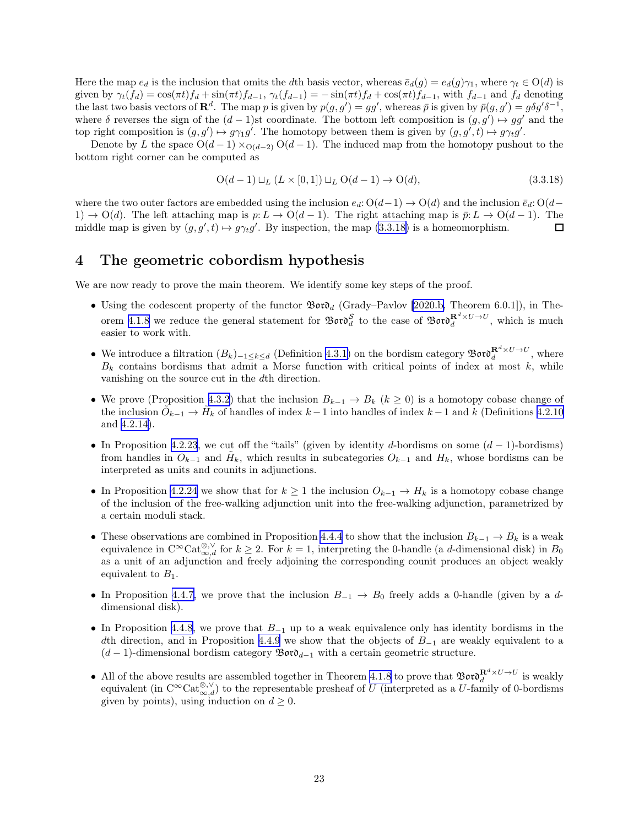<span id="page-22-0"></span>Here the map  $e_d$  is the inclusion that omits the dth basis vector, whereas  $\bar{e}_d(q) = e_d(q)\gamma_1$ , where  $\gamma_t \in O(d)$  is given by  $\gamma_t(f_d) = \cos(\pi t) f_d + \sin(\pi t) f_{d-1}, \gamma_t(f_{d-1}) = -\sin(\pi t) f_d + \cos(\pi t) f_{d-1},$  with  $f_{d-1}$  and  $f_d$  denoting the last two basis vectors of  $\mathbb{R}^d$ . The map p is given by  $p(g, g') = gg'$ , whereas  $\bar{p}$  is given by  $\bar{p}(g, g') = g\delta g'\delta^{-1}$ , where  $\delta$  reverses the sign of the  $(d-1)$ st coordinate. The bottom left composition is  $(g, g') \mapsto gg'$  and the top right composition is  $(g, g') \mapsto g\gamma_1 g'$ . The homotopy between them is given by  $(g, g', t) \mapsto g\gamma_t g'$ .

Denote by L the space  $O(d-1) \times_{O(d-2)} O(d-1)$ . The induced map from the homotopy pushout to the bottom right corner can be computed as

$$
O(d-1) \sqcup_L (L \times [0,1]) \sqcup_L O(d-1) \to O(d), \tag{3.3.18}
$$

where the two outer factors are embedded using the inclusion  $e_d$ :  $O(d-1) \rightarrow O(d)$  and the inclusion  $\bar{e}_d$ :  $O(d-1)$  $1) \rightarrow O(d)$ . The left attaching map is  $p: L \rightarrow O(d-1)$ . The right attaching map is  $\bar{p}: L \rightarrow O(d-1)$ . The middle map is given by  $(g, g', t) \mapsto g \gamma_t g'$ . By inspection, the map  $(3.3.18)$  is a homeomorphism.  $\Box$ 

### 4 The geometric cobordism hypothesis

We are now ready to prove the main theorem. We identify some key steps of the proof.

- Using the codescent property of the functor  $\mathfrak{B}$ or $\mathfrak{d}_d$  (Grady–Pavlov [\[2020.b,](#page-63-0) Theorem 6.0.1]), in The-orem [4.1.8](#page-24-0) we reduce the general statement for  $\mathfrak{B}ov\delta_d^S$  to the case of  $\mathfrak{B}ov\delta_d^{\mathbf{R}^d\times U\to U}$ , which is much easier to work with.
- We introduce a filtration  $(B_k)_{-1 \leq k \leq d}$  (Definition [4.3.1\)](#page-45-0) on the bordism category  $\mathfrak{B}$ oro $\mathfrak{F}_{d}^{d} \times U \to U$ , where  $B_k$  contains bordisms that admit a Morse function with critical points of index at most k, while vanishing on the source cut in the dth direction.
- We prove (Proposition [4.3.2](#page-46-0)) that the inclusion  $B_{k-1} \to B_k$   $(k \geq 0)$  is a homotopy cobase change of the inclusion  $\tilde{O}_{k-1} \to \tilde{H}_k$  of handles of index  $k-1$  into handles of index  $k-1$  and k (Definitions [4.2.10](#page-36-0)) and [4.2.14\)](#page-37-0).
- In Proposition [4.2.23](#page-41-0), we cut off the "tails" (given by identity d-bordisms on some  $(d-1)$ -bordisms) from handles in  $\tilde{O}_{k-1}$  and  $\tilde{H}_k$ , which results in subcategories  $O_{k-1}$  and  $H_k$ , whose bordisms can be interpreted as units and counits in adjunctions.
- In Proposition [4.2.24](#page-43-0) we show that for  $k \geq 1$  the inclusion  $O_{k-1} \to H_k$  is a homotopy cobase change of the inclusion of the free-walking adjunction unit into the free-walking adjunction, parametrized by a certain moduli stack.
- These observations are combined in Proposition [4.4.4](#page-50-0) to show that the inclusion  $B_{k-1} \to B_k$  is a weak equivalence in  $C^{\infty}$ Cat<sup>⊗, $\vee$ </sup> for  $k \geq 2$ . For  $k = 1$ , interpreting the 0-handle (a d-dimensional disk) in  $B_0$ as a unit of an adjunction and freely adjoining the corresponding counit produces an object weakly equivalent to  $B_1$ .
- In Proposition [4.4.7,](#page-51-0) we prove that the inclusion  $B_{-1} \to B_0$  freely adds a 0-handle (given by a ddimensional disk).
- In Proposition [4.4.8,](#page-52-0) we prove that  $B_{-1}$  up to a weak equivalence only has identity bordisms in the dth direction, and in Proposition [4.4.9](#page-53-0) we show that the objects of  $B_{-1}$  are weakly equivalent to a  $(d-1)$ -dimensional bordism category  $\mathfrak{B}$ or $\mathfrak{d}_{d-1}$  with a certain geometric structure.
- All of the above results are assembled together in Theorem [4.1.8](#page-24-0) to prove that  $\mathfrak{B}$ oro $\mathfrak{d}^{\mathbf{R}^d \times U \to U}_d$  is weakly equivalent (in  $C^{\infty}$ Cat $_{\infty,d}^{\otimes,\vee}$ ) to the representable presheaf of U (interpreted as a U-family of 0-bordisms given by points), using induction on  $d \geq 0$ .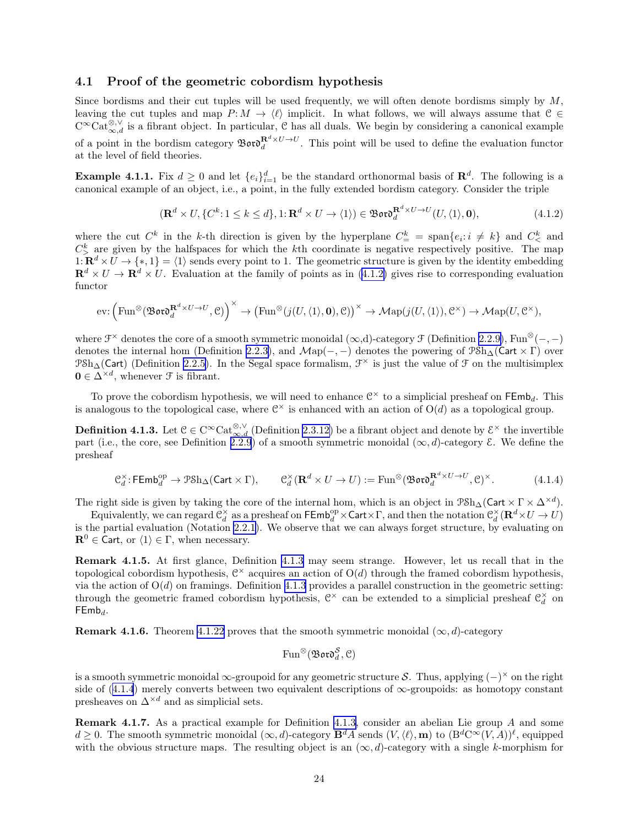#### <span id="page-23-0"></span>4.1 Proof of the geometric cobordism hypothesis

Since bordisms and their cut tuples will be used frequently, we will often denote bordisms simply by  $M$ , leaving the cut tuples and map  $P: M \to \langle \ell \rangle$  implicit. In what follows, we will always assume that  $C \in$  $C^{\infty}$ Cat<sup>⊗, v</sup> is a fibrant object. In particular, C has all duals. We begin by considering a canonical example of a point in the bordism category  $\mathfrak{B}ov\mathfrak{d}^{\mathbf{R}^d\times U\to U}_{d}$ . This point will be used to define the evaluation functor at the level of field theories.

**Example 4.1.1.** Fix  $d \geq 0$  and let  $\{e_i\}_{i=1}^d$  be the standard orthonormal basis of  $\mathbb{R}^d$ . The following is a canonical example of an object, i.e., a point, in the fully extended bordism category. Consider the triple

$$
(\mathbf{R}^d \times U, \{C^k : 1 \le k \le d\}, 1; \mathbf{R}^d \times U \to \langle 1 \rangle) \in \mathfrak{B}\mathfrak{ord}_d^{\mathbf{R}^d \times U \to U}(U, \langle 1 \rangle, \mathbf{0}),\tag{4.1.2}
$$

where the cut  $C^k$  in the k-th direction is given by the hyperplane  $C^k$  = span $\{e_i : i \neq k\}$  and  $C^k$  and  $C_{\geq}^{k}$  are given by the halfspaces for which the kth coordinate is negative respectively positive. The map  $1: \mathbf{R}^d \times \widetilde{U} \to \{*,1\} = \langle 1 \rangle$  sends every point to 1. The geometric structure is given by the identity embedding  $\mathbf{R}^d \times U \to \mathbf{R}^d \times U$ . Evaluation at the family of points as in (4.1.2) gives rise to corresponding evaluation functor

$$
\mathrm{ev}\colon \Big(\mathrm{Fun}^{\otimes}(\mathfrak{B}\mathfrak{o}\mathfrak{r}\mathfrak{o}^{\mathbf{R}^d\times U\to U}_{d},\mathcal{C})\Big)^{\times}\to \big(\mathrm{Fun}^{\otimes}(j(U,\langle 1\rangle,\mathbf{0}),\mathcal{C})\big)^{\times}\to \mathcal{M}\mathrm{ap}(j(U,\langle 1\rangle),\mathcal{C}^{\times})\to \mathcal{M}\mathrm{ap}(U,\mathcal{C}^{\times}),
$$

where  $\mathcal{F}^{\times}$  denotes the core of a smooth symmetric monoidal  $(\infty,d)$ -category  $\mathcal{F}$  (Definition [2.2.9\)](#page-9-0), Fun<sup>⊗</sup>(-,-) denotes the internal hom (Definition [2.2.3\)](#page-8-0), and  $\mathcal{M}ap(-, -)$  denotes the powering of  $\mathcal{P}Sh_{\Delta}(\mathsf{Cart} \times \Gamma)$  over  $P\text{Sh}_{\Delta}(\text{Cart})$  (Definition [2.2.5\)](#page-8-0). In the Segal space formalism,  $\mathcal{F}^{\times}$  is just the value of  $\mathcal{F}$  on the multisimplex  $\mathbf{0} \in \Delta^{\times d}$ , whenever  $\mathcal F$  is fibrant.

To prove the cobordism hypothesis, we will need to enhance  $\mathcal{C}^{\times}$  to a simplicial presheaf on FEmb<sub>d</sub>. This is analogous to the topological case, where  $\mathcal{C}^{\times}$  is enhanced with an action of  $O(d)$  as a topological group.

**Definition 4.1.3.** Let  $\mathcal{C} \in \mathrm{C}^{\infty} \mathrm{Cat}_{\infty,d}^{\otimes,\vee}$  (Definition [2.3.12\)](#page-12-0) be a fibrant object and denote by  $\mathcal{E}^{\times}$  the invertible part (i.e., the core, see Definition [2.2.9](#page-9-0)) of a smooth symmetric monoidal  $(\infty, d)$ -category  $\mathcal E$ . We define the presheaf

$$
\mathcal{C}_d^{\times} : \mathsf{FEmb}_d^{\mathsf{op}} \to \mathcal{P} \mathcal{S} \mathsf{h}_{\Delta}(\mathsf{Cart} \times \Gamma), \qquad \mathcal{C}_d^{\times}(\mathbf{R}^d \times U \to U) := \mathrm{Fun}^{\otimes}(\mathfrak{B} \mathfrak{o} \mathfrak{r} \mathfrak{d}_d^{\mathbf{R}^d \times U \to U}, \mathcal{C})^{\times}.
$$
 (4.1.4)

The right side is given by taking the core of the internal hom, which is an object in  $\Re \mathbb{A}(\mathsf{Cart} \times \Gamma \times \Delta^{\times d})$ .

Equivalently, we can regard  $\mathfrak{C}^{\times}_d$  as a presheaf on  $\mathsf{FEmb}_d^{\rm op}\times \mathsf{Cart}\times \Gamma$ , and then the notation  $\mathfrak{C}^{\times}_d(\mathbf{R}^d\times U\to U)$ is the partial evaluation (Notation [2.2.1\)](#page-7-0). We observe that we can always forget structure, by evaluating on  $\mathbf{R}^0 \in \text{Cart}, \text{ or } \langle 1 \rangle \in \Gamma$ , when necessary.

Remark 4.1.5. At first glance, Definition 4.1.3 may seem strange. However, let us recall that in the topological cobordism hypothesis,  $\mathbb{C}^{\times}$  acquires an action of  $O(d)$  through the framed cobordism hypothesis, via the action of  $O(d)$  on framings. Definition 4.1.3 provides a parallel construction in the geometric setting: through the geometric framed cobordism hypothesis,  $\mathcal{C}^{\times}$  can be extended to a simplicial presheaf  $\mathcal{C}_d^{\times}$  on  $FEmb_d$ .

**Remark 4.1.6.** Theorem [4.1.22](#page-28-0) proves that the smooth symmetric monoidal  $(\infty, d)$ -category

$$
\text{Fun}^{\otimes}(\mathfrak{B}\mathfrak{o}\mathfrak{r}\mathfrak{d}^{\mathcal{S}}_d, \mathcal{C})
$$

is a smooth symmetric monoidal  $\infty$ -groupoid for any geometric structure S. Thus, applying  $(-)^{\times}$  on the right side of  $(4.1.4)$  merely converts between two equivalent descriptions of  $\infty$ -groupoids: as homotopy constant presheaves on  $\Delta^{\times d}$  and as simplicial sets.

Remark 4.1.7. As a practical example for Definition 4.1.3, consider an abelian Lie group A and some  $d \geq 0$ . The smooth symmetric monoidal  $(\infty, d)$ -category  $\mathbf{B}^d A$  sends  $(V, \langle \ell \rangle, \mathbf{m})$  to  $(\mathbf{B}^d \mathbf{C}^{\infty}(V, A))^{\ell}$ , equipped with the obvious structure maps. The resulting object is an  $(\infty, d)$ -category with a single k-morphism for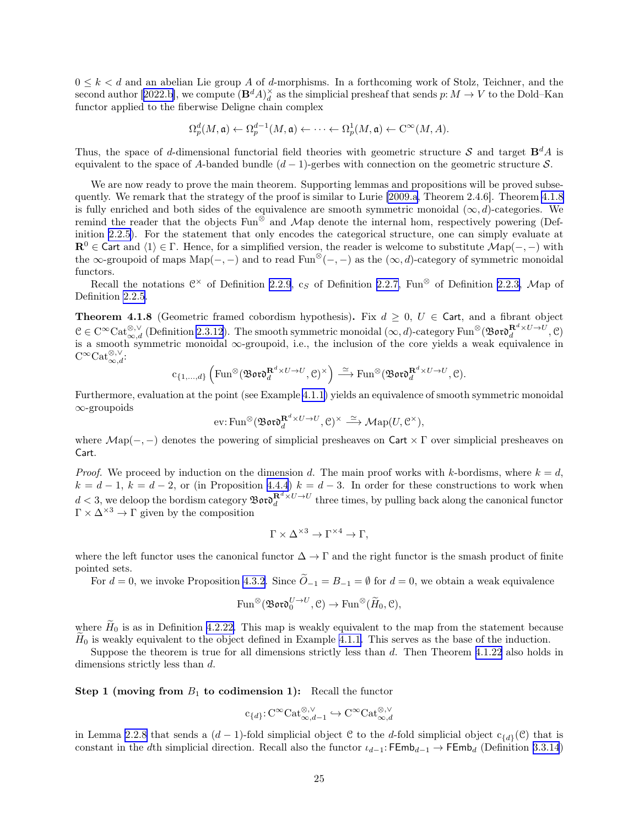<span id="page-24-0"></span> $0 \leq k \leq d$  and an abelian Lie group A of d-morphisms. In a forthcoming work of Stolz, Teichner, and the secondauthor [[2022.b\]](#page-63-0), we compute  $(\mathbf{B}^d A)^{\times}_d$  as the simplicial presheaf that sends  $p: M \to V$  to the Dold–Kan functor applied to the fiberwise Deligne chain complex

$$
\Omega_p^d(M, \mathfrak{a}) \leftarrow \Omega_p^{d-1}(M, \mathfrak{a}) \leftarrow \cdots \leftarrow \Omega_p^1(M, \mathfrak{a}) \leftarrow \mathrm{C}^{\infty}(M, A).
$$

Thus, the space of d-dimensional functorial field theories with geometric structure S and target  $\mathbf{B}^d A$  is equivalent to the space of A-banded bundle  $(d-1)$ -gerbes with connection on the geometric structure S.

We are now ready to prove the main theorem. Supporting lemmas and propositions will be proved subsequently. We remark that the strategy of the proof is similar to Lurie [\[2009.a](#page-62-0), Theorem 2.4.6]. Theorem 4.1.8 is fully enriched and both sides of the equivalence are smooth symmetric monoidal  $(\infty, d)$ -categories. We remind the reader that the objects Fun⊗ and Map denote the internal hom, respectively powering (Definition [2.2.5](#page-8-0)). For the statement that only encodes the categorical structure, one can simply evaluate at  $\mathbf{R}^0 \in \mathsf{Cart}$  and  $\langle 1 \rangle \in \Gamma$ . Hence, for a simplified version, the reader is welcome to substitute  $\mathcal{M}$ ap $(-, -)$  with the  $\infty$ -groupoid of maps Map(-, -) and to read Fun<sup>⊗</sup>(-, -) as the ( $\infty$ , d)-category of symmetric monoidal functors.

Recall the notations  $\mathbb{C}^{\times}$  of Definition [2.2.9](#page-9-0),  $c_S$  of Definition [2.2.7,](#page-9-0) Fun<sup>⊗</sup> of Definition [2.2.3,](#page-8-0) Map of Definition [2.2.5.](#page-8-0)

**Theorem 4.1.8** (Geometric framed cobordism hypothesis). Fix  $d \geq 0$ ,  $U \in \text{Cart}$ , and a fibrant object  $\mathcal{C} \in \mathrm{C}^{\infty}\mathrm{Cat}_{\infty,d}^{\otimes,\vee}$  (Definition [2.3.12](#page-12-0)). The smooth symmetric monoidal  $(\infty,d)$ -category Fun<sup>⊗</sup>( $\mathfrak{B}$ or $\mathfrak{d}^{\mathbf{R}^d \times U \rightarrow U}_d$ ,  $\mathcal{C}$ ) is a smooth symmetric monoidal ∞-groupoid, i.e., the inclusion of the core yields a weak equivalence in  $C^{\infty} \text{Cat}_{\infty,d}^{\otimes,\vee}$ :

$$
c_{\{1,...,d\}}\left(\mathrm{Fun}^{\otimes}(\mathfrak{B}\mathfrak{o}\mathfrak{r}\mathfrak{d}^{\mathbf{R}^d\times U\to U}_{d},\mathcal{C})^{\times}\right)\xrightarrow{\simeq}\mathrm{Fun}^{\otimes}(\mathfrak{B}\mathfrak{o}\mathfrak{r}\mathfrak{d}^{\mathbf{R}^d\times U\to U}_{d},\mathcal{C}).
$$

Furthermore, evaluation at the point (see Example [4.1.1\)](#page-23-0) yields an equivalence of smooth symmetric monoidal ∞-groupoids

$$
\text{ev:}\operatorname{Fun}^{\otimes}(\mathfrak{B}\mathfrak{o}\mathfrak{r}\mathfrak{d}^{\mathbf{R}^d\times U\to U}_d,\mathfrak{C})^{\times}\xrightarrow{\simeq}\mathcal{M}\mathrm{ap}(U,\mathfrak{C}^{\times}),
$$

where  $Map(-, -)$  denotes the powering of simplicial presheaves on Cart  $\times$  Γ over simplicial presheaves on Cart.

*Proof.* We proceed by induction on the dimension d. The main proof works with k-bordisms, where  $k = d$ ,  $k = d - 1$ ,  $k = d - 2$ , or (in Proposition [4.4.4](#page-50-0))  $k = d - 3$ . In order for these constructions to work when  $d < 3$ , we deloop the bordism category  $\mathfrak{B}$  or  $\mathfrak{d}^{R^d \times U \to U}_d$  three times, by pulling back along the canonical functor  $\Gamma \times \Delta^{\times 3} \rightarrow \Gamma$  given by the composition

$$
\Gamma \times \Delta^{\times 3} \to \Gamma^{\times 4} \to \Gamma,
$$

where the left functor uses the canonical functor  $\Delta \to \Gamma$  and the right functor is the smash product of finite pointed sets.

For  $d = 0$ , we invoke Proposition [4.3.2](#page-46-0). Since  $\widetilde{O}_{-1} = B_{-1} = \emptyset$  for  $d = 0$ , we obtain a weak equivalence

$$
\text{Fun}^{\otimes}(\mathfrak{B}\mathfrak{o}\mathfrak{r}\mathfrak{d}^{U\to U}_0,\mathfrak{C})\to \text{Fun}^{\otimes}(\widetilde{H}_0,\mathfrak{C}),
$$

where  $H_0$  is as in Definition [4.2.22.](#page-40-0) This map is weakly equivalent to the map from the statement because  $H_0$  is weakly equivalent to the object defined in Example [4.1.1.](#page-23-0) This serves as the base of the induction.

Suppose the theorem is true for all dimensions strictly less than d. Then Theorem [4.1.22](#page-28-0) also holds in dimensions strictly less than d.

Step 1 (moving from  $B_1$  to codimension 1): Recall the functor

$$
c_{\{d\}}: C^{\infty} \text{Cat}_{\infty,d-1}^{\otimes,\vee} \hookrightarrow C^{\infty} \text{Cat}_{\infty,d}^{\otimes,\vee}
$$

in Lemma [2.2.8](#page-9-0) that sends a  $(d-1)$ -fold simplicial object C to the d-fold simplicial object  $c_{\{d\}}(\mathcal{C})$  that is constant in the dth simplicial direction. Recall also the functor  $\iota_{d-1}$ : FEmb $_{d-1} \to$  FEmb<sub>d</sub> (Definition [3.3.14](#page-20-0))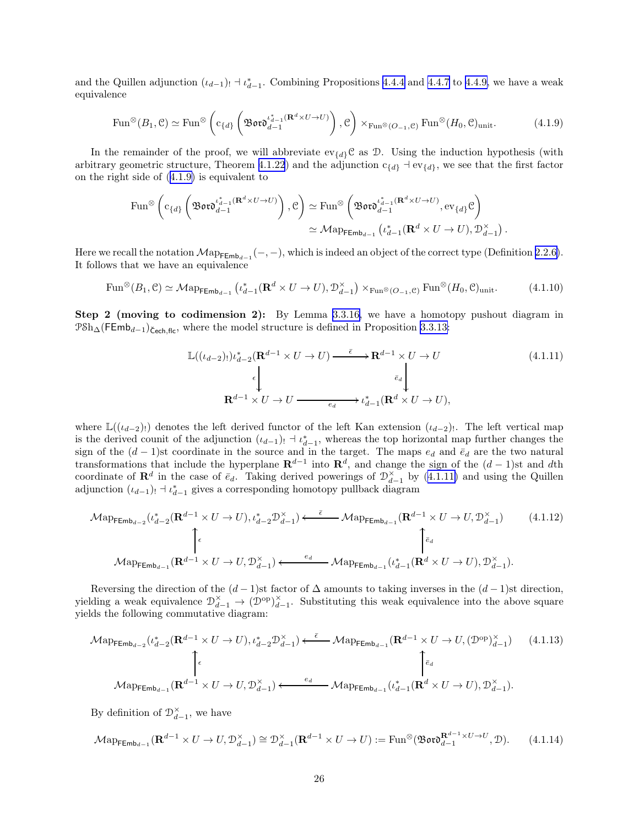<span id="page-25-0"></span>and the Quillen adjunction  $(\iota_{d-1})_! \dashv \iota_{d-1}^*$ . Combining Propositions [4.4.4](#page-50-0) and [4.4.7](#page-51-0) to [4.4.9,](#page-53-0) we have a weak equivalence

$$
\operatorname{Fun}^{\otimes}(B_1, \mathcal{C}) \simeq \operatorname{Fun}^{\otimes}\left(c_{\{d\}}\left(\mathfrak{B}\mathfrak{ord}_{d-1}^{\iota_{d-1}^* (\mathbf{R}^d \times U \to U)}\right), \mathcal{C}\right) \times_{\operatorname{Fun}^{\otimes}(O_{-1}, \mathcal{C})} \operatorname{Fun}^{\otimes}(H_0, \mathcal{C})_{\text{unit}}.\tag{4.1.9}
$$

In the remainder of the proof, we will abbreviate  $ev_{\{d\}}C$  as D. Using the induction hypothesis (with arbitrary geometric structure, Theorem [4.1.22](#page-28-0)) and the adjunction  $c_{\{d\}} \dashv ev_{\{d\}}$ , we see that the first factor on the right side of (4.1.9) is equivalent to

$$
\begin{split} \operatorname{Fun}^{\otimes}\left(c_{\{d\}}\left(\mathfrak{B}\mathfrak{ord}_{d-1}^{i_{d-1}^*(\mathbf{R}^d\times U\to U)}\right), \mathcal{C}\right) &\simeq \operatorname{Fun}^{\otimes}\left(\mathfrak{B}\mathfrak{ord}_{d-1}^{i_{d-1}^*(\mathbf{R}^d\times U\to U)}, \operatorname{ev}_{\{d\}}\mathcal{C}\right) \\ &\simeq \mathcal{M}\mathrm{ap}_{\mathsf{FEmb}_{d-1}}\left(\iota_{d-1}^*(\mathbf{R}^d\times U\to U), \mathcal{D}_{d-1}^\times\right). \end{split}
$$

Here we recall the notation  $\mathcal{M}ap_{\mathsf{FEmb}_{d-1}}(-,-)$ , which is indeed an object of the correct type (Definition [2.2.6\)](#page-8-0). It follows that we have an equivalence

$$
\text{Fun}^{\otimes}(B_1, \mathcal{C}) \simeq \mathcal{M}\text{ap}_{\text{FEmb}_{d-1}}\left(\iota_{d-1}^* (\mathbf{R}^d \times U \to U), \mathcal{D}_{d-1}^\times\right) \times_{\text{Fun}^{\otimes}(O_{-1}, \mathcal{C})} \text{Fun}^{\otimes}(H_0, \mathcal{C})_{\text{unit}}.\tag{4.1.10}
$$

Step 2 (moving to codimension 2): By Lemma [3.3.16,](#page-21-0) we have a homotopy pushout diagram in  $P\delta h_{\Delta}(\mathsf{FEmb}_{d-1})_{\check{\mathsf{Cech},\mathsf{flc}}},$  where the model structure is defined in Proposition [3.3.13:](#page-20-0)

$$
\mathbb{L}((\iota_{d-2}))\iota_{d-2}^{*}(\mathbf{R}^{d-1} \times U \to U) \xrightarrow{\tilde{\epsilon}} \mathbf{R}^{d-1} \times U \to U
$$
\n
$$
\downarrow \qquad \qquad \downarrow \qquad \qquad \downarrow \qquad \qquad (4.1.11)
$$
\n
$$
\mathbf{R}^{d-1} \times U \to U \xrightarrow{\epsilon_d} \iota_{d-1}^{*}(\mathbf{R}^{d} \times U \to U),
$$

where  $\mathbb{L}((\iota_{d-2})_!)$  denotes the left derived functor of the left Kan extension  $(\iota_{d-2})_!$ . The left vertical map is the derived counit of the adjunction  $(\iota_{d-1})_! \dashv \iota_{d-1}^*$ , whereas the top horizontal map further changes the sign of the  $(d-1)$ st coordinate in the source and in the target. The maps  $e_d$  and  $\bar{e}_d$  are the two natural transformations that include the hyperplane  $\mathbf{R}^{d-1}$  into  $\mathbf{R}^d$ , and change the sign of the  $(d-1)$ st and dth coordinate of  $\mathbf{R}^d$  in the case of  $\bar{e}_d$ . Taking derived powerings of  $\mathcal{D}_{d-1}^{\times}$  by (4.1.11) and using the Quillen adjunction  $(\iota_{d-1})_! \dashv \iota_{d-1}^*$  gives a corresponding homotopy pullback diagram

$$
\mathcal{M}\text{app}_{\mathsf{FEmb}_{d-2}}(\iota_{d-2}^{*}(\mathbf{R}^{d-1} \times U \to U), \iota_{d-2}^{*}\mathcal{D}_{d-1}^{\times}) \xleftarrow{\bar{\epsilon}} \mathcal{M}\text{app}_{\mathsf{Emb}_{d-1}}(\mathbf{R}^{d-1} \times U \to U, \mathcal{D}_{d-1}^{\times})
$$
\n
$$
\uparrow_{\epsilon}
$$
\n
$$
\mathcal{M}\text{app}_{\mathsf{Emb}_{d-1}}(\mathbf{R}^{d-1} \times U \to U, \mathcal{D}_{d-1}^{\times}) \xleftarrow{e_d} \mathcal{M}\text{app}_{\mathsf{Emb}_{d-1}}(\iota_{d-1}^{*}(\mathbf{R}^{d} \times U \to U), \mathcal{D}_{d-1}^{\times}).
$$
\n
$$
(4.1.12)
$$

Reversing the direction of the  $(d-1)$ st factor of  $\Delta$  amounts to taking inverses in the  $(d-1)$ st direction, yielding a weak equivalence  $\mathcal{D}_{d-1}^{\times} \to (\mathcal{D}^{\text{op}})_{d-1}^{\times}$ . Substituting this weak equivalence into the above square yields the following commutative diagram:

$$
\mathcal{M}\text{app}_{\mathsf{FEmb}_{d-2}}(\iota_{d-2}^{*}(\mathbf{R}^{d-1} \times U \to U), \iota_{d-2}^{*}\mathcal{D}_{d-1}^{\times}) \xleftarrow{\bar{\epsilon}} \mathcal{M}\text{app}_{\mathsf{FEmb}_{d-1}}(\mathbf{R}^{d-1} \times U \to U, (\mathcal{D}^{\text{op}})_{d-1}^{\times})
$$
(4.1.13)  
\n
$$
\uparrow_{\bar{\epsilon}_{d}}
$$
\n
$$
\mathcal{M}\text{app}_{\mathsf{FEmb}_{d-1}}(\mathbf{R}^{d-1} \times U \to U, \mathcal{D}_{d-1}^{\times}) \xleftarrow{e_{d}} \mathcal{M}\text{app}_{\mathsf{FEmb}_{d-1}}(\iota_{d-1}^{*}(\mathbf{R}^{d} \times U \to U), \mathcal{D}_{d-1}^{\times}).
$$

By definition of  $\mathcal{D}_{d-1}^{\times}$ , we have

$$
\mathcal{M}\text{ap}_{\mathsf{FEmb}_{d-1}}(\mathbf{R}^{d-1} \times U \to U, \mathcal{D}_{d-1}^{\times}) \cong \mathcal{D}_{d-1}^{\times}(\mathbf{R}^{d-1} \times U \to U) := \text{Fun}^{\otimes}(\mathfrak{Bor} \mathfrak{d}_{d-1}^{R^{d-1} \times U \to U}, \mathcal{D}).\tag{4.1.14}
$$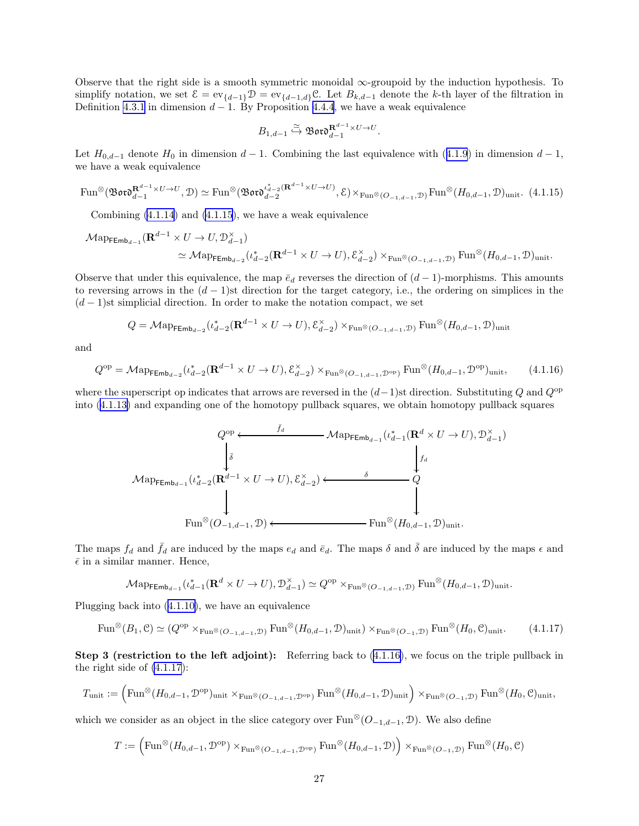Observe that the right side is a smooth symmetric monoidal  $\infty$ -groupoid by the induction hypothesis. To simplify notation, we set  $\mathcal{E} = \text{ev}_{\{d-1\}} \mathcal{D} = \text{ev}_{\{d-1,d\}} \mathcal{C}$ . Let  $B_{k,d-1}$  denote the k-th layer of the filtration in Definition [4.3.1](#page-45-0) in dimension  $d-1$ . By Proposition [4.4.4](#page-50-0), we have a weak equivalence

$$
B_{1,d-1} \overset{\simeq}{\hookrightarrow} \mathfrak{B}\mathfrak{ord}_{d-1}^{\mathbf{R}^{d-1} \times U \to U}.
$$

Let  $H_{0,d-1}$  denote  $H_0$  in dimension  $d-1$ . Combining the last equivalence with ([4.1.9](#page-25-0)) in dimension  $d-1$ , we have a weak equivalence

$$
\operatorname{Fun}^{\otimes}(\mathfrak{B}\mathfrak{ord}_{d-1}^{\mathbf{R}^{d-1}\times U\to U},\mathcal{D})\simeq \operatorname{Fun}^{\otimes}(\mathfrak{B}\mathfrak{ord}_{d-2}^{\iota_{d-2}^*({\mathbf{R}^{d-1}\times U\to U})},\mathcal{E})\times_{\operatorname{Fun}^{\otimes}(O_{-1,d-1},\mathcal{D})}\operatorname{Fun}^{\otimes}(H_{0,d-1},\mathcal{D})_{\text{unit}}.\tag{4.1.15}
$$

Combining  $(4.1.14)$  $(4.1.14)$  and  $(4.1.15)$ , we have a weak equivalence

$$
\begin{split} \mathcal{M}\mathrm{app}_{\mathsf{FEmb}_{d-1}}(\mathbf{R}^{d-1}\times U\to U, \mathcal{D}^{\times}_{d-1})\\ &\simeq \mathcal{M}\mathrm{app}_{\mathsf{FEmb}_{d-2}}(\iota_{d-2}^{*}(\mathbf{R}^{d-1}\times U\to U), \mathcal{E}^{\times}_{d-2})\times_{\mathrm{Fun}^{\otimes}(O_{-1,d-1},\mathcal{D})}\mathrm{Fun}^{\otimes}(H_{0,d-1},\mathcal{D})_{\mathrm{unit}}. \end{split}
$$

Observe that under this equivalence, the map  $\bar{e}_d$  reverses the direction of  $(d-1)$ -morphisms. This amounts to reversing arrows in the  $(d-1)$ st direction for the target category, i.e., the ordering on simplices in the  $(d-1)$ st simplicial direction. In order to make the notation compact, we set

$$
Q = \mathcal{M} \text{app}_{\mathsf{Emb}_{d-2}}(\iota_{d-2}^*(\mathbf{R}^{d-1} \times U \to U), \mathcal{E}_{d-2}^{\times}) \times_{\text{Fun}^{\otimes}(O_{-1,d-1}, \mathcal{D})} \text{Fun}^{\otimes}(H_{0,d-1}, \mathcal{D})_{\text{unit}}
$$

and

$$
Q^{\rm op} = \mathcal{M}\text{ap}_{\mathsf{FEmb}_{d-2}}(\iota_{d-2}^*(\mathbf{R}^{d-1} \times U \to U), \mathcal{E}_{d-2}^{\times}) \times_{\text{Fun}^{\otimes}(O_{-1,d-1}, \mathcal{D}^{\rm op})} \text{Fun}^{\otimes}(H_{0,d-1}, \mathcal{D}^{\rm op})_{\text{unit}},\tag{4.1.16}
$$

where the superscript op indicates that arrows are reversed in the  $(d-1)$ st direction. Substituting Q and Q<sup>op</sup> into [\(4.1.13\)](#page-25-0) and expanding one of the homotopy pullback squares, we obtain homotopy pullback squares

$$
Q^{\text{op}} \xleftarrow{\overline{f}_d} \text{Map}_{\mathsf{FEmb}_{d-1}}(\iota_{d-1}^* (\mathbf{R}^d \times U \to U), \mathcal{D}_{d-1}^{\times})
$$
\n
$$
\downarrow \qquad \qquad \downarrow \qquad \qquad \downarrow
$$
\n
$$
\text{Map}_{\mathsf{FEmb}_{d-1}}(\iota_{d-2}^* (\mathbf{R}^{d-1} \times U \to U), \mathcal{E}_{d-2}^{\times}) \xleftarrow{\delta} \qquad Q
$$
\n
$$
\downarrow \qquad \qquad \downarrow
$$
\n
$$
\text{Fun}^{\otimes} (O_{-1,d-1}, \mathcal{D}) \xleftarrow{\bullet} \text{Fun}^{\otimes} (H_{0,d-1}, \mathcal{D})_{\text{unit}}.
$$

The maps  $f_d$  and  $\bar{f}_d$  are induced by the maps  $e_d$  and  $\bar{e}_d$ . The maps  $\delta$  and  $\bar{\delta}$  are induced by the maps  $\epsilon$  and  $\bar{\epsilon}$  in a similar manner. Hence,

$$
\mathcal{M}\mathrm{app}_{\mathsf{FEmb}_{d-1}}(\iota_{d-1}^*(\mathbf{R}^d \times U \to U), \mathcal{D}_{d-1}^{\times}) \simeq Q^{\mathrm{op}} \times_{\mathrm{Fun}^{\otimes}(O_{-1,d-1}, \mathcal{D})} \mathrm{Fun}^{\otimes}(H_{0,d-1}, \mathcal{D})_{\mathrm{unit}}.
$$

Plugging back into ([4.1.10\)](#page-25-0), we have an equivalence

$$
\text{Fun}^{\otimes}(B_1, \mathcal{C}) \simeq (Q^{\text{op}} \times_{\text{Fun}^{\otimes}(O_{-1}, d_{-1}, \mathcal{D})} \text{Fun}^{\otimes}(H_{0, d-1}, \mathcal{D})_{\text{unit}}) \times_{\text{Fun}^{\otimes}(O_{-1}, \mathcal{D})} \text{Fun}^{\otimes}(H_0, \mathcal{C})_{\text{unit}}.
$$
 (4.1.17)

Step 3 (restriction to the left adjoint): Referring back to (4.1.16), we focus on the triple pullback in the right side of (4.1.17):

$$
T_{\mathrm{unit}} := \left( \mathrm{Fun}^{\otimes} (H_{0, d-1}, \mathcal{D}^{\mathrm{op}})_{\mathrm{unit}} \times_{\mathrm{Fun}^{\otimes} (O_{-1, d-1}, \mathcal{D}^{\mathrm{op}})} \mathrm{Fun}^{\otimes} (H_{0, d-1}, \mathcal{D})_{\mathrm{unit}} \right) \times_{\mathrm{Fun}^{\otimes} (O_{-1}, \mathcal{D})} \mathrm{Fun}^{\otimes} (H_0, \mathcal{C})_{\mathrm{unit}},
$$

which we consider as an object in the slice category over  $\text{Fun}^{\otimes}(\mathcal{O}_{-1,d-1}, \mathcal{D})$ . We also define

$$
T:=\left(\mathrm{Fun}^{\otimes} (H_{0,d-1}, \mathcal{D}^{\mathrm{op}})\times_{\mathrm{Fun}^{\otimes} (O_{-1,d-1}, \mathcal{D}^{\mathrm{op}})} \mathrm{Fun}^{\otimes} (H_{0,d-1}, \mathcal{D})\right) \times_{\mathrm{Fun}^{\otimes} (O_{-1}, \mathcal{D})} \mathrm{Fun}^{\otimes} (H_0, \mathcal{C})
$$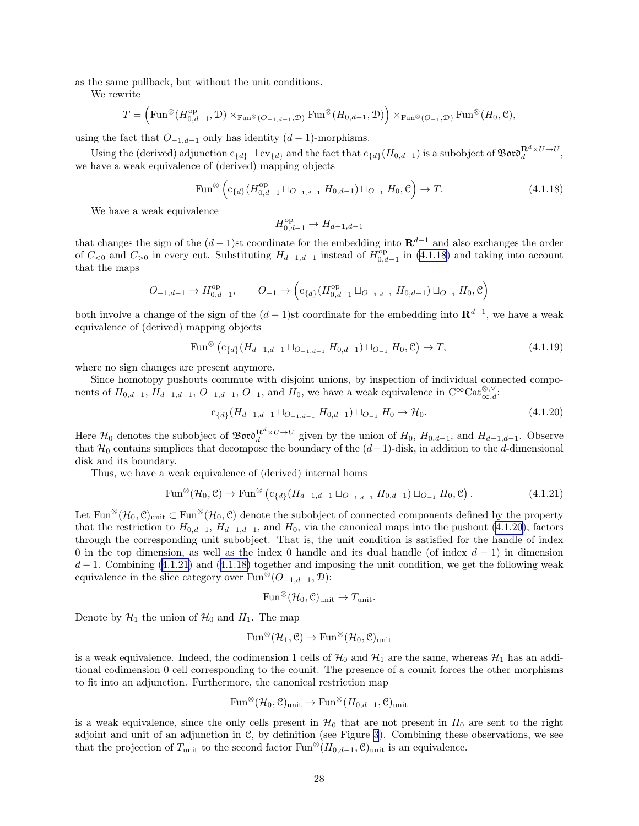as the same pullback, but without the unit conditions.

We rewrite

$$
T = \left( \mathrm{Fun}^{\otimes} (H^{\mathrm{op}}_{0,d-1}, \mathcal{D}) \times_{\mathrm{Fun}^{\otimes} (O_{-1,d-1}, \mathcal{D})} \mathrm{Fun}^{\otimes} (H_{0,d-1}, \mathcal{D}) \right) \times_{\mathrm{Fun}^{\otimes} (O_{-1}, \mathcal{D})} \mathrm{Fun}^{\otimes} (H_0, \mathcal{C}),
$$

using the fact that  $O_{-1,d-1}$  only has identity  $(d-1)$ -morphisms.

Using the (derived) adjunction  $c_{\{d\}} \dashv \mathrm{ev}_{\{d\}}$  and the fact that  $c_{\{d\}}(H_{0,d-1})$  is a subobject of  $\mathfrak{B}$ oro $\mathbb{R}^{d} \times U \to U$ , we have a weak equivalence of (derived) mapping objects

$$
\text{Fun}^{\otimes} \left( c_{\{d\}} (H_{0,d-1}^{\text{op}} \sqcup_{O_{-1,d-1}} H_{0,d-1}) \sqcup_{O_{-1}} H_0, \mathcal{C} \right) \to T. \tag{4.1.18}
$$

We have a weak equivalence

$$
H^{\text{op}}_{0,d-1}\to H_{d-1,d-1}
$$

that changes the sign of the  $(d-1)$ st coordinate for the embedding into  $\mathbf{R}^{d-1}$  and also exchanges the order of  $C_{\leq 0}$  and  $C_{>0}$  in every cut. Substituting  $H_{d-1,d-1}$  instead of  $H_{0,d-1}^{op}$  in (4.1.18) and taking into account that the maps

$$
O_{-1,d-1} \to H^{\rm op}_{0,d-1}, \qquad O_{-1} \to \left( c_{\{d\}}(H^{\rm op}_{0,d-1} \sqcup_{O_{-1,d-1}} H_{0,d-1}) \sqcup_{O_{-1}} H_0, \mathcal{C} \right)
$$

both involve a change of the sign of the  $(d-1)$ st coordinate for the embedding into  $\mathbf{R}^{d-1}$ , we have a weak equivalence of (derived) mapping objects

$$
\text{Fun}^{\otimes} (c_{\{d\}}(H_{d-1,d-1} \sqcup_{O_{-1,d-1}} H_{0,d-1}) \sqcup_{O_{-1}} H_0, \mathcal{C}) \to T,
$$
\n(4.1.19)

where no sign changes are present anymore.

Since homotopy pushouts commute with disjoint unions, by inspection of individual connected components of  $H_{0,d-1}$ ,  $H_{d-1,d-1}$ ,  $O_{-1,d-1}$ ,  $O_{-1}$ , and  $H_0$ , we have a weak equivalence in  $C^{\infty}$ Cat $_{\infty,d}^{\otimes,\vee}$ :

$$
c_{\{d\}}(H_{d-1,d-1} \sqcup_{O_{-1,d-1}} H_{0,d-1}) \sqcup_{O_{-1}} H_0 \to \mathcal{H}_0. \tag{4.1.20}
$$

Here  $\mathcal{H}_0$  denotes the subobject of  $\mathfrak{B}$ or $\mathfrak{d}^{\mathbf{R}^d \times U \to U}_d$  given by the union of  $H_0$ ,  $H_{0,d-1}$ , and  $H_{d-1,d-1}$ . Observe that  $\mathcal{H}_0$  contains simplices that decompose the boundary of the  $(d-1)$ -disk, in addition to the d-dimensional disk and its boundary.

Thus, we have a weak equivalence of (derived) internal homs

$$
\text{Fun}^{\otimes}(\mathcal{H}_0, \mathcal{C}) \to \text{Fun}^{\otimes} (c_{\{d\}}(H_{d-1, d-1} \sqcup_{O_{-1}, d-1} H_{0, d-1}) \sqcup_{O_{-1}} H_0, \mathcal{C}). \tag{4.1.21}
$$

Let Fun<sup>⊗</sup>( $\mathcal{H}_0, \mathcal{C}$ )<sub>unit</sub>  $\subset$  Fun<sup>⊗</sup>( $\mathcal{H}_0, \mathcal{C}$ ) denote the subobject of connected components defined by the property that the restriction to  $H_{0,d-1}$ ,  $H_{d-1,d-1}$ , and  $H_0$ , via the canonical maps into the pushout (4.1.20), factors through the corresponding unit subobject. That is, the unit condition is satisfied for the handle of index 0 in the top dimension, as well as the index 0 handle and its dual handle (of index  $d-1$ ) in dimension  $d-1$ . Combining (4.1.21) and (4.1.18) together and imposing the unit condition, we get the following weak equivalence in the slice category over  $\text{Fun}^{\otimes}(\mathcal{O}_{-1,d-1}, \mathcal{D})$ :

$$
\text{Fun}^{\otimes}(\mathcal{H}_0, \mathcal{C})_{\text{unit}} \to T_{\text{unit}}.
$$

Denote by  $\mathcal{H}_1$  the union of  $\mathcal{H}_0$  and  $H_1$ . The map

$$
\mathrm{Fun}^{\otimes}(\mathcal{H}_1,\mathcal{C}) \to \mathrm{Fun}^{\otimes}(\mathcal{H}_0,\mathcal{C})_{\mathrm{unit}}
$$

is a weak equivalence. Indeed, the codimension 1 cells of  $\mathcal{H}_0$  and  $\mathcal{H}_1$  are the same, whereas  $\mathcal{H}_1$  has an additional codimension 0 cell corresponding to the counit. The presence of a counit forces the other morphisms to fit into an adjunction. Furthermore, the canonical restriction map

$$
\mathrm{Fun}^{\otimes}(\mathcal{H}_0,\mathcal{C})_{\mathrm{unit}} \to \mathrm{Fun}^{\otimes}(H_{0,d-1},\mathcal{C})_{\mathrm{unit}}
$$

is a weak equivalence, since the only cells present in  $H_0$  that are not present in  $H_0$  are sent to the right adjoint and unit of an adjunction in C, by definition (see Figure [3](#page-28-0)). Combining these observations, we see that the projection of  $T_{\text{unit}}$  to the second factor  $\text{Fun}^{\otimes}(H_{0,d-1}, \mathcal{C})_{\text{unit}}$  is an equivalence.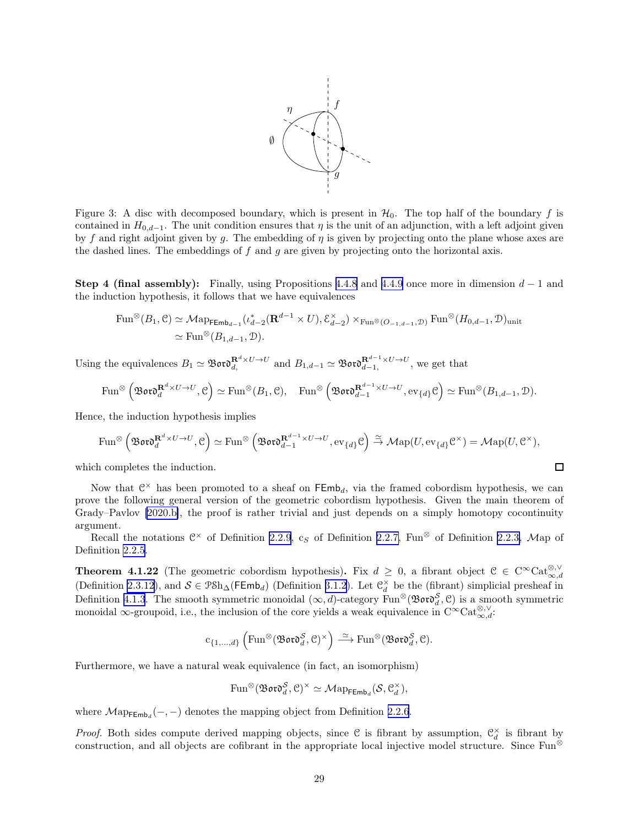

<span id="page-28-0"></span>Figure 3: A disc with decomposed boundary, which is present in  $\mathcal{H}_0$ . The top half of the boundary f is contained in  $H_{0,d-1}$ . The unit condition ensures that  $\eta$  is the unit of an adjunction, with a left adjoint given by f and right adjoint given by g. The embedding of  $\eta$  is given by projecting onto the plane whose axes are the dashed lines. The embeddings of  $f$  and  $g$  are given by projecting onto the horizontal axis.

**Step 4 (final assembly):** Finally, using Propositions [4.4.8](#page-52-0) and [4.4.9](#page-53-0) once more in dimension  $d-1$  and the induction hypothesis, it follows that we have equivalences

$$
\operatorname{Fun}^{\otimes}(B_1, \mathcal{C}) \simeq \mathcal{M}\text{ap}_{\mathsf{FEmb}_{d-1}}(\iota_{d-2}^*(\mathbf{R}^{d-1} \times U), \mathcal{E}_{d-2}^{\times}) \times_{\operatorname{Fun}^{\otimes}(O_{-1,d-1}, \mathcal{D})} \operatorname{Fun}^{\otimes}(H_{0,d-1}, \mathcal{D})_{\text{unit}} \\ \simeq \operatorname{Fun}^{\otimes}(B_{1,d-1}, \mathcal{D}).
$$

Using the equivalences  $B_1 \simeq \mathfrak{Bov}^{\mathbf{R}^d \times U \to U}_{d}$  and  $B_{1,d-1} \simeq \mathfrak{Bov}^{\mathbf{R}^{d-1} \times U \to U}_{d-1}$ , we get that

$$
\operatorname{Fun}^{\otimes} \left(\mathfrak{B}\mathfrak{o}\mathfrak{r}\mathfrak{d}_d^{\mathbf{R}^d \times U \to U}, \mathfrak{C}\right) \simeq \operatorname{Fun}^{\otimes}(B_1, \mathfrak{C}), \quad \operatorname{Fun}^{\otimes} \left(\mathfrak{B}\mathfrak{o}\mathfrak{r}\mathfrak{d}_{d-1}^{\mathbf{R}^{d-1} \times U \to U}, \operatorname{ev}_{\{d\}} \mathfrak{C}\right) \simeq \operatorname{Fun}^{\otimes}(B_{1, d-1}, \mathfrak{D}).
$$

Hence, the induction hypothesis implies

$$
\mathrm{Fun}^{\otimes} \left(\mathfrak{B}\mathfrak{o}\mathfrak{r}\mathfrak{d}_{d}^{\mathbf{R}^{d} \times U \to U}, \mathcal{C}\right) \simeq \mathrm{Fun}^{\otimes} \left(\mathfrak{B}\mathfrak{o}\mathfrak{r}\mathfrak{d}_{d-1}^{\mathbf{R}^{d-1} \times U \to U}, \mathrm{ev}_{\{d\}}\mathcal{C}\right) \xrightarrow{\simeq} \mathcal{M}\mathrm{ap}(U, \mathrm{ev}_{\{d\}}\mathcal{C}^{\times}) = \mathcal{M}\mathrm{ap}(U, \mathcal{C}^{\times}),
$$

 $\Box$ 

which completes the induction.

Now that  $\mathbb{C}^\times$  has been promoted to a sheaf on  $\mathsf{FEmb}_d$ , via the framed cobordism hypothesis, we can prove the following general version of the geometric cobordism hypothesis. Given the main theorem of Grady–Pavlov [\[2020.b\]](#page-63-0), the proof is rather trivial and just depends on a simply homotopy cocontinuity argument.

Recall the notations  $\mathbb{C}^{\times}$  of Definition [2.2.9](#page-9-0), c<sub>S</sub> of Definition [2.2.7,](#page-9-0) Fun<sup>⊗</sup> of Definition [2.2.3,](#page-8-0) Map of Definition [2.2.5.](#page-8-0)

**Theorem 4.1.22** (The geometric cobordism hypothesis). Fix  $d \geq 0$ , a fibrant object  $C \in C^{\infty}$ Cat $_{\infty,d}^{\otimes,\vee}$ (Definition [2.3.12\)](#page-12-0), and  $S \in \text{PSh}_{\Delta}(\mathsf{FEmb}_d)$  (Definition [3.1.2](#page-13-0)). Let  $\mathcal{C}_d^{\times}$  be the (fibrant) simplicial presheaf in Definition [4.1.3](#page-23-0). The smooth symmetric monoidal  $(\infty, d)$ -category Fun<sup>⊗</sup>(Bord<sup>S</sup><sub>d</sub>, C) is a smooth symmetric monoidal ∞-groupoid, i.e., the inclusion of the core yields a weak equivalence in  $C^{\infty} \text{Cat}_{\infty,d}^{\otimes,\vee}$ .

$$
\mathrm{c}_{\{1,\ldots,d\}}\left(\mathrm{Fun}^{\otimes}(\mathfrak{B}\mathfrak{o}\mathfrak{r}\mathfrak{d}_d^{\mathcal{S}}, \mathcal{C})^{\times}\right) \stackrel{\simeq}{\longrightarrow} \mathrm{Fun}^{\otimes}(\mathfrak{B}\mathfrak{o}\mathfrak{r}\mathfrak{d}_d^{\mathcal{S}}, \mathcal{C}).
$$

Furthermore, we have a natural weak equivalence (in fact, an isomorphism)

$$
\text{Fun}^{\otimes}(\mathfrak{B}\mathfrak{ord}_d^{\mathcal{S}}, \mathfrak{C})^{\times} \simeq \mathcal{M}\text{ap}_{\mathsf{FEmb}_d}(\mathcal{S}, \mathfrak{C}_d^{\times}),
$$

where  $\mathcal{M}ap_{\mathsf{FEmb}_d}(-, -)$  denotes the mapping object from Definition [2.2.6](#page-8-0).

*Proof.* Both sides compute derived mapping objects, since  $C$  is fibrant by assumption,  $C_d^{\times}$  is fibrant by construction, and all objects are cofibrant in the appropriate local injective model structure. Since Fun<sup>⊗</sup>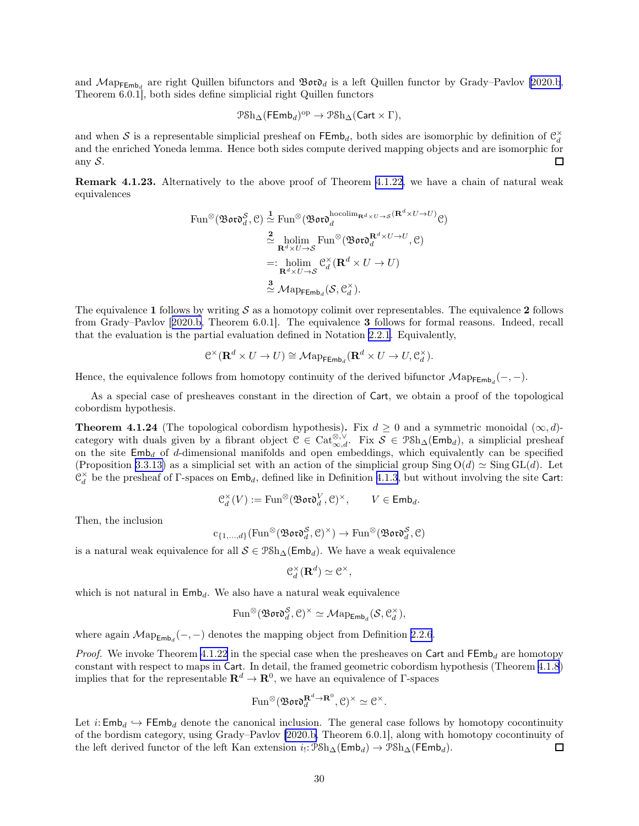<span id="page-29-0"></span>and  $\mathcal{M}$ ap<sub>FEmb<sub>d</sub> are right Quillen bifunctors and  $\mathfrak{B}$ or $\mathfrak{d}_d$  is a left Quillen functor by Grady–Pavlov [\[2020.b](#page-63-0),</sub> Theorem 6.0.1], both sides define simplicial right Quillen functors

$$
\mathcal{P} \text{Sh}_{\Delta}(\mathsf{FEmb}_d)^{\text{op}} \to \mathcal{P} \text{Sh}_{\Delta}(\mathsf{Cart} \times \Gamma),
$$

and when S is a representable simplicial presheaf on  $\mathsf{FEmb}_d$ , both sides are isomorphic by definition of  $\mathcal{C}_d^{\times}$ and the enriched Yoneda lemma. Hence both sides compute derived mapping objects and are isomorphic for any  $S$ .  $\Box$ 

Remark 4.1.23. Alternatively to the above proof of Theorem [4.1.22,](#page-28-0) we have a chain of natural weak equivalences

Fun<sup>®</sup>(
$$
\mathfrak{B} \mathfrak{or} \mathfrak{d}^S_d
$$
,  $\mathcal{C}$ )  $\stackrel{\mathbf{1}}{\simeq}$  Fun<sup>®</sup>( $\mathfrak{B} \mathfrak{or} \mathfrak{d}^{\text{hocolim}_{\mathbf{R}^d \times U \to S}}(\mathbf{R}^d \times U \to U)$ )  
 $\stackrel{\mathbf{2}}{\simeq}$  holim Fun<sup>®</sup>( $\mathfrak{B} \mathfrak{or} \mathfrak{d}^{\mathbf{R}^d \times U \to U}$ ,  $\mathcal{C}$ )  
 $=: \underset{\mathbf{R}^d \times U \to S}{\text{holim}} \mathcal{C}^\times_d (\mathbf{R}^d \times U \to U)$   
 $\stackrel{\mathbf{3}}{\simeq} \mathcal{M} \text{ap}_{\mathsf{F} \mathsf{Emb}_d}(\mathcal{S}, \mathcal{C}^\times_d).$ 

The equivalence 1 follows by writing  $S$  as a homotopy colimit over representables. The equivalence 2 follows from Grady–Pavlov[[2020.b,](#page-63-0) Theorem 6.0.1]. The equivalence 3 follows for formal reasons. Indeed, recall that the evaluation is the partial evaluation defined in Notation [2.2.1](#page-7-0). Equivalently,

$$
\mathcal{C}^\times(\mathbf{R}^d\times U\to U)\cong\mathcal{M}{\rm ap}_{{\rm FEmb}_d}(\mathbf{R}^d\times U\to U,\mathcal{C}_d^\times).
$$

Hence, the equivalence follows from homotopy continuity of the derived bifunctor  $\mathcal{M}ap_{\mathsf{FEmb}_d}(-,-)$ .

As a special case of presheaves constant in the direction of Cart, we obtain a proof of the topological cobordism hypothesis.

**Theorem 4.1.24** (The topological cobordism hypothesis). Fix  $d \ge 0$  and a symmetric monoidal  $(\infty, d)$ category with duals given by a fibrant object  $C \in \mathrm{Cat}_{\infty,d}^{\otimes,\vee}$ . Fix  $S \in \mathcal{P} \mathcal{S} \mathcal{h}_{\Delta}(\mathsf{Emb}_d)$ , a simplicial presheaf on the site  $\mathsf{Emb}_d$  of d-dimensional manifolds and open embeddings, which equivalently can be specified (Proposition [3.3.13\)](#page-20-0) as a simplicial set with an action of the simplicial group Sing O(d)  $\simeq$  Sing GL(d). Let  $\mathcal{C}_d^{\times}$  be the presheaf of Γ-spaces on  $\mathsf{Emb}_d$ , defined like in Definition [4.1.3](#page-23-0), but without involving the site Cart:

$$
\mathfrak{C}_d^{\times}(V) := \text{Fun}^{\otimes}(\mathfrak{B}\mathfrak{o}\mathfrak{r}\mathfrak{d}_d^V, \mathfrak{C})^{\times}, \qquad V \in \text{Emb}_d.
$$

Then, the inclusion

$$
c_{\{1,\ldots,d\}}(\mathrm{Fun}^{\otimes}(\mathfrak{B}\mathfrak{o}\mathfrak{r}\mathfrak{d}^{\mathcal{S}}_d,\mathcal{C})^{\times})\to \mathrm{Fun}^{\otimes}(\mathfrak{B}\mathfrak{o}\mathfrak{r}\mathfrak{d}^{\mathcal{S}}_d,\mathcal{C})
$$

is a natural weak equivalence for all  $S \in \text{PSh}_{\Delta}(\text{Emb}_d)$ . We have a weak equivalence

$$
\mathcal{C}_{d}^{\times}(\mathbf{R}^{d})\simeq \mathcal{C}^{\times},
$$

which is not natural in  $\mathsf{Emb}_d$ . We also have a natural weak equivalence

$$
\text{Fun}^{\otimes}(\mathfrak{B}\mathfrak{o}\mathfrak{r}\mathfrak{d}^{\mathcal{S}}_d, \mathcal{C})^{\times} \simeq \mathcal{M}\text{ap}_{\text{Emb}_d}(\mathcal{S}, \mathcal{C}_d^{\times}),
$$

where again  $\mathcal{M}ap_{\mathsf{Emb}_d}(-,-)$  denotes the mapping object from Definition [2.2.6](#page-8-0).

*Proof.* We invoke Theorem [4.1.22](#page-28-0) in the special case when the presheaves on Cart and  $\mathsf{FEmb}_d$  are homotopy constant with respect to maps in Cart. In detail, the framed geometric cobordism hypothesis (Theorem [4.1.8](#page-24-0)) implies that for the representable  $\mathbf{R}^d \to \mathbf{R}^0$ , we have an equivalence of  $\Gamma$ -spaces

$$
\text{Fun}^{\otimes}(\mathfrak{B}\mathfrak{o}\mathfrak{r}\mathfrak{d}_d^{\mathbf{R}^d\to\mathbf{R}^0},\mathcal{C})^{\times}\simeq\mathcal{C}^{\times}.
$$

Let  $i: \mathsf{Emb}_d \hookrightarrow \mathsf{FEmb}_d$  denote the canonical inclusion. The general case follows by homotopy cocontinuity of the bordism category, using Grady–Pavlov [\[2020.b,](#page-63-0) Theorem 6.0.1], along with homotopy cocontinuity of the left derived functor of the left Kan extension  $i_!:\mathcal{PSh}_{\Delta}(\mathsf{Emb}_d) \to \mathcal{PSh}_{\Delta}(\mathsf{FEmb}_d)$ .  $\Box$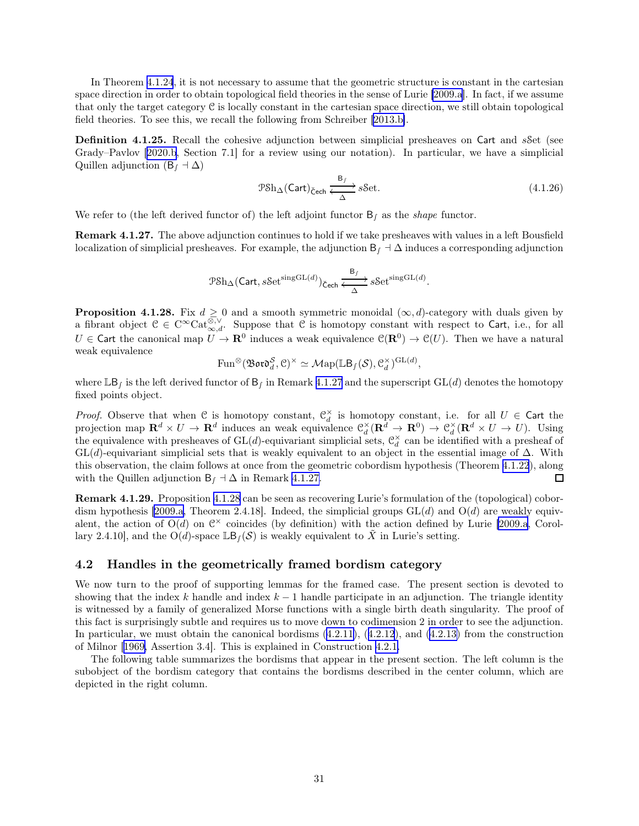<span id="page-30-0"></span>In Theorem [4.1.24](#page-29-0), it is not necessary to assume that the geometric structure is constant in the cartesian space direction in order to obtain topological field theories in the sense of Lurie [\[2009.a](#page-62-0)]. In fact, if we assume that only the target category  $\mathfrak C$  is locally constant in the cartesian space direction, we still obtain topological field theories. To see this, we recall the following from Schreiber [\[2013.b\]](#page-63-0).

Definition 4.1.25. Recall the cohesive adjunction between simplicial presheaves on Cart and sSet (see Grady–Pavlov[[2020.b,](#page-63-0) Section 7.1] for a review using our notation). In particular, we have a simplicial Quillen adjunction  $(B_f \dashv \Delta)$ 

$$
\mathcal{P} \mathcal{S} h_{\Delta}(\mathsf{Cart})_{\mathsf{Cech}} \xrightarrow{\mathsf{B}_f} s \mathcal{S} \mathsf{et}.\tag{4.1.26}
$$

We refer to (the left derived functor of) the left adjoint functor  $B<sub>f</sub>$  as the *shape* functor.

Remark 4.1.27. The above adjunction continues to hold if we take presheaves with values in a left Bousfield localization of simplicial presheaves. For example, the adjunction  $B<sub>f</sub> + \Delta$  induces a corresponding adjunction

$$
\mathcal{P}\mathrm{Sh}_{\Delta}(\mathsf{Cart}, s\mathsf{Set}^{\mathrm{singGL}(d)})_{\mathsf{Čech}} \xrightarrow{\mathsf{B}_f} s\mathsf{Set}^{\mathrm{singGL}(d)}.
$$

**Proposition 4.1.28.** Fix  $d \geq 0$  and a smooth symmetric monoidal  $(\infty, d)$ -category with duals given by a fibrant object  $C \in C^{\infty} \text{Cat}_{\infty,d}^{\otimes,\vee}$ . Suppose that C is homotopy constant with respect to Cart, i.e., for all  $U \in \mathsf{Cart}$  the canonical map  $U \to \mathbf{R}^0$  induces a weak equivalence  $\mathcal{C}(\mathbf{R}^0) \to \mathcal{C}(U)$ . Then we have a natural weak equivalence

$$
\operatorname{Fun}^{\otimes}(\mathfrak{B}\mathfrak{o}\mathfrak{r}\mathfrak{d}^{\mathcal{S}}_d, \mathcal{C})^{\times} \simeq \mathcal{M}\mathrm{ap}(\mathbb{L}\mathsf{B}_f(\mathcal{S}), \mathcal{C}_d^{\times})^{\mathrm{GL}(d)},
$$

where  $\mathbb{L}\mathsf{B}_{f}$  is the left derived functor of  $\mathsf{B}_{f}$  in Remark 4.1.27 and the superscript GL(d) denotes the homotopy fixed points object.

*Proof.* Observe that when C is homotopy constant,  $C_d^{\times}$  is homotopy constant, i.e. for all  $U \in \mathsf{Cart}$  the projection map  $\mathbf{R}^d \times U \to \mathbf{R}^d$  induces an weak equivalence  $\mathcal{C}_d^{\times}(\mathbf{R}^d \to \mathbf{R}^0) \to \mathcal{C}_d^{\times}(\mathbf{R}^d \times U \to U)$ . Using the equivalence with presheaves of  $GL(d)$ -equivariant simplicial sets,  $\mathcal{C}_d^{\times}$  can be identified with a presheaf of  $GL(d)$ -equivariant simplicial sets that is weakly equivalent to an object in the essential image of  $\Delta$ . With this observation, the claim follows at once from the geometric cobordism hypothesis (Theorem [4.1.22](#page-28-0)), along with the Quillen adjunction  $B_f \dashv \Delta$  in Remark 4.1.27.  $\Box$ 

Remark 4.1.29. Proposition 4.1.28 can be seen as recovering Lurie's formulation of the (topological) cobor-dismhypothesis [[2009.a,](#page-62-0) Theorem 2.4.18]. Indeed, the simplicial groups  $GL(d)$  and  $O(d)$  are weakly equivalent, the action of  $O(d)$  on  $\mathbb{C}^\times$  coincides (by definition) with the action defined by Lurie [\[2009.a,](#page-62-0) Corollary 2.4.10], and the  $O(d)$ -space  $\mathbb{L}\mathsf{B}_f(\mathcal{S})$  is weakly equivalent to X in Lurie's setting.

#### 4.2 Handles in the geometrically framed bordism category

We now turn to the proof of supporting lemmas for the framed case. The present section is devoted to showing that the index k handle and index  $k-1$  handle participate in an adjunction. The triangle identity is witnessed by a family of generalized Morse functions with a single birth death singularity. The proof of this fact is surprisingly subtle and requires us to move down to codimension 2 in order to see the adjunction. In particular, we must obtain the canonical bordisms [\(4.2.11\)](#page-36-0), ([4.2.12](#page-37-0)), and [\(4.2.13\)](#page-37-0) from the construction of Milnor[[1969,](#page-61-0) Assertion 3.4]. This is explained in Construction [4.2.1.](#page-31-0)

The following table summarizes the bordisms that appear in the present section. The left column is the subobject of the bordism category that contains the bordisms described in the center column, which are depicted in the right column.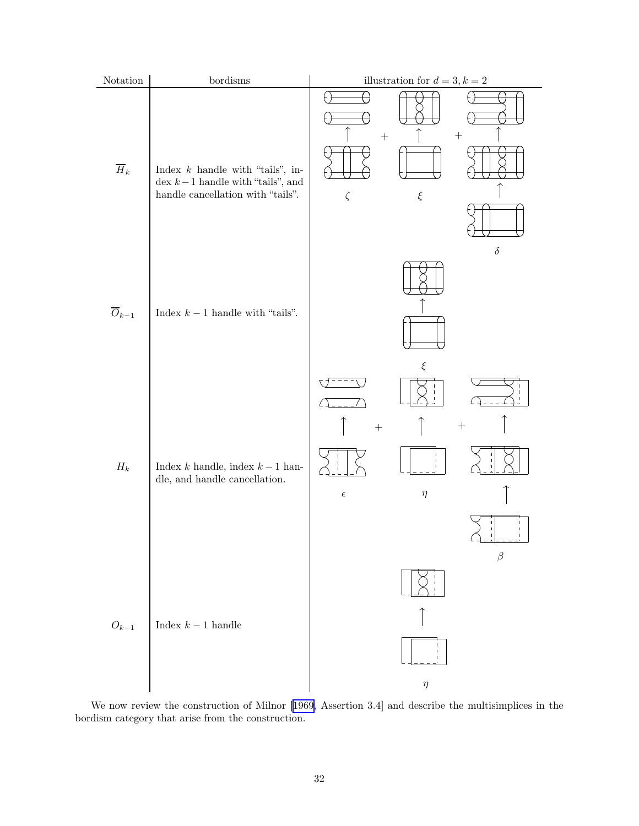<span id="page-31-0"></span>

| $\mbox{Notation}$    | $\operatorname{bordisms}$                                                                                     | illustration for $d=3,k=2$                                           |  |  |
|----------------------|---------------------------------------------------------------------------------------------------------------|----------------------------------------------------------------------|--|--|
| $\overline{H}_k$     | Index $k$ handle with "tails", in-<br>dex $k-1$ handle with "tails", and<br>handle cancellation with "tails". | 个<br>$\! + \!$<br>$\zeta$<br>$\xi$                                   |  |  |
| $\overline{O}_{k-1}$ | Index $k-1$ handle with "tails".                                                                              | $\delta$<br>$\xi$                                                    |  |  |
| $\mathcal{H}_k$      | ${\rm Index}\ k$ handle, index $k-1$ han-<br>dle, and handle cancellation.                                    | $\qquad \qquad +$<br>$\eta$<br>$\epsilon$<br>L<br>$\mathbb{L}$<br>Τ. |  |  |
| $\mathcal{O}_{k-1}$  | Index $k-1$ handle                                                                                            | $\beta$<br>$\eta$                                                    |  |  |

We now review the construction of Milnor[[1969,](#page-61-0) Assertion 3.4] and describe the multisimplices in the bordism category that arise from the construction.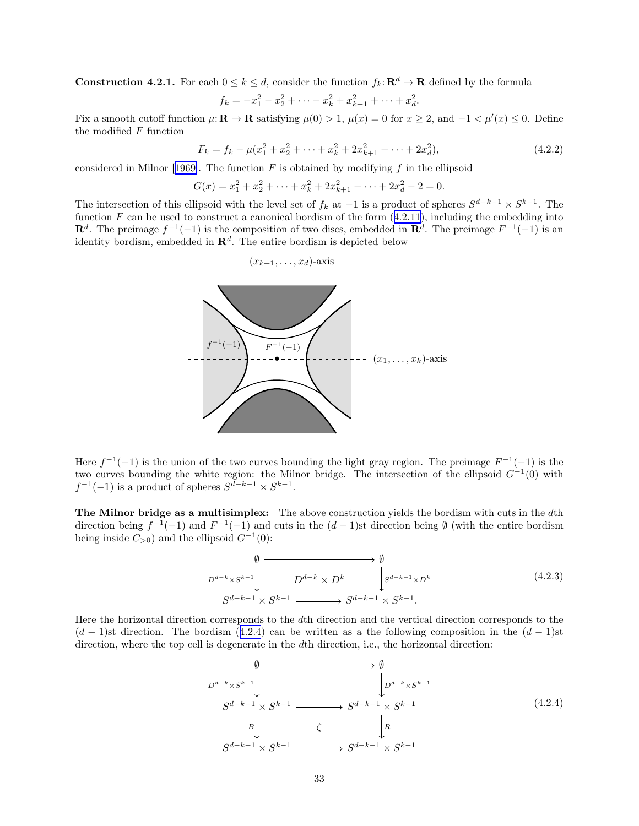<span id="page-32-0"></span>**Construction 4.2.1.** For each  $0 \le k \le d$ , consider the function  $f_k: \mathbb{R}^d \to \mathbb{R}$  defined by the formula

$$
f_k = -x_1^2 - x_2^2 + \dots - x_k^2 + x_{k+1}^2 + \dots + x_d^2.
$$

Fix a smooth cutoff function  $\mu: \mathbf{R} \to \mathbf{R}$  satisfying  $\mu(0) > 1$ ,  $\mu(x) = 0$  for  $x \ge 2$ , and  $-1 < \mu'(x) \le 0$ . Define the modified  $F$  function

$$
F_k = f_k - \mu(x_1^2 + x_2^2 + \dots + x_k^2 + 2x_{k+1}^2 + \dots + 2x_d^2),\tag{4.2.2}
$$

consideredin Milnor [[1969\]](#page-61-0). The function  $F$  is obtained by modifying f in the ellipsoid

$$
G(x) = x_1^2 + x_2^2 + \dots + x_k^2 + 2x_{k+1}^2 + \dots + 2x_d^2 - 2 = 0.
$$

The intersection of this ellipsoid with the level set of  $f_k$  at  $-1$  is a product of spheres  $S^{d-k-1} \times S^{k-1}$ . The function  $F$  can be used to construct a canonical bordism of the form  $(4.2.11)$  $(4.2.11)$  $(4.2.11)$ , including the embedding into  $\mathbf{R}^d$ . The preimage  $f^{-1}(-1)$  is the composition of two discs, embedded in  $\mathbf{R}^d$ . The preimage  $F^{-1}(-1)$  is an identity bordism, embedded in  $\mathbb{R}^d$ . The entire bordism is depicted below



Here  $f^{-1}(-1)$  is the union of the two curves bounding the light gray region. The preimage  $F^{-1}(-1)$  is the two curves bounding the white region: the Milnor bridge. The intersection of the ellipsoid  $G^{-1}(0)$  with  $f^{-1}(-1)$  is a product of spheres  $S^{d-k-1} \times S^{k-1}$ .

The Milnor bridge as a multisimplex: The above construction yields the bordism with cuts in the dth direction being  $f^{-1}(-1)$  and  $F^{-1}(-1)$  and cuts in the  $(d-1)$ st direction being  $\emptyset$  (with the entire bordism being inside  $C_{>0}$ ) and the ellipsoid  $G^{-1}(0)$ :

$$
\emptyset \longrightarrow \emptyset
$$
\n
$$
D^{d-k} \times S^{k-1} \downarrow D^{d-k} \times D^k \downarrow S^{d-k-1} \times D^k
$$
\n
$$
S^{d-k-1} \times S^{k-1} \longrightarrow S^{d-k-1} \times S^{k-1}.
$$
\n
$$
(4.2.3)
$$

Here the horizontal direction corresponds to the dth direction and the vertical direction corresponds to the  $(d-1)$ st direction. The bordism  $(4.2.4)$  can be written as a the following composition in the  $(d-1)$ st direction, where the top cell is degenerate in the dth direction, i.e., the horizontal direction:

$$
\emptyset \longrightarrow \emptyset
$$
\n
$$
D^{d-k} \times S^{k-1} \downarrow \qquad \qquad \downarrow \qquad \qquad \downarrow \qquad \downarrow \qquad \downarrow \qquad \downarrow \qquad \downarrow \qquad \downarrow \qquad \downarrow \qquad \downarrow \qquad \downarrow \qquad \downarrow \qquad \downarrow \qquad \downarrow \qquad \downarrow \qquad \downarrow \qquad \downarrow \qquad \downarrow \qquad \downarrow \qquad \downarrow \qquad \downarrow \qquad \downarrow \qquad \downarrow \qquad \downarrow \qquad \downarrow \qquad \downarrow \qquad \downarrow \qquad \downarrow \qquad \downarrow \qquad \downarrow \qquad \downarrow \qquad \downarrow \qquad \downarrow \qquad \downarrow \qquad \downarrow \qquad \downarrow \qquad \downarrow \qquad \downarrow \qquad \downarrow \qquad \downarrow \qquad \downarrow \qquad \downarrow \qquad \downarrow \qquad \downarrow \qquad \downarrow \qquad \downarrow \qquad \downarrow \qquad \downarrow \qquad \downarrow \qquad \downarrow \qquad \downarrow \qquad \downarrow \qquad \downarrow \qquad \downarrow \qquad \downarrow \qquad \downarrow \qquad \downarrow \qquad \downarrow \qquad \downarrow \qquad \downarrow \qquad \downarrow \qquad \downarrow \qquad \downarrow \qquad \downarrow \qquad \downarrow \qquad \downarrow \qquad \downarrow \qquad \downarrow \qquad \downarrow \qquad \downarrow \qquad \downarrow \qquad \downarrow \qquad \downarrow \qquad \downarrow \qquad \downarrow \qquad \downarrow \qquad \downarrow \qquad \downarrow \qquad \downarrow \qquad \downarrow \qquad \downarrow \qquad \downarrow \qquad \downarrow \qquad \downarrow \qquad \downarrow \qquad \downarrow \qquad \downarrow \qquad \downarrow \qquad \downarrow \qquad \downarrow \qquad \downarrow \qquad \downarrow \qquad \downarrow \qquad \downarrow \qquad \downarrow \qquad \downarrow \qquad \downarrow \qquad \downarrow \qquad \downarrow \qquad \downarrow \qquad \downarrow \qquad \downarrow \qquad \downarrow \qquad \downarrow \qquad \downarrow \qquad \downarrow \qquad \downarrow \qquad \downarrow \qquad \downarrow \qquad \downarrow \qquad \downarrow \qquad \downarrow \qquad \downarrow \qquad \downarrow \qquad \downarrow \qquad \downarrow \qquad \downarrow \qquad \downarrow \qquad \downarrow \qquad \downarrow \qquad \downarrow
$$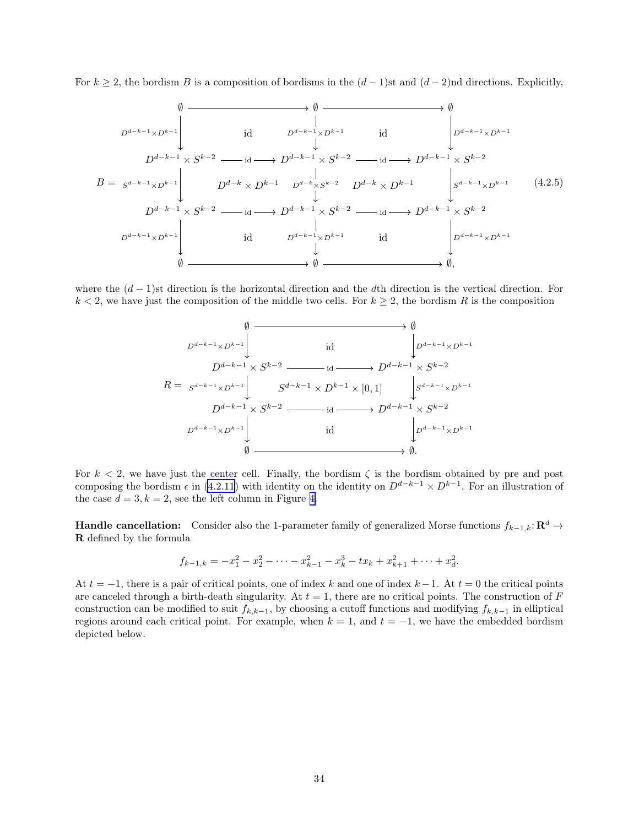<span id="page-33-0"></span>For  $k \geq 2$ , the bordism B is a composition of bordisms in the  $(d-1)$ st and  $(d-2)$ nd directions. Explicitly,



where the  $(d-1)$ st direction is the horizontal direction and the dth direction is the vertical direction. For  $k < 2$ , we have just the composition of the middle two cells. For  $k \geq 2$ , the bordism R is the composition

$$
\emptyset \longrightarrow \emptyset
$$
\n
$$
D^{d-k-1} \times D^{k-1} \downarrow \qquad \text{id} \qquad \qquad D^{d-k-1} \times D^{k-1}
$$
\n
$$
D^{d-k-1} \times S^{k-2} \longrightarrow \text{id} \longrightarrow D^{d-k-1} \times S^{k-2}
$$
\n
$$
R = S^{d-k-1} \times D^{k-1} \downarrow \qquad S^{d-k-1} \times D^{k-1} \times [0,1] \qquad S^{d-k-1} \times D^{k-1}
$$
\n
$$
D^{d-k-1} \times S^{k-2} \longrightarrow \text{id} \longrightarrow D^{d-k-1} \times S^{k-2}
$$
\n
$$
D^{d-k-1} \times D^{k-1} \downarrow \qquad \qquad \text{id} \qquad \qquad D^{d-k-1} \times D^{k-1}
$$
\n
$$
\emptyset \longrightarrow \emptyset.
$$

For  $k < 2$ , we have just the center cell. Finally, the bordism  $\zeta$  is the bordism obtained by pre and post composing the bordism  $\epsilon$  in [\(4.2.11](#page-36-0)) with identity on the identity on  $D^{d-k-1} \times D^{k-1}$ . For an illustration of the case  $d = 3, k = 2$ , see the left column in Figure [4.](#page-34-0)

**Handle cancellation:** Consider also the 1-parameter family of generalized Morse functions  $f_{k-1,k}$ :  $\mathbb{R}^d$  → R defined by the formula

$$
f_{k-1,k} = -x_1^2 - x_2^2 - \dots - x_{k-1}^2 - x_k^3 - tx_k + x_{k+1}^2 + \dots + x_d^2.
$$

At  $t = -1$ , there is a pair of critical points, one of index k and one of index  $k - 1$ . At  $t = 0$  the critical points are canceled through a birth-death singularity. At  $t = 1$ , there are no critical points. The construction of F construction can be modified to suit  $f_{k,k-1}$ , by choosing a cutoff functions and modifying  $f_{k,k-1}$  in elliptical regions around each critical point. For example, when  $k = 1$ , and  $t = -1$ , we have the embedded bordism depicted below.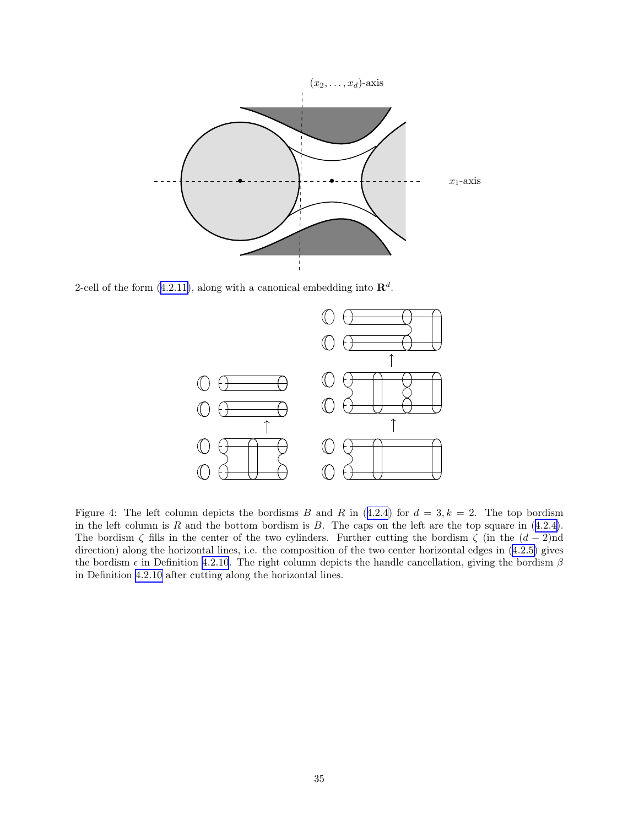<span id="page-34-0"></span>

2-cell of the form ([4.2.11\)](#page-36-0), along with a canonical embedding into  $\mathbb{R}^d$ .



Figure 4: The left column depicts the bordisms B and R in  $(4.2.4)$  $(4.2.4)$  $(4.2.4)$  for  $d = 3, k = 2$ . The top bordism in the left column is R and the bottom bordism is B. The caps on the left are the top square in  $(4.2.4)$  $(4.2.4)$ . The bordism  $\zeta$  fills in the center of the two cylinders. Further cutting the bordism  $\zeta$  (in the  $(d-2)$ nd direction) along the horizontal lines, i.e. the composition of the two center horizontal edges in [\(4.2.5\)](#page-33-0) gives the bordism  $\epsilon$  in Definition [4.2.10](#page-36-0). The right column depicts the handle cancellation, giving the bordism  $\beta$ in Definition [4.2.10](#page-36-0) after cutting along the horizontal lines.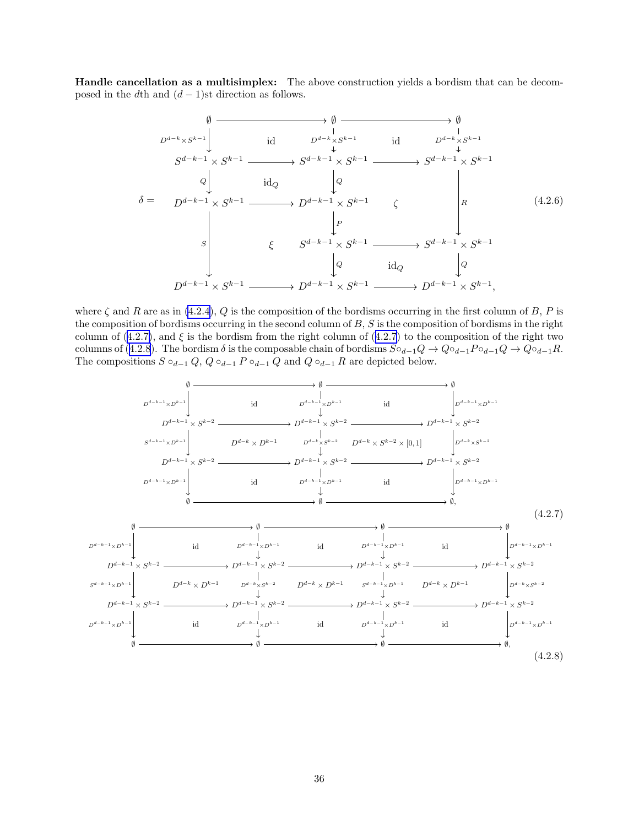<span id="page-35-0"></span>Handle cancellation as a multisimplex: The above construction yields a bordism that can be decomposed in the dth and  $(d-1)$ st direction as follows.

$$
\emptyset \longrightarrow \emptyset \longrightarrow \emptyset
$$
\n
$$
D^{d-k} \times S^{k-1} \downarrow \qquad \text{id} \qquad D^{d-k} \times S^{k-1} \qquad \text{id} \qquad D^{d-k} \times S^{k-1}
$$
\n
$$
S^{d-k-1} \times S^{k-1} \longrightarrow S^{d-k-1} \times S^{k-1} \longrightarrow S^{d-k-1} \times S^{k-1}
$$
\n
$$
\emptyset \downarrow \qquad \text{id}_Q \qquad \downarrow Q \qquad \qquad \downarrow Q \qquad \qquad \downarrow Q \qquad \qquad \downarrow Q \qquad \qquad \downarrow Q \qquad \qquad \downarrow Q \qquad \qquad \downarrow Q \qquad \qquad \downarrow Q \qquad \qquad \downarrow Q \qquad \qquad \downarrow Q \qquad \qquad \downarrow Q \qquad \qquad \downarrow Q \qquad \qquad \downarrow Q \qquad \qquad \downarrow Q \qquad \qquad \downarrow Q \qquad \qquad \downarrow Q \qquad \qquad \downarrow Q \qquad \qquad \downarrow Q \qquad \qquad \downarrow Q \qquad \qquad \downarrow Q \qquad \qquad \downarrow Q \qquad \qquad \downarrow Q \qquad \qquad \downarrow Q \qquad \qquad \downarrow Q \qquad \qquad \downarrow Q \qquad \qquad \downarrow Q \qquad \qquad \downarrow Q \qquad \qquad \downarrow Q \qquad \qquad \downarrow Q \qquad \qquad \downarrow Q \qquad \qquad \downarrow Q \qquad \qquad \downarrow Q \qquad \qquad \downarrow Q \qquad \qquad \downarrow Q \qquad \qquad \downarrow Q \qquad \qquad \downarrow Q \qquad \qquad \downarrow Q \qquad \qquad \downarrow Q \qquad \qquad \downarrow Q \qquad \qquad \downarrow Q \qquad \qquad \downarrow Q \qquad \qquad \downarrow Q \qquad \qquad \downarrow Q \qquad \qquad \downarrow Q \qquad \qquad \downarrow Q \qquad \qquad \downarrow Q \qquad \qquad \downarrow Q \qquad \qquad \downarrow Q \qquad \qquad \downarrow Q \qquad \qquad \downarrow Q \qquad \qquad \downarrow Q \qquad \qquad \downarrow Q \qquad \qquad \downarrow Q \qquad \qquad \downarrow Q \qquad \qquad \downarrow Q \qquad \qquad \downarrow Q \qquad \qquad \downarrow Q \qquad \qquad \downarrow Q \qquad \qquad \downarrow Q \qquad \qquad \down
$$

where  $\zeta$  and R are as in [\(4.2.4](#page-32-0)), Q is the composition of the bordisms occurring in the first column of B, P is the composition of bordisms occurring in the second column of  $B$ ,  $S$  is the composition of bordisms in the right column of  $(4.2.7)$ , and  $\xi$  is the bordism from the right column of  $(4.2.7)$  to the composition of the right two columns of (4.2.8). The bordism  $\delta$  is the composable chain of bordisms  $S \circ_{d-1} Q \to Q \circ_{d-1} P \circ_{d-1} Q \to Q \circ_{d-1} R$ . The compositions  $S \circ_{d-1} Q$ ,  $Q \circ_{d-1} P \circ_{d-1} Q$  and  $Q \circ_{d-1} R$  are depicted below.

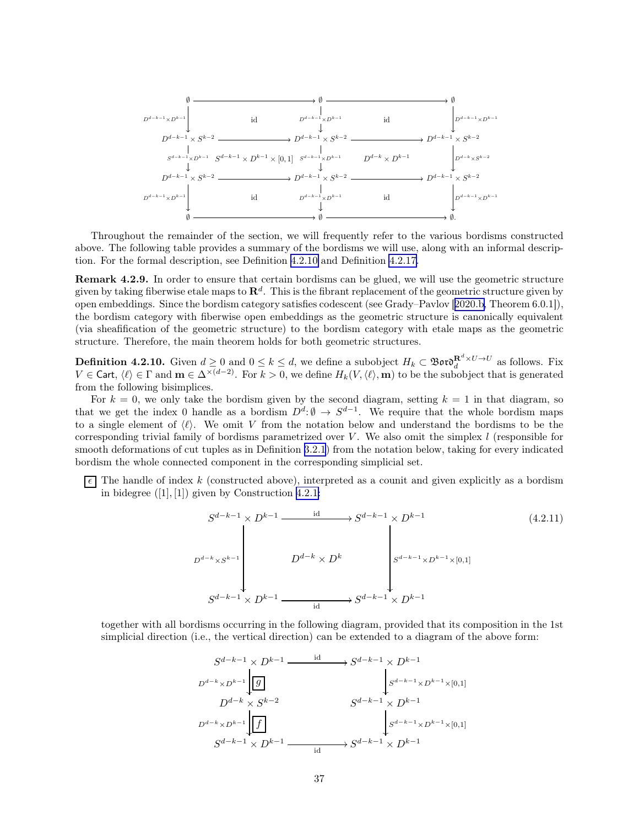<span id="page-36-0"></span>

Throughout the remainder of the section, we will frequently refer to the various bordisms constructed above. The following table provides a summary of the bordisms we will use, along with an informal description. For the formal description, see Definition 4.2.10 and Definition [4.2.17](#page-38-0).

Remark 4.2.9. In order to ensure that certain bordisms can be glued, we will use the geometric structure given by taking fiberwise etale maps to  $\mathbf{R}^d$ . This is the fibrant replacement of the geometric structure given by open embeddings. Since the bordism category satisfies codescent (see Grady–Pavlov[[2020.b,](#page-63-0) Theorem 6.0.1]), the bordism category with fiberwise open embeddings as the geometric structure is canonically equivalent (via sheafification of the geometric structure) to the bordism category with etale maps as the geometric structure. Therefore, the main theorem holds for both geometric structures.

**Definition 4.2.10.** Given  $d \ge 0$  and  $0 \le k \le d$ , we define a subobject  $H_k \subset \mathfrak{B}$  or  $\mathfrak{d}_d^{\mathbf{R}^d \times U \to U}$  as follows. Fix  $V \in \mathsf{Cart}, \langle \ell \rangle \in \Gamma$  and  $\mathbf{m} \in \Delta^{\times(d-2)}$ . For  $k > 0$ , we define  $H_k(V,\langle \ell \rangle,\mathbf{m})$  to be the subobject that is generated from the following bisimplices.

For  $k = 0$ , we only take the bordism given by the second diagram, setting  $k = 1$  in that diagram, so that we get the index 0 handle as a bordism  $D^d: \emptyset \to S^{d-1}$ . We require that the whole bordism maps to a single element of  $\langle \ell \rangle$ . We omit V from the notation below and understand the bordisms to be the corresponding trivial family of bordisms parametrized over V. We also omit the simplex  $l$  (responsible for smooth deformations of cut tuples as in Definition [3.2.1](#page-16-0)) from the notation below, taking for every indicated bordism the whole connected component in the corresponding simplicial set.

 $\lceil \epsilon \rceil$  The handle of index k (constructed above), interpreted as a counit and given explicitly as a bordism in bidegree  $([1], [1])$  given by Construction [4.2.1:](#page-31-0)

$$
S^{d-k-1} \times D^{k-1} \xrightarrow{\text{id}} S^{d-k-1} \times D^{k-1}
$$
\n
$$
D^{d-k} \times S^{k-1}
$$
\n
$$
D^{d-k} \times D^{k}
$$
\n
$$
S^{d-k-1} \times D^{k-1}
$$
\n
$$
S^{d-k-1} \times D^{k-1}
$$
\n
$$
(4.2.11)
$$
\n
$$
S^{d-k-1} \times D^{k-1}
$$
\n
$$
S^{d-k-1} \times D^{k-1}
$$
\n
$$
S^{d-k-1} \times D^{k-1}
$$

together with all bordisms occurring in the following diagram, provided that its composition in the 1st simplicial direction (i.e., the vertical direction) can be extended to a diagram of the above form:

$$
S^{d-k-1} \times D^{k-1} \xrightarrow{\text{id}} S^{d-k-1} \times D^{k-1}
$$
\n
$$
D^{d-k} \times D^{k-1} \downarrow \boxed{g}
$$
\n
$$
D^{d-k} \times S^{k-2} \qquad S^{d-k-1} \times D^{k-1}
$$
\n
$$
D^{d-k} \times D^{k-1} \downarrow \boxed{f}
$$
\n
$$
S^{d-k-1} \times D^{k-1} \xrightarrow{\text{id}} S^{d-k-1} \times D^{k-1}
$$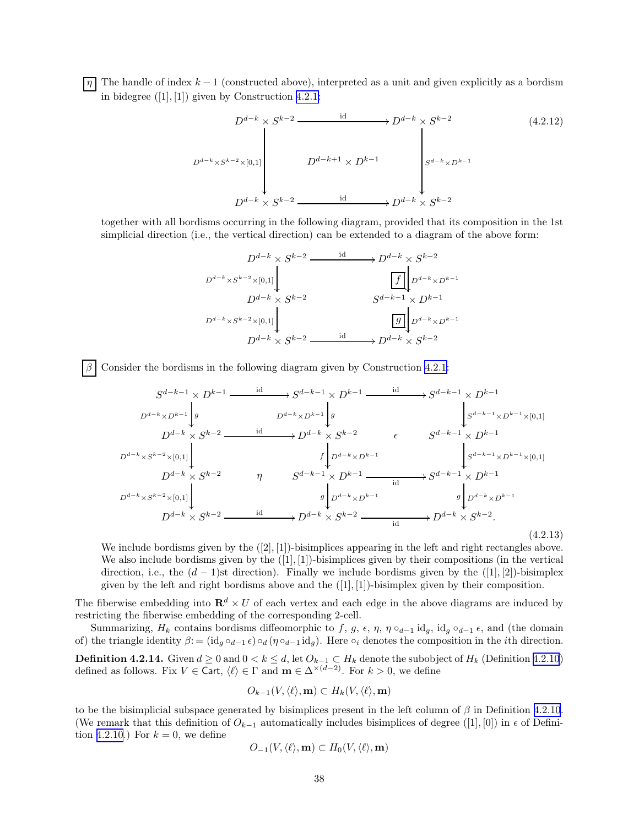<span id="page-37-0"></span> $\boxed{\eta}$  The handle of index k – 1 (constructed above), interpreted as a unit and given explicitly as a bordism in bidegree ([1], [1]) given by Construction [4.2.1:](#page-31-0)

$$
D^{d-k} \times S^{k-2} \xrightarrow{\text{id}} D^{d-k} \times S^{k-2}
$$
\n
$$
(4.2.12)
$$
\n
$$
D^{d-k} \times S^{k-2} \times [0,1]
$$
\n
$$
D^{d-k+1} \times D^{k-1}
$$
\n
$$
D^{d-k} \times S^{k-2} \xrightarrow{\text{id}} D^{d-k} \times S^{k-2}
$$
\n
$$
(4.2.12)
$$

together with all bordisms occurring in the following diagram, provided that its composition in the 1st simplicial direction (i.e., the vertical direction) can be extended to a diagram of the above form:

$$
D^{d-k} \times S^{k-2} \xrightarrow{\text{id}} D^{d-k} \times S^{k-2}
$$
\n
$$
D^{d-k} \times S^{k-2} \times [0,1]
$$
\n
$$
D^{d-k} \times S^{k-2} \xrightarrow{\text{if}} D^{d-k} \times D^{k-1}
$$
\n
$$
D^{d-k} \times S^{k-2} \times [0,1]
$$
\n
$$
D^{d-k} \times S^{k-2} \xrightarrow{\text{id}} D^{d-k} \times S^{k-2}
$$

Consider the bordisms in the following diagram given by Construction [4.2.1](#page-31-0):

$$
S^{d-k-1} \times D^{k-1} \xrightarrow{\text{id}} S^{d-k-1} \times D^{k-1} \xrightarrow{\text{id}} S^{d-k-1} \times D^{k-1}
$$
\n
$$
D^{d-k} \times D^{k-2} \xrightarrow{\text{id}} D^{d-k} \times S^{k-2} \xrightarrow{\text{id}} S^{d-k} \times S^{k-2} \xrightarrow{\text{id}} S^{d-k-1} \times D^{k-1}
$$
\n
$$
D^{d-k} \times S^{k-2} \xrightarrow{\text{id}} D^{d-k} \times S^{k-2} \xrightarrow{\text{id}} S^{d-k} \times D^{k-1}
$$
\n
$$
D^{d-k} \times S^{k-2} \times [0,1] \xrightarrow{\text{id}} S^{d-k-1} \times D^{k-1} \xrightarrow{\text{id}} S^{d-k-1} \times D^{k-1}
$$
\n
$$
D^{d-k} \times S^{k-2} \xrightarrow{\text{rig}} S^{d-k-1} \times D^{k-1} \xrightarrow{\text{id}} S^{d-k-1} \times D^{k-1}
$$
\n
$$
D^{d-k} \times S^{k-2} \xrightarrow{\text{id}} D^{d-k} \times S^{k-2} \xrightarrow{\text{id}} D^{d-k} \times S^{k-2} \xrightarrow{\text{id}} D^{d-k} \times S^{k-2} \xrightarrow{\text{id}} D^{d-k} \times S^{k-2} \xrightarrow{\text{id}} (4.2.1)
$$
\n
$$
(4.2.1)
$$

(4.2.13)

We include bordisms given by the  $([2], [1])$ -bisimplices appearing in the left and right rectangles above. We also include bordisms given by the  $([1], [1])$ -bisimplices given by their compositions (in the vertical direction, i.e., the  $(d-1)$ st direction). Finally we include bordisms given by the  $([1],[2])$ -bisimplex given by the left and right bordisms above and the  $([1], [1])$ -bisimplex given by their composition.

The fiberwise embedding into  $\mathbf{R}^d \times U$  of each vertex and each edge in the above diagrams are induced by restricting the fiberwise embedding of the corresponding 2-cell.

Summarizing,  $H_k$  contains bordisms diffeomorphic to f, g,  $\epsilon$ ,  $\eta$ ,  $\eta \circ_{d-1} id_g$ ,  $id_g \circ_{d-1} \epsilon$ , and (the domain of) the triangle identity  $\beta := (\mathrm{id}_g \circ_{d-1} \epsilon) \circ_d (\eta \circ_{d-1} \mathrm{id}_g)$ . Here  $\circ_i$  denotes the composition in the *i*th direction.

**Definition 4.2.14.** Given  $d \ge 0$  and  $0 < k \le d$ , let  $O_{k-1} \subset H_k$  denote the subobject of  $H_k$  (Definition [4.2.10](#page-36-0)) defined as follows. Fix  $V \in \text{Cart}, \langle \ell \rangle \in \Gamma$  and  $\mathbf{m} \in \Delta^{\times(d-2)}$ . For  $k > 0$ , we define

$$
O_{k-1}(V, \langle \ell \rangle, \mathbf{m}) \subset H_k(V, \langle \ell \rangle, \mathbf{m})
$$

to be the bisimplicial subspace generated by bisimplices present in the left column of  $\beta$  in Definition [4.2.10](#page-36-0). (We remark that this definition of  $O_{k-1}$  automatically includes bisimplices of degree ([1], [0]) in  $\epsilon$  of Defini-tion [4.2.10](#page-36-0).) For  $k = 0$ , we define

$$
O_{-1}(V, \langle \ell \rangle, \mathbf{m}) \subset H_0(V, \langle \ell \rangle, \mathbf{m})
$$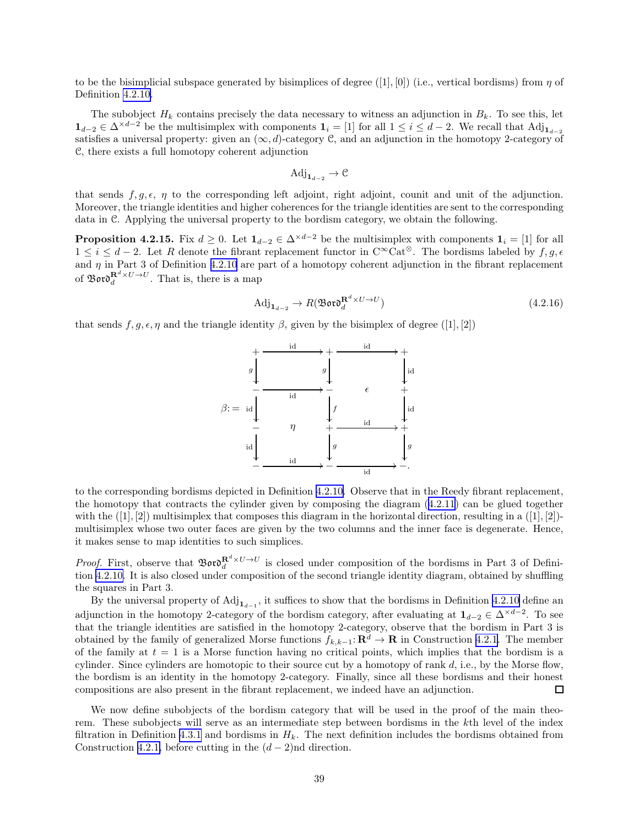<span id="page-38-0"></span>to be the bisimplicial subspace generated by bisimplices of degree  $([1], [0])$  (i.e., vertical bordisms) from  $\eta$  of Definition [4.2.10](#page-36-0).

The subobject  $H_k$  contains precisely the data necessary to witness an adjunction in  $B_k$ . To see this, let  $1_{d-2} \in \Delta^{\times d-2}$  be the multisimplex with components  $1_i = [1]$  for all  $1 \le i \le d-2$ . We recall that  $\text{Adj}_{1_{d-2}}$ satisfies a universal property: given an  $(\infty, d)$ -category C, and an adjunction in the homotopy 2-category of C, there exists a full homotopy coherent adjunction

$$
\mathrm{Adj}_{\mathbf{1}_{d-2}} \to \mathcal{C}
$$

that sends  $f, g, \epsilon, \eta$  to the corresponding left adjoint, right adjoint, counit and unit of the adjunction. Moreover, the triangle identities and higher coherences for the triangle identities are sent to the corresponding data in C. Applying the universal property to the bordism category, we obtain the following.

**Proposition 4.2.15.** Fix  $d \geq 0$ . Let  $\mathbf{1}_{d-2} \in \Delta^{\times d-2}$  be the multisimplex with components  $\mathbf{1}_i = [1]$  for all  $1 \leq i \leq d-2$ . Let R denote the fibrant replacement functor in C<sup>∞</sup>Cat<sup>⊗</sup>. The bordisms labeled by  $f, g, \epsilon$ and  $\eta$  in Part 3 of Definition [4.2.10](#page-36-0) are part of a homotopy coherent adjunction in the fibrant replacement of  $\mathfrak{B}$ or $\mathfrak{d}^{\mathbf{R}^d \times U \to U}_d$ . That is, there is a map

$$
\text{Adj}_{\mathbf{1}_{d-2}} \to R(\mathfrak{B}\mathfrak{ord}_d^{\mathbf{R}^d \times U \to U}) \tag{4.2.16}
$$

that sends  $f, g, \epsilon, \eta$  and the triangle identity  $\beta$ , given by the bisimplex of degree ([1], [2])



to the corresponding bordisms depicted in Definition [4.2.10.](#page-36-0) Observe that in the Reedy fibrant replacement, the homotopy that contracts the cylinder given by composing the diagram ([4.2.11](#page-36-0)) can be glued together with the  $([1], [2])$  multisimplex that composes this diagram in the horizontal direction, resulting in a  $([1], [2])$ multisimplex whose two outer faces are given by the two columns and the inner face is degenerate. Hence, it makes sense to map identities to such simplices.

*Proof.* First, observe that  $\mathfrak{B}ov\mathfrak{d}^{R^d\times U\to U}_d$  is closed under composition of the bordisms in Part 3 of Definition [4.2.10.](#page-36-0) It is also closed under composition of the second triangle identity diagram, obtained by shuffling the squares in Part 3.

By the universal property of  $\text{Adj}_{1_{d-1}}$ , it suffices to show that the bordisms in Definition [4.2.10](#page-36-0) define an adjunction in the homotopy 2-category of the bordism category, after evaluating at  $1_{d-2} \in \Delta^{\times d-2}$ . To see that the triangle identities are satisfied in the homotopy 2-category, observe that the bordism in Part 3 is obtained by the family of generalized Morse functions  $f_{k,k-1} : \mathbf{R}^d \to \mathbf{R}$  in Construction [4.2.1.](#page-31-0) The member of the family at  $t = 1$  is a Morse function having no critical points, which implies that the bordism is a cylinder. Since cylinders are homotopic to their source cut by a homotopy of rank  $d$ , i.e., by the Morse flow, the bordism is an identity in the homotopy 2-category. Finally, since all these bordisms and their honest compositions are also present in the fibrant replacement, we indeed have an adjunction.  $\Box$ 

We now define subobjects of the bordism category that will be used in the proof of the main theorem. These subobjects will serve as an intermediate step between bordisms in the kth level of the index filtration in Definition [4.3.1](#page-45-0) and bordisms in  $H_k$ . The next definition includes the bordisms obtained from Construction [4.2.1,](#page-31-0) before cutting in the  $(d-2)$ nd direction.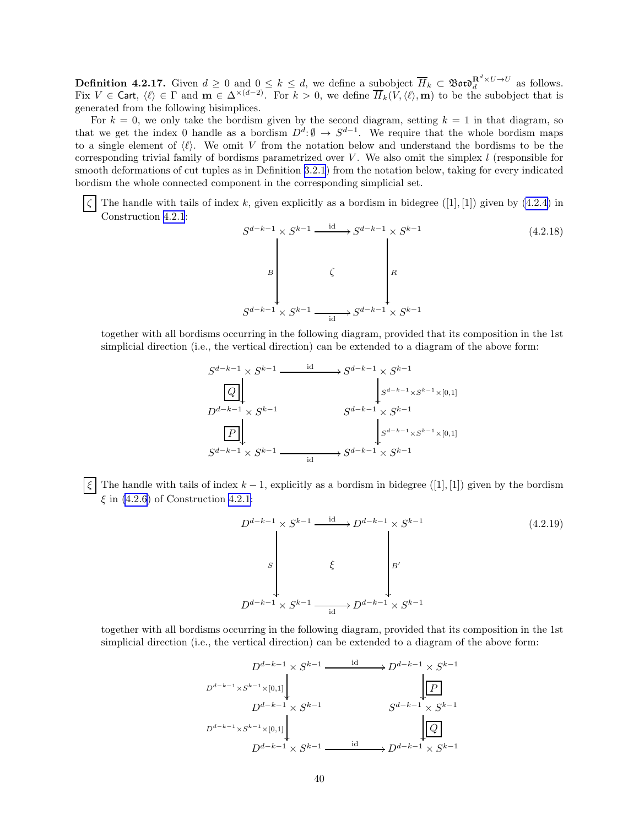**Definition 4.2.17.** Given  $d \geq 0$  and  $0 \leq k \leq d$ , we define a subobject  $\overline{H}_k \subset \mathfrak{B}ov \mathfrak{d}_d^{R^d \times U \to U}$  as follows. Fix  $V \in \mathsf{Cart}$ ,  $\langle \ell \rangle \in \Gamma$  and  $\mathbf{m} \in \Delta^{\times(d-2)}$ . For  $k > 0$ , we define  $\overline{H}_k(V,\langle \ell \rangle,\mathbf{m})$  to be the subobject that is generated from the following bisimplices.

For  $k = 0$ , we only take the bordism given by the second diagram, setting  $k = 1$  in that diagram, so that we get the index 0 handle as a bordism  $D^d: \emptyset \to S^{d-1}$ . We require that the whole bordism maps to a single element of  $\langle \ell \rangle$ . We omit V from the notation below and understand the bordisms to be the corresponding trivial family of bordisms parametrized over  $V$ . We also omit the simplex  $l$  (responsible for smooth deformations of cut tuples as in Definition [3.2.1](#page-16-0)) from the notation below, taking for every indicated bordism the whole connected component in the corresponding simplicial set.

The handle with tails of index k, given explicitly as a bordism in bidegree  $([1], [1])$  given by  $(4.2.4)$  in Construction [4.2.1](#page-31-0):

$$
S^{d-k-1} \times S^{k-1} \xrightarrow{\text{id}} S^{d-k-1} \times S^{k-1}
$$
\n
$$
B \downarrow \qquad \qquad S^{d-k-1} \times S^{k-1}
$$
\n
$$
S^{d-k-1} \times S^{k-1} \xrightarrow{\text{id}} S^{d-k-1} \times S^{k-1}
$$
\n
$$
(4.2.18)
$$

together with all bordisms occurring in the following diagram, provided that its composition in the 1st simplicial direction (i.e., the vertical direction) can be extended to a diagram of the above form:

$$
S^{d-k-1} \times S^{k-1} \xrightarrow{\text{id}} S^{d-k-1} \times S^{k-1}
$$
\n
$$
D^{d-k-1} \times S^{k-1} \xrightarrow{\text{S}^{d-k-1} \times S^{k-1}}
$$
\n
$$
S^{d-k-1} \times S^{k-1} \xrightarrow{\text{S}^{d-k-1} \times S^{k-1}}
$$
\n
$$
S^{d-k-1} \times S^{k-1} \xrightarrow{\text{id}} S^{d-k-1} \times S^{k-1}
$$

 $\overline{\xi}$  The handle with tails of index  $k-1$ , explicitly as a bordism in bidegree ([1], [1]) given by the bordism  $\xi$  in [\(4.2.6](#page-35-0)) of Construction [4.2.1](#page-31-0):

$$
D^{d-k-1} \times S^{k-1} \xrightarrow{\text{id}} D^{d-k-1} \times S^{k-1}
$$
\n
$$
S \downarrow S'
$$
\n
$$
\downarrow S'
$$
\n
$$
D^{d-k-1} \times S^{k-1} \xrightarrow{\text{id}} D^{d-k-1} \times S^{k-1}
$$
\n
$$
(4.2.19)
$$

together with all bordisms occurring in the following diagram, provided that its composition in the 1st simplicial direction (i.e., the vertical direction) can be extended to a diagram of the above form:

$$
D^{d-k-1} \times S^{k-1} \xrightarrow{\text{id}} D^{d-k-1} \times S^{k-1}
$$
\n
$$
D^{d-k-1} \times S^{k-1} \times [0,1]
$$
\n
$$
D^{d-k-1} \times S^{k-1}
$$
\n
$$
D^{d-k-1} \times S^{k-1}
$$
\n
$$
D^{d-k-1} \times S^{k-1} \xrightarrow{\text{id}} D^{d-k-1} \times S^{k-1}
$$
\n
$$
D^{d-k-1} \times S^{k-1} \xrightarrow{\text{id}} D^{d-k-1} \times S^{k-1}
$$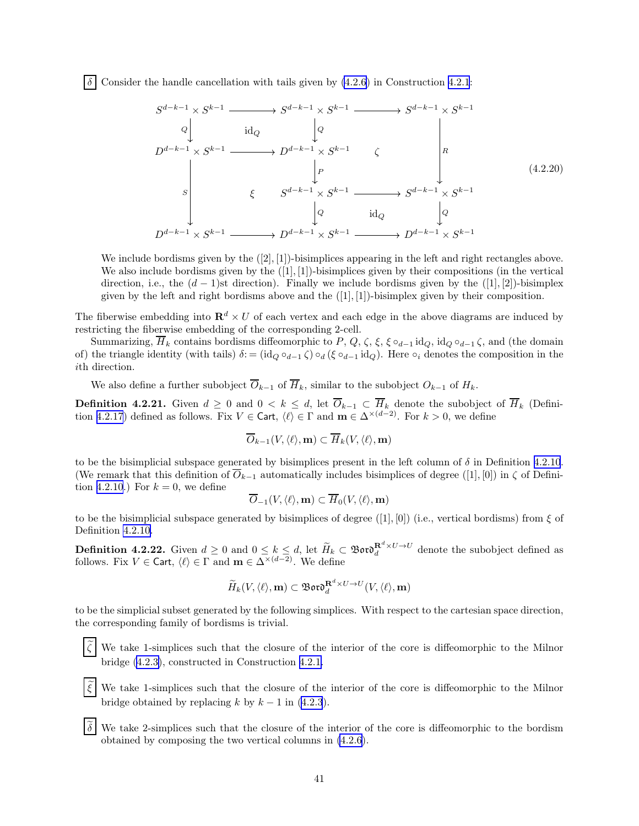<span id="page-40-0"></span>Consider the handle cancellation with tails given by  $(4.2.6)$  $(4.2.6)$  in Construction [4.2.1](#page-31-0):

$$
S^{d-k-1} \times S^{k-1} \longrightarrow S^{d-k-1} \times S^{k-1} \longrightarrow S^{d-k-1} \times S^{k-1}
$$
\n
$$
D^{d-k-1} \times S^{k-1} \longrightarrow D^{d-k-1} \times S^{k-1} \qquad \zeta
$$
\n
$$
S \downarrow P \downarrow R \qquad (4.2.20)
$$
\n
$$
S \downarrow Q \qquad \qquad \downarrow Q \qquad \qquad \downarrow Q \qquad \qquad \downarrow Q
$$
\n
$$
D^{d-k-1} \times S^{k-1} \longrightarrow D^{d-k-1} \times S^{k-1} \longrightarrow D^{d-k-1} \times S^{k-1}
$$
\n
$$
D^{d-k-1} \times S^{k-1} \longrightarrow D^{d-k-1} \times S^{k-1} \longrightarrow D^{d-k-1} \times S^{k-1}
$$
\n
$$
(4.2.20)
$$

We include bordisms given by the  $([2], [1])$ -bisimplices appearing in the left and right rectangles above. We also include bordisms given by the  $([1], [1])$ -bisimplices given by their compositions (in the vertical direction, i.e., the  $(d-1)$ st direction). Finally we include bordisms given by the  $([1], [2])$ -bisimplex given by the left and right bordisms above and the  $([1], [1])$ -bisimplex given by their composition.

The fiberwise embedding into  $\mathbb{R}^d \times U$  of each vertex and each edge in the above diagrams are induced by restricting the fiberwise embedding of the corresponding 2-cell.

Summarizing,  $\overline{H}_k$  contains bordisms diffeomorphic to P, Q,  $\zeta$ ,  $\xi$ ,  $\xi \circ_{d-1} \mathrm{id}_Q$ ,  $\mathrm{id}_Q \circ_{d-1} \zeta$ , and (the domain of) the triangle identity (with tails)  $\delta$ : = (id<sub>Q</sub> ∘<sub>d−1</sub>  $\zeta$ ) ∘<sub>d</sub> ( $\xi$  ∘<sub>d−1</sub> id<sub>Q</sub>). Here ∘<sub>i</sub> denotes the composition in the ith direction.

We also define a further subobject  $\overline{O}_{k-1}$  of  $\overline{H}_k$ , similar to the subobject  $O_{k-1}$  of  $H_k$ .

**Definition 4.2.21.** Given  $d \geq 0$  and  $0 < k \leq d$ , let  $\overline{O}_{k-1} \subset \overline{H}_k$  denote the subobject of  $\overline{H}_k$  (Defini-tion [4.2.17](#page-38-0)) defined as follows. Fix  $V \in \mathsf{Cart}$ ,  $\langle \ell \rangle \in \Gamma$  and  $\mathbf{m} \in \Delta^{\times(d-2)}$ . For  $k > 0$ , we define

$$
\overline{O}_{k-1}(V,\langle \ell \rangle,{\mathbf m}) \subset \overline{H}_k(V,\langle \ell \rangle,{\mathbf m})
$$

to be the bisimplicial subspace generated by bisimplices present in the left column of  $\delta$  in Definition [4.2.10](#page-36-0). (We remark that this definition of  $\overline{O}_{k-1}$  automatically includes bisimplices of degree ([1], [0]) in  $\zeta$  of Defini-tion [4.2.10](#page-36-0).) For  $k = 0$ , we define

$$
\overline{O}_{-1}(V, \langle \ell \rangle, \mathbf{m}) \subset \overline{H}_0(V, \langle \ell \rangle, \mathbf{m})
$$

to be the bisimplicial subspace generated by bisimplices of degree  $([1], [0])$  (i.e., vertical bordisms) from  $\xi$  of Definition [4.2.10](#page-36-0).

**Definition 4.2.22.** Given  $d \geq 0$  and  $0 \leq k \leq d$ , let  $\widetilde{H}_k \subset \mathfrak{B}$  or  $\mathfrak{d}^{R^d \times U \to U}_d$  denote the subobject defined as follows. Fix  $V \in \mathsf{Cart}$ ,  $\langle \ell \rangle \in \Gamma$  and  $\mathbf{m} \in \Delta^{\times(d-2)}$ . We define

$$
\widetilde{H}_k(V,\langle\ell\rangle,\mathbf{m})\subset\mathfrak{B}\mathfrak{o}\mathfrak{r}\mathfrak{d}_d^{\mathbf{R}^d\times U\to U}(V,\langle\ell\rangle,\mathbf{m})
$$

to be the simplicial subset generated by the following simplices. With respect to the cartesian space direction, the corresponding family of bordisms is trivial.

We take 1-simplices such that the closure of the interior of the core is diffeomorphic to the Milnor bridge [\(4.2.3\)](#page-32-0), constructed in Construction [4.2.1.](#page-31-0)

- We take 1-simplices such that the closure of the interior of the core is diffeomorphic to the Milnor bridge obtained by replacing k by  $k - 1$  in ([4.2.3](#page-32-0)).
- We take 2-simplices such that the closure of the interior of the core is diffeomorphic to the bordism obtained by composing the two vertical columns in [\(4.2.6](#page-35-0)).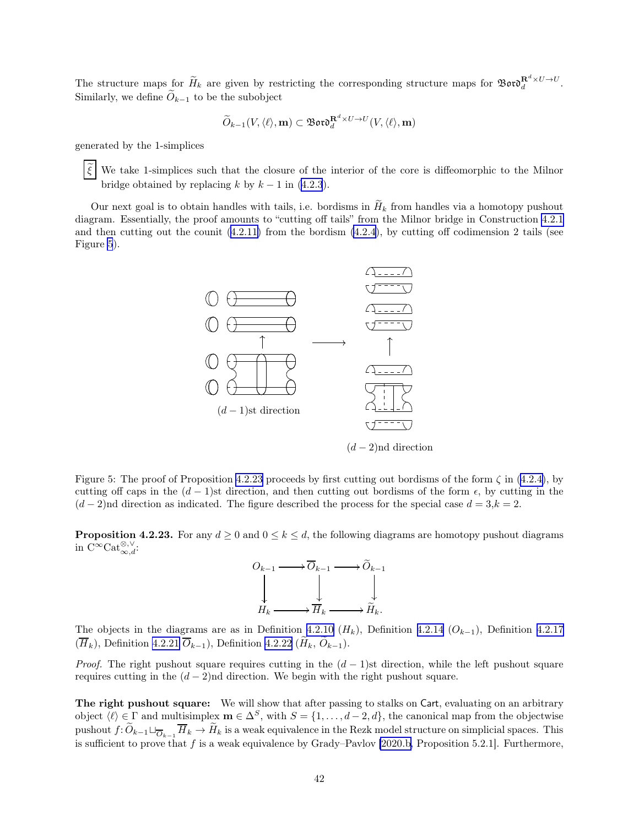<span id="page-41-0"></span>The structure maps for  $\widetilde{H}_k$  are given by restricting the corresponding structure maps for  $\mathfrak{B}$ or $\mathfrak{d}^{\mathbf{R}^d \times U \to U}_d$ . Similarly, we define  $\widetilde{O}_{k-1}$  to be the subobject

$$
\widetilde{O}_{k-1}(V,\langle \ell \rangle,{\mathbf m}) \subset {\mathfrak B}{\mathfrak o}{\mathfrak r}{\mathfrak d}_d^{{\mathbf R}^d \times U \to U}(V,\langle \ell \rangle,{\mathbf m})
$$

generated by the 1-simplices

 $\xi$  We take 1-simplices such that the closure of the interior of the core is diffeomorphic to the Milnor bridge obtained by replacing k by  $k - 1$  in ([4.2.3](#page-32-0)).

Our next goal is to obtain handles with tails, i.e. bordisms in  $H_k$  from handles via a homotopy pushout diagram. Essentially, the proof amounts to "cutting off tails" from the Milnor bridge in Construction [4.2.1](#page-31-0) and then cutting out the counit  $(4.2.11)$  from the bordism  $(4.2.4)$  $(4.2.4)$ , by cutting off codimension 2 tails (see Figure 5).



 $(d-2)$ nd direction

Figure 5: The proof of Proposition 4.2.23 proceeds by first cutting out bordisms of the form  $\zeta$  in [\(4.2.4\)](#page-32-0), by cutting off caps in the  $(d-1)$ st direction, and then cutting out bordisms of the form  $\epsilon$ , by cutting in the  $(d-2)$ nd direction as indicated. The figure described the process for the special case  $d = 3, k = 2$ .

**Proposition 4.2.23.** For any  $d \ge 0$  and  $0 \le k \le d$ , the following diagrams are homotopy pushout diagrams in  $\mathrm{C}^{\infty}\mathrm{Cat}_{\infty,d}^{\otimes,\vee}$ :



The objects in the diagrams are as in Definition [4.2.10](#page-36-0) ( $H_k$ ), Definition [4.2.14](#page-37-0) ( $O_{k-1}$ ), Definition [4.2.17](#page-38-0)  $(\overline{H}_k)$ , Definition [4.2.21](#page-40-0)  $\overline{O}_{k-1}$ ), Definition [4.2.22](#page-40-0) ( $\widetilde{H}_k$ ,  $\widetilde{O}_{k-1}$ ).

*Proof.* The right pushout square requires cutting in the  $(d-1)$ st direction, while the left pushout square requires cutting in the  $(d-2)$ nd direction. We begin with the right pushout square.

The right pushout square: We will show that after passing to stalks on Cart, evaluating on an arbitrary object  $\langle \ell \rangle \in \Gamma$  and multisimplex  $\mathbf{m} \in \Delta^S$ , with  $S = \{1, \ldots, d-2, d\}$ , the canonical map from the objectwise pushout  $f: \widetilde{O}_{k-1} \sqcup_{\overline{O}_{k-1}} \overline{H}_k \to \widetilde{H}_k$  is a weak equivalence in the Rezk model structure on simplicial spaces. This is sufficient to prove that f is a weak equivalence by Grady–Pavlov [\[2020.b,](#page-63-0) Proposition 5.2.1]. Furthermore,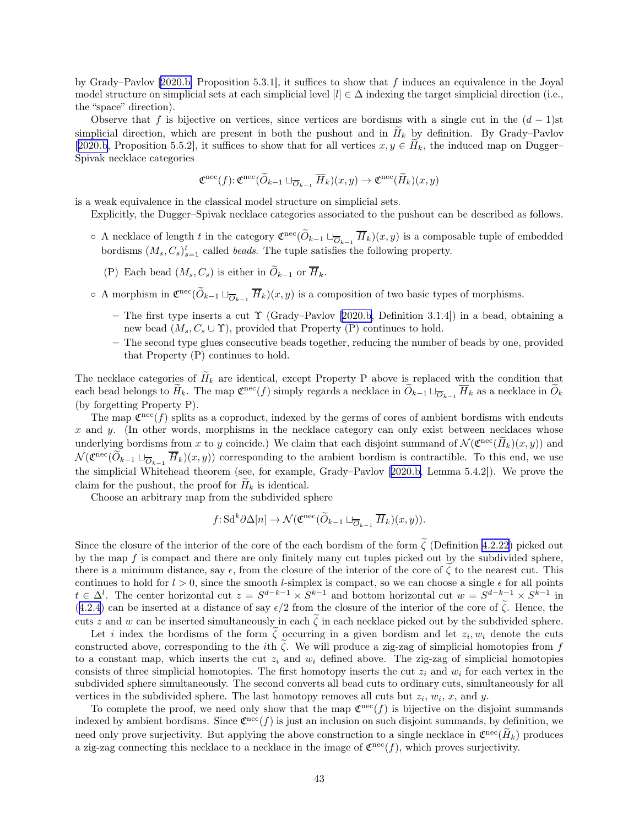by Grady–Pavlov [\[2020.b,](#page-63-0) Proposition 5.3.1], it suffices to show that f induces an equivalence in the Joyal model structure on simplicial sets at each simplicial level  $[l] \in \Delta$  indexing the target simplicial direction (i.e., the "space" direction).

Observe that f is bijective on vertices, since vertices are bordisms with a single cut in the  $(d-1)$ st simplicial direction, which are present in both the pushout and in  $H_k$  by definition. By Grady–Pavlov [[2020.b,](#page-63-0) Proposition 5.5.2], it suffices to show that for all vertices  $x, y \in H_k$ , the induced map on Dugger– Spivak necklace categories

$$
\mathfrak{C}^{\rm nec}(f) \colon \mathfrak{C}^{\rm nec}(\widetilde{O}_{k-1} \sqcup_{\overline{O}_{k-1}} \overline{H}_k)(x, y) \to \mathfrak{C}^{\rm nec}(\widetilde{H}_k)(x, y)
$$

is a weak equivalence in the classical model structure on simplicial sets.

Explicitly, the Dugger–Spivak necklace categories associated to the pushout can be described as follows.

- A necklace of length t in the category  $\mathfrak{C}^{\text{nec}}(\tilde{O}_{k-1} \sqcup_{\overline{O}_{k-1}} \overline{H}_k)(x, y)$  is a composable tuple of embedded bordisms  $(M_s, C_s)_{s=1}^t$  called *beads*. The tuple satisfies the following property.
	- (P) Each bead  $(M_s, C_s)$  is either in  $\widetilde{O}_{k-1}$  or  $\overline{H}_k$ .
- $\circ$  A morphism in  $\mathfrak{C}^{\text{rec}}(O_{k-1} \sqcup_{\overline{O}_{k-1}} \overline{H}_k)(x, y)$  is a composition of two basic types of morphisms.
	- –The first type inserts a cut  $\Upsilon$  (Grady–Pavlov [[2020.b,](#page-63-0) Definition 3.1.4]) in a bead, obtaining a new bead  $(M_s, C_s \cup \Upsilon)$ , provided that Property (P) continues to hold.
	- The second type glues consecutive beads together, reducing the number of beads by one, provided that Property (P) continues to hold.

The necklace categories of  $\widetilde{H}_k$  are identical, except Property P above is replaced with the condition that each bead belongs to  $\widetilde{H}_k$ . The map  $\mathfrak{C}^{\text{nec}}(f)$  simply regards a necklace in  $\widetilde{O}_{k-1}\sqcup_{\overline{O}_{k-1}} \overline{H}_k$  as a necklace in  $\widetilde{O}_k$ (by forgetting Property P).

The map  $\mathfrak{C}^{\text{nec}}(f)$  splits as a coproduct, indexed by the germs of cores of ambient bordisms with endcuts  $x$  and  $y$ . (In other words, morphisms in the necklace category can only exist between necklaces whose underlying bordisms from x to y coincide.) We claim that each disjoint summand of  $\mathcal{N}(\mathfrak{C}^{\text{rec}}(\tilde{H}_k)(x, y))$  and  $\mathcal{N}(\mathfrak{C}^{\text{nec}}(\widetilde{O}_{k-1}\sqcup_{\overline{O}_{k-1}}\overline{H}_k)(x,y))$  corresponding to the ambient bordism is contractible. To this end, we use the simplicial Whitehead theorem (see, for example, Grady–Pavlov[[2020.b,](#page-63-0) Lemma 5.4.2]). We prove the claim for the pushout, the proof for  $H_k$  is identical.

Choose an arbitrary map from the subdivided sphere

$$
f: \mathrm{Sd}^k \partial \Delta[n] \to \mathcal{N}(\mathfrak{C}^{\mathrm{nec}}(\widetilde{O}_{k-1} \sqcup_{\overline{O}_{k-1}} \overline{H}_k)(x, y)).
$$

Since the closure of the interior of the core of the each bordism of the form  $\tilde{\zeta}$  (Definition [4.2.22\)](#page-40-0) picked out by the map  $f$  is compact and there are only finitely many cut tuples picked out by the subdivided sphere, there is a minimum distance, say  $\epsilon$ , from the closure of the interior of the core of  $\zeta$  to the nearest cut. This continues to hold for  $l > 0$ , since the smooth *l*-simplex is compact, so we can choose a single  $\epsilon$  for all points  $t \in \Delta^l$ . The center horizontal cut  $z = S^{d-k-1} \times S^{k-1}$  and bottom horizontal cut  $w = S^{d-k-1} \times S^{k-1}$  in ([4.2.4](#page-32-0)) can be inserted at a distance of say  $\epsilon/2$  from the closure of the interior of the core of  $\tilde{\zeta}$ . Hence, the cuts z and w can be inserted simultaneously in each  $\tilde{\zeta}$  in each necklace picked out by the subdivided sphere.

Let *i* index the bordisms of the form  $\zeta$  occurring in a given bordism and let  $z_i, w_i$  denote the cuts constructed above, corresponding to the *i*th  $\zeta$ . We will produce a zig-zag of simplicial homotopies from f to a constant map, which inserts the cut  $z_i$  and  $w_i$  defined above. The zig-zag of simplicial homotopies consists of three simplicial homotopies. The first homotopy inserts the cut  $z_i$  and  $w_i$  for each vertex in the subdivided sphere simultaneously. The second converts all bead cuts to ordinary cuts, simultaneously for all vertices in the subdivided sphere. The last homotopy removes all cuts but  $z_i$ ,  $w_i$ ,  $x$ , and  $y$ .

To complete the proof, we need only show that the map  $\mathfrak{C}^{\text{nec}}(f)$  is bijective on the disjoint summands indexed by ambient bordisms. Since  $\mathfrak{C}^{\text{rec}}(f)$  is just an inclusion on such disjoint summands, by definition, we need only prove surjectivity. But applying the above construction to a single necklace in  $\mathfrak{C}^{\text{rec}}(H_k)$  produces a zig-zag connecting this necklace to a necklace in the image of  $\mathfrak{C}^{\text{nec}}(f)$ , which proves surjectivity.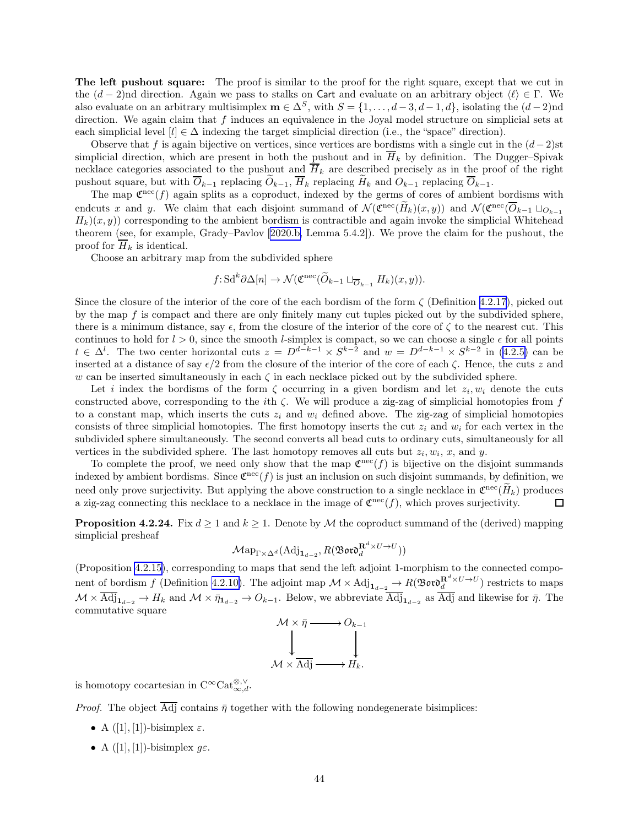<span id="page-43-0"></span>The left pushout square: The proof is similar to the proof for the right square, except that we cut in the  $(d-2)$ nd direction. Again we pass to stalks on Cart and evaluate on an arbitrary object  $\langle \ell \rangle \in \Gamma$ . We also evaluate on an arbitrary multisimplex  $\mathbf{m} \in \Delta^S$ , with  $S = \{1, \ldots, d-3, d-1, d\}$ , isolating the  $(d-2)$ nd direction. We again claim that f induces an equivalence in the Joyal model structure on simplicial sets at each simplicial level  $[l] \in \Delta$  indexing the target simplicial direction (i.e., the "space" direction).

Observe that f is again bijective on vertices, since vertices are bordisms with a single cut in the  $(d-2)$ st simplicial direction, which are present in both the pushout and in  $\overline{H}_k$  by definition. The Dugger–Spivak necklace categories associated to the pushout and  $\overline{H}_k$  are described precisely as in the proof of the right pushout square, but with  $\overline{O}_{k-1}$  replacing  $\widetilde{O}_{k-1}$ ,  $\overline{H}_k$  replacing  $\widetilde{H}_k$  and  $O_{k-1}$  replacing  $\overline{O}_{k-1}$ .

The map  $\mathfrak{C}^{\text{rec}}(f)$  again splits as a coproduct, indexed by the germs of cores of ambient bordisms with endcuts x and y. We claim that each disjoint summand of  $\mathcal{N}(\mathfrak{C}^{\text{rec}}(H_k)(x,y))$  and  $\mathcal{N}(\mathfrak{C}^{\text{rec}}(\overline{O}_{k-1}\sqcup_{O_{k-1}}$  $H_k(x, y)$  corresponding to the ambient bordism is contractible and again invoke the simplicial Whitehead theorem (see, for example, Grady–Pavlov [\[2020.b,](#page-63-0) Lemma 5.4.2]). We prove the claim for the pushout, the proof for  $\overline{H}_k$  is identical.

Choose an arbitrary map from the subdivided sphere

$$
f: Sd^k \partial \Delta[n] \to \mathcal{N}(\mathfrak{C}^{\text{rec}}(\widetilde{O}_{k-1} \sqcup_{\overline{O}_{k-1}} H_k)(x, y)).
$$

Since the closure of the interior of the core of the each bordism of the form  $\zeta$  (Definition [4.2.17](#page-38-0)), picked out by the map  $f$  is compact and there are only finitely many cut tuples picked out by the subdivided sphere, there is a minimum distance, say  $\epsilon$ , from the closure of the interior of the core of  $\zeta$  to the nearest cut. This continues to hold for  $l > 0$ , since the smooth *l*-simplex is compact, so we can choose a single  $\epsilon$  for all points  $t \in \Delta^l$ . The two center horizontal cuts  $z = D^{d-k-1} \times S^{k-2}$  and  $w = D^{d-k-1} \times S^{k-2}$  in [\(4.2.5\)](#page-33-0) can be inserted at a distance of say  $\epsilon/2$  from the closure of the interior of the core of each  $\zeta$ . Hence, the cuts z and w can be inserted simultaneously in each  $\zeta$  in each necklace picked out by the subdivided sphere.

Let i index the bordisms of the form  $\zeta$  occurring in a given bordism and let  $z_i, w_i$  denote the cuts constructed above, corresponding to the *i*th  $\zeta$ . We will produce a zig-zag of simplicial homotopies from f to a constant map, which inserts the cuts  $z_i$  and  $w_i$  defined above. The zig-zag of simplicial homotopies consists of three simplicial homotopies. The first homotopy inserts the cut  $z_i$  and  $w_i$  for each vertex in the subdivided sphere simultaneously. The second converts all bead cuts to ordinary cuts, simultaneously for all vertices in the subdivided sphere. The last homotopy removes all cuts but  $z_i, w_i, x$ , and y.

To complete the proof, we need only show that the map  $\mathfrak{C}^{\text{rec}}(f)$  is bijective on the disjoint summands indexed by ambient bordisms. Since  $\mathfrak{C}^{\text{rec}}(f)$  is just an inclusion on such disjoint summands, by definition, we need only prove surjectivity. But applying the above construction to a single necklace in  $\mathfrak{C}^{\text{rec}}(H_k)$  produces a zig-zag connecting this necklace to a necklace in the image of  $\mathfrak{C}^{\text{nec}}(f)$ , which proves surjectivity.

**Proposition 4.2.24.** Fix  $d \geq 1$  and  $k \geq 1$ . Denote by M the coproduct summand of the (derived) mapping simplicial presheaf

$$
\mathcal{M}\mathrm{ap}_{\Gamma \times \Delta^d}(\mathrm{Adj}_{{\bf 1}_{d-2}},R(\mathfrak{B}\mathfrak{ord}^{{\bf R}^d\times U\rightarrow U}_d))
$$

(Proposition [4.2.15](#page-38-0)), corresponding to maps that send the left adjoint 1-morphism to the connected compo-nent of bordism f (Definition [4.2.10\)](#page-36-0). The adjoint map  $\mathcal{M} \times \text{Adj}_{1_{d-2}} \to R(\mathfrak{B} \mathfrak{ov} \mathfrak{d}^{R^d \times U \to U}_d)$  restricts to maps  $\mathcal{M} \times \text{Adj}_{1_{d-2}} \to H_k$  and  $\mathcal{M} \times \bar{\eta}_{1_{d-2}} \to O_{k-1}$ . Below, we abbreviate  $\text{Adj}_{1_{d-2}}$  as Adj and likewise for  $\bar{\eta}$ . The commutative square

$$
\begin{array}{ccc}\nM \times \bar{\eta} \longrightarrow O_{k-1} \\
\downarrow \qquad & \downarrow \\
\downarrow M \times \overline{\text{Adj}} \longrightarrow H_k.\n\end{array}
$$

is homotopy cocartesian in  $C^{\infty} \text{Cat}_{\infty,d}^{\otimes,\vee}$ .

*Proof.* The object  $\overline{\text{Adj}}$  contains  $\bar{\eta}$  together with the following nondegenerate bisimplices:

- A  $([1],[1])$ -bisimplex  $\varepsilon$ .
- A  $([1], [1])$ -bisimplex  $g\varepsilon$ .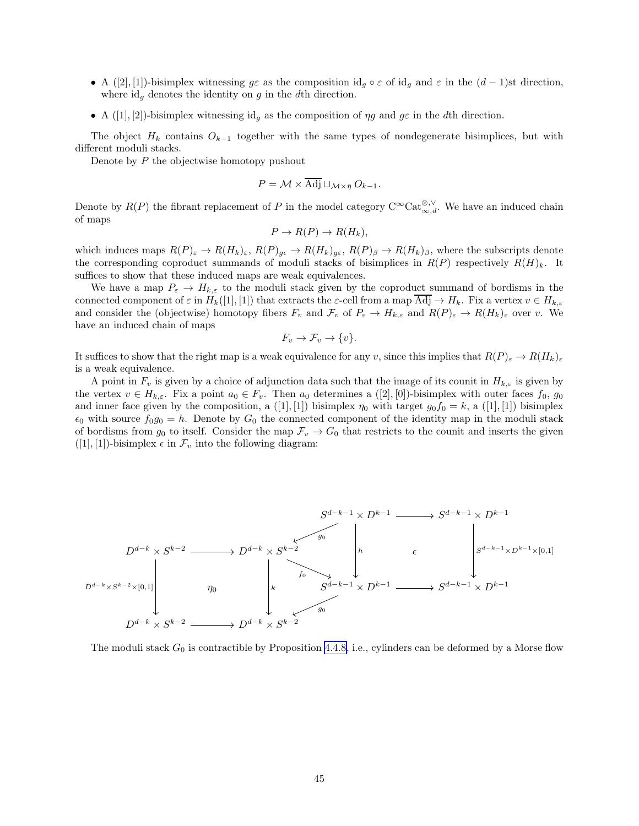- A ([2], [1])-bisimplex witnessing  $g\varepsilon$  as the composition id<sub>g</sub> ∘  $\varepsilon$  of id<sub>g</sub> and  $\varepsilon$  in the  $(d-1)$ st direction, where  $id_q$  denotes the identity on g in the dth direction.
- A ([1], [2])-bisimplex witnessing id<sub>a</sub> as the composition of  $\eta g$  and  $g\varepsilon$  in the dth direction.

The object  $H_k$  contains  $O_{k-1}$  together with the same types of nondegenerate bisimplices, but with different moduli stacks.

Denote by  $P$  the objectwise homotopy pushout

$$
P = \mathcal{M} \times \overline{\text{Adj}} \sqcup_{\mathcal{M} \times \bar{\eta}} O_{k-1}.
$$

Denote by  $R(P)$  the fibrant replacement of P in the model category  $C^{\infty}$ Cat $_{\infty,d}^{\otimes,\vee}$ . We have an induced chain of maps

$$
P \to R(P) \to R(H_k),
$$

which induces maps  $R(P)_{\varepsilon} \to R(H_k)_{\varepsilon}, R(P)_{g\varepsilon} \to R(H_k)_{g\varepsilon}, R(P)_{\beta} \to R(H_k)_{\beta}$ , where the subscripts denote the corresponding coproduct summands of moduli stacks of bisimplices in  $R(P)$  respectively  $R(H)_k$ . It suffices to show that these induced maps are weak equivalences.

We have a map  $P_{\varepsilon} \to H_{k,\varepsilon}$  to the moduli stack given by the coproduct summand of bordisms in the connected component of  $\varepsilon$  in  $H_k([1], [1])$  that extracts the  $\varepsilon$ -cell from a map  $\overline{\text{Adj}} \to H_k$ . Fix a vertex  $v \in H_{k,\varepsilon}$ and consider the (objectwise) homotopy fibers  $F_v$  and  $\mathcal{F}_v$  of  $P_\varepsilon \to H_{k,\varepsilon}$  and  $R(P)_{\varepsilon} \to R(H_k)_{\varepsilon}$  over v. We have an induced chain of maps

$$
F_v \to \mathcal{F}_v \to \{v\}.
$$

It suffices to show that the right map is a weak equivalence for any v, since this implies that  $R(P)_{\varepsilon} \to R(H_k)_{\varepsilon}$ is a weak equivalence.

A point in  $F_v$  is given by a choice of adjunction data such that the image of its counit in  $H_{k,\varepsilon}$  is given by the vertex  $v \in H_{k,\varepsilon}$ . Fix a point  $a_0 \in F_v$ . Then  $a_0$  determines a  $([2], [0])$ -bisimplex with outer faces  $f_0, g_0$ and inner face given by the composition, a ([1], [1]) bisimplex  $\eta_0$  with target  $g_0 f_0 = k$ , a ([1], [1]) bisimplex  $\epsilon_0$  with source  $f_0g_0 = h$ . Denote by  $G_0$  the connected component of the identity map in the moduli stack of bordisms from  $g_0$  to itself. Consider the map  $\mathcal{F}_v \to G_0$  that restricts to the counit and inserts the given  $([1], [1])$ -bisimplex  $\epsilon$  in  $\mathcal{F}_v$  into the following diagram:



The moduli stack  $G_0$  is contractible by Proposition [4.4.8,](#page-52-0) i.e., cylinders can be deformed by a Morse flow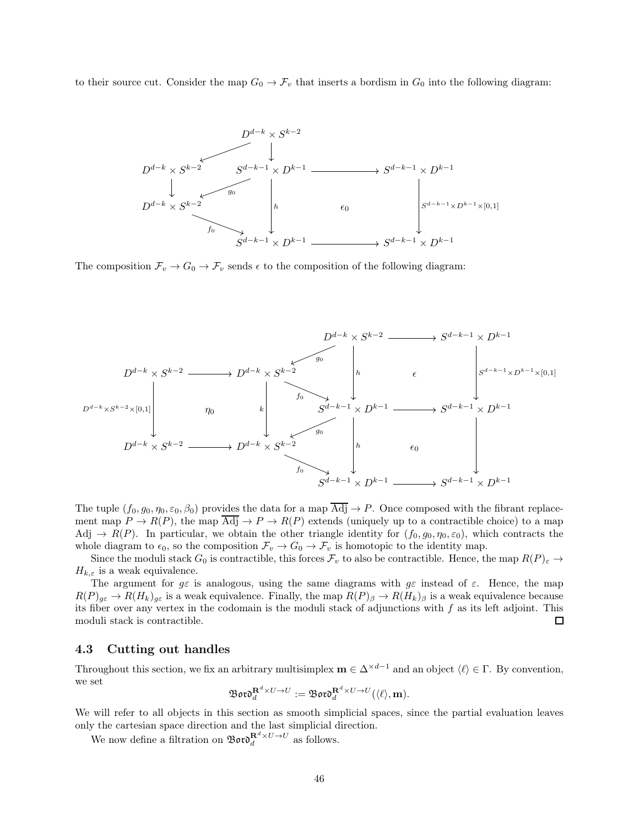<span id="page-45-0"></span>to their source cut. Consider the map  $G_0 \to \mathcal{F}_v$  that inserts a bordism in  $G_0$  into the following diagram:



The composition  $\mathcal{F}_v \to G_0 \to \mathcal{F}_v$  sends  $\epsilon$  to the composition of the following diagram:



The tuple  $(f_0, g_0, \eta_0, \varepsilon_0, \beta_0)$  provides the data for a map Adj  $\rightarrow P$ . Once composed with the fibrant replacement map  $P \to R(P)$ , the map  $\overline{Adj} \to P \to R(P)$  extends (uniquely up to a contractible choice) to a map Adj  $\rightarrow R(P)$ . In particular, we obtain the other triangle identity for  $(f_0, g_0, \eta_0, \varepsilon_0)$ , which contracts the whole diagram to  $\epsilon_0$ , so the composition  $\mathcal{F}_v \to G_0 \to \mathcal{F}_v$  is homotopic to the identity map.

Since the moduli stack  $G_0$  is contractible, this forces  $\mathcal{F}_v$  to also be contractible. Hence, the map  $R(P)_{\varepsilon} \to$  $H_{k,\varepsilon}$  is a weak equivalence.

The argument for  $g\varepsilon$  is analogous, using the same diagrams with  $g\varepsilon$  instead of  $\varepsilon$ . Hence, the map  $R(P)_{g\varepsilon} \to R(H_k)_{g\varepsilon}$  is a weak equivalence. Finally, the map  $R(P)_{\beta} \to R(H_k)_{\beta}$  is a weak equivalence because its fiber over any vertex in the codomain is the moduli stack of adjunctions with  $f$  as its left adjoint. This moduli stack is contractible.  $\Box$ 

#### 4.3 Cutting out handles

Throughout this section, we fix an arbitrary multisimplex  $\mathbf{m} \in \Delta^{\times d-1}$  and an object  $\langle \ell \rangle \in \Gamma$ . By convention, we set

$$
\mathfrak{B}\mathfrak{o}\mathfrak{r}\mathfrak{d}^{\mathbf{R}^d\times U\to U}_d:=\mathfrak{B}\mathfrak{o}\mathfrak{r}\mathfrak{d}^{\mathbf{R}^d\times U\to U}_d(\langle\ell\rangle,\mathbf{m}).
$$

We will refer to all objects in this section as smooth simplicial spaces, since the partial evaluation leaves only the cartesian space direction and the last simplicial direction.

We now define a filtration on  $\mathfrak{B}$  or  $\mathfrak{d}^{\mathbf{R}^d \times U \rightarrow U}_d$  as follows.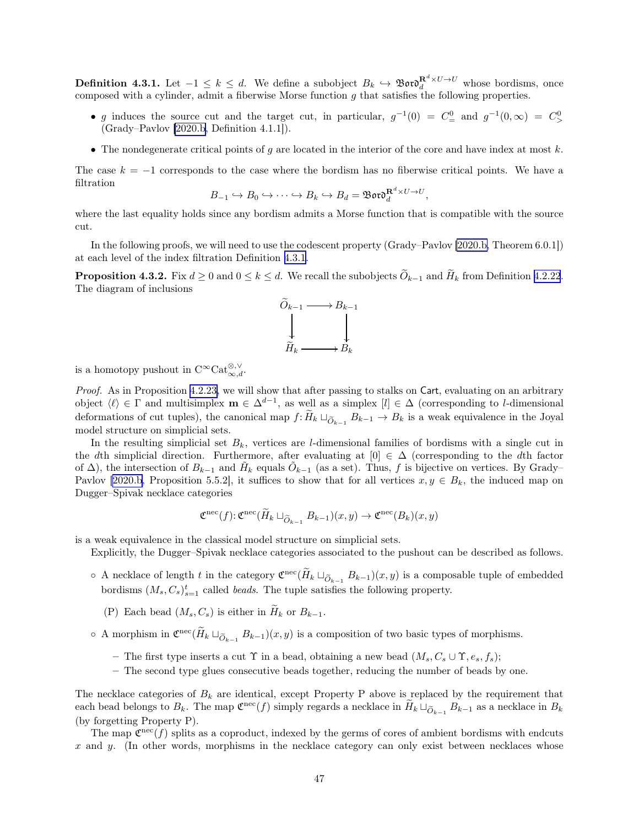<span id="page-46-0"></span>**Definition 4.3.1.** Let  $-1 \leq k \leq d$ . We define a subobject  $B_k \hookrightarrow \mathfrak{B}ov \mathfrak{d}_d^{R^d \times U \to U}$  whose bordisms, once composed with a cylinder, admit a fiberwise Morse function  $g$  that satisfies the following properties.

- g induces the source cut and the target cut, in particular,  $g^{-1}(0) = C_{\equiv}^0$  and  $g^{-1}(0, \infty) = C_{\geq}^0$ (Grady–Pavlov [\[2020.b,](#page-63-0) Definition 4.1.1]).
- The nondegenerate critical points of g are located in the interior of the core and have index at most  $k$ .

The case  $k = -1$  corresponds to the case where the bordism has no fiberwise critical points. We have a filtration

$$
B_{-1} \hookrightarrow B_0 \hookrightarrow \cdots \hookrightarrow B_k \hookrightarrow B_d = \mathfrak{B}\mathfrak{ord}_d^{\mathbf{R}^d \times U \to U},
$$

where the last equality holds since any bordism admits a Morse function that is compatible with the source cut.

In the following proofs, we will need to use the codescent property (Grady–Pavlov [\[2020.b,](#page-63-0) Theorem 6.0.1]) at each level of the index filtration Definition [4.3.1](#page-45-0).

**Proposition 4.3.2.** Fix  $d \ge 0$  and  $0 \le k \le d$ . We recall the subobjects  $\widetilde{O}_{k-1}$  and  $\widetilde{H}_k$  from Definition [4.2.22](#page-40-0). The diagram of inclusions



is a homotopy pushout in  $C^{\infty} \text{Cat}_{\infty,d}^{\otimes,\vee}$ .

Proof. As in Proposition [4.2.23,](#page-41-0) we will show that after passing to stalks on Cart, evaluating on an arbitrary object  $\langle \ell \rangle \in \Gamma$  and multisimplex  $\mathbf{m} \in \Delta^{d-1}$ , as well as a simplex  $[l] \in \Delta$  (corresponding to *l*-dimensional deformations of cut tuples), the canonical map  $f: H_k \sqcup_{\widetilde{O}_{k-1}} B_{k-1} \to B_k$  is a weak equivalence in the Joyal model structure on simplicial sets.

In the resulting simplicial set  $B_k$ , vertices are *l*-dimensional families of bordisms with a single cut in the dth simplicial direction. Furthermore, after evaluating at  $[0] \in \Delta$  (corresponding to the dth factor of  $\Delta$ ), the intersection of  $B_{k-1}$  and  $\tilde{H}_k$  equals  $\tilde{O}_{k-1}$  (as a set). Thus, f is bijective on vertices. By Grady– Pavlov [\[2020.b](#page-63-0), Proposition 5.5.2], it suffices to show that for all vertices  $x, y \in B_k$ , the induced map on Dugger–Spivak necklace categories

$$
\mathfrak{C}^{\rm nec}(f) \colon \mathfrak{C}^{\rm nec}(\widetilde{H}_k \sqcup_{\widetilde{O}_{k-1}} B_{k-1})(x, y) \to \mathfrak{C}^{\rm nec}(B_k)(x, y)
$$

is a weak equivalence in the classical model structure on simplicial sets.

Explicitly, the Dugger–Spivak necklace categories associated to the pushout can be described as follows.

- $\circ$  A necklace of length t in the category  $\mathfrak{C}^{\text{rec}}(\tilde{H}_k \sqcup_{\tilde{O}_{k-1}} B_{k-1})(x, y)$  is a composable tuple of embedded bordisms  $(M_s, C_s)_{s=1}^t$  called *beads*. The tuple satisfies the following property.
	- (P) Each bead  $(M_s, C_s)$  is either in  $\widetilde{H}_k$  or  $B_{k-1}$ .
- $\circ$  A morphism in  $\mathfrak{C}^{\text{rec}}(H_k \sqcup_{\widetilde{O}_{k-1}} B_{k-1})(x, y)$  is a composition of two basic types of morphisms.
	- The first type inserts a cut  $\Upsilon$  in a bead, obtaining a new bead  $(M_s, C_s \cup \Upsilon, e_s, f_s);$
	- The second type glues consecutive beads together, reducing the number of beads by one.

The necklace categories of  $B_k$  are identical, except Property P above is replaced by the requirement that each bead belongs to  $B_k$ . The map  $\mathfrak{C}^{\text{nec}}(f)$  simply regards a necklace in  $\widetilde{H}_k \sqcup_{\widetilde{O}_{k-1}} B_{k-1}$  as a necklace in  $B_k$ (by forgetting Property P).

The map  $\mathfrak{C}^{\text{nec}}(f)$  splits as a coproduct, indexed by the germs of cores of ambient bordisms with endcuts  $x$  and  $y$ . (In other words, morphisms in the necklace category can only exist between necklaces whose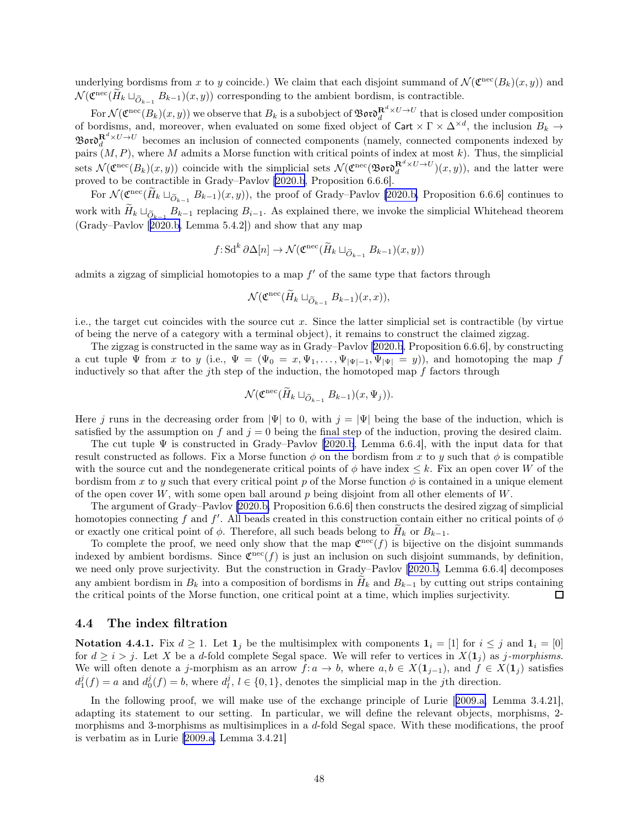<span id="page-47-0"></span>underlying bordisms from x to y coincide.) We claim that each disjoint summand of  $\mathcal{N}(\mathfrak{C}^{\text{rec}}(B_k)(x, y))$  and  $\mathcal{N}(\mathfrak{C}^{\text{nec}}(\tilde{H}_k \sqcup_{\tilde{O}_{k-1}} B_{k-1})(x, y))$  corresponding to the ambient bordism, is contractible.

For  $\mathcal{N}(\mathfrak{C}^{\text{nec}}(B_k)(x,y))$  we observe that  $B_k$  is a subobject of  $\mathfrak{B}$ oro $\mathfrak{d}^{\mathbf{R}^d\times U\to U}_d$  that is closed under composition of bordisms, and, moreover, when evaluated on some fixed object of Cart  $\times \Gamma \times \Delta^{\times d}$ , the inclusion  $B_k \to$  $\mathfrak{B}$ or $\mathfrak{d}^{\mathbf{R}^d \times U \to U}_d$  becomes an inclusion of connected components (namely, connected components indexed by pairs  $(M, P)$ , where M admits a Morse function with critical points of index at most k). Thus, the simplicial sets  $\mathcal{N}(\mathfrak{C}^{\text{nec}}(B_k)(x,y))$  coincide with the simplicial sets  $\mathcal{N}(\mathfrak{C}^{\text{nec}}(\mathfrak{B} \mathfrak{ord}_d^{\mathbf{R}^d \times U \to U})(x,y))$ , and the latter were proved to be contractible in Grady–Pavlov [\[2020.b](#page-63-0), Proposition 6.6.6].

For  $\mathcal{N}(\mathfrak{C}^{\text{nec}}(H_k \sqcup_{\widetilde{O}_{k-1}} B_{k-1})(x, y))$ , the proof of Grady–Pavlov [\[2020.b,](#page-63-0) Proposition 6.6.6] continues to work with  $H_k \sqcup_{\widetilde{O}_{k-1}} B_{k-1}$  replacing  $B_{i-1}$ . As explained there, we invoke the simplicial Whitehead theorem (Grady–Pavlov[[2020.b,](#page-63-0) Lemma 5.4.2]) and show that any map

$$
f: \mathrm{Sd}^k \partial \Delta[n] \to \mathcal{N}(\mathfrak{C}^{\mathrm{rec}}(\widetilde{H}_k \sqcup_{\widetilde{O}_{k-1}} B_{k-1})(x, y))
$$

admits a zigzag of simplicial homotopies to a map  $f'$  of the same type that factors through

$$
\mathcal{N}(\mathfrak{C}^{\mathrm{nec}}(\widetilde{H}_k\sqcup_{\widetilde{O}_{k-1}}B_{k-1})(x,x)),
$$

i.e., the target cut coincides with the source cut x. Since the latter simplicial set is contractible (by virtue of being the nerve of a category with a terminal object), it remains to construct the claimed zigzag.

The zigzag is constructed in the same way as in Grady–Pavlov[[2020.b](#page-63-0), Proposition 6.6.6], by constructing a cut tuple  $\Psi$  from x to y (i.e.,  $\Psi = (\Psi_0 = x, \Psi_1, \dots, \Psi_{|\Psi|-1}, \Psi_{|\Psi|} = y)$ ), and homotoping the map f inductively so that after the jth step of the induction, the homotoped map  $f$  factors through

$$
\mathcal{N}(\mathfrak{C}^{\mathrm{nec}}(\widetilde{H}_k \sqcup_{\widetilde{O}_{k-1}} B_{k-1})(x,\Psi_j)).
$$

Here j runs in the decreasing order from  $|\Psi|$  to 0, with  $j = |\Psi|$  being the base of the induction, which is satisfied by the assumption on f and  $j = 0$  being the final step of the induction, proving the desired claim.

The cut tuple  $\Psi$  is constructed in Grady–Pavlov [\[2020.b](#page-63-0), Lemma 6.6.4], with the input data for that result constructed as follows. Fix a Morse function  $\phi$  on the bordism from x to y such that  $\phi$  is compatible with the source cut and the nondegenerate critical points of  $\phi$  have index  $\leq k$ . Fix an open cover W of the bordism from x to y such that every critical point p of the Morse function  $\phi$  is contained in a unique element of the open cover  $W$ , with some open ball around p being disjoint from all other elements of  $W$ .

The argument of Grady–Pavlov [\[2020.b,](#page-63-0) Proposition 6.6.6] then constructs the desired zigzag of simplicial homotopies connecting f and f'. All beads created in this construction contain either no critical points of  $\phi$ or exactly one critical point of  $\phi$ . Therefore, all such beads belong to  $H_k$  or  $B_{k-1}$ .

To complete the proof, we need only show that the map  $\mathfrak{C}^{\text{nec}}(f)$  is bijective on the disjoint summands indexed by ambient bordisms. Since  $\mathfrak{C}^{\text{rec}}(f)$  is just an inclusion on such disjoint summands, by definition, we need only prove surjectivity. But the construction in Grady–Pavlov[[2020.b,](#page-63-0) Lemma 6.6.4] decomposes any ambient bordism in  $B_k$  into a composition of bordisms in  $\tilde{H}_k$  and  $B_{k-1}$  by cutting out strips containing the critical points of the Morse function, one critical point at a time, which implies surjectivity. the critical points of the Morse function, one critical point at a time, which implies surjectivity.

#### 4.4 The index filtration

**Notation 4.4.1.** Fix  $d \ge 1$ . Let  $\mathbf{1}_j$  be the multisimplex with components  $\mathbf{1}_i = [1]$  for  $i \le j$  and  $\mathbf{1}_i = [0]$ for  $d \geq i > j$ . Let X be a d-fold complete Segal space. We will refer to vertices in  $X(1<sub>i</sub>)$  as j-morphisms. We will often denote a j-morphism as an arrow  $f: a \to b$ , where  $a, b \in X(1_{j-1})$ , and  $f \in X(1_j)$  satisfies  $d_1^j(f) = a$  and  $d_0^j(f) = b$ , where  $d_i^j$ ,  $l \in \{0, 1\}$ , denotes the simplicial map in the *j*th direction.

In the following proof, we will make use of the exchange principle of Lurie[[2009.a,](#page-62-0) Lemma 3.4.21], adapting its statement to our setting. In particular, we will define the relevant objects, morphisms, 2 morphisms and 3-morphisms as multisimplices in a d-fold Segal space. With these modifications, the proof is verbatim as in Lurie[[2009.a,](#page-62-0) Lemma 3.4.21]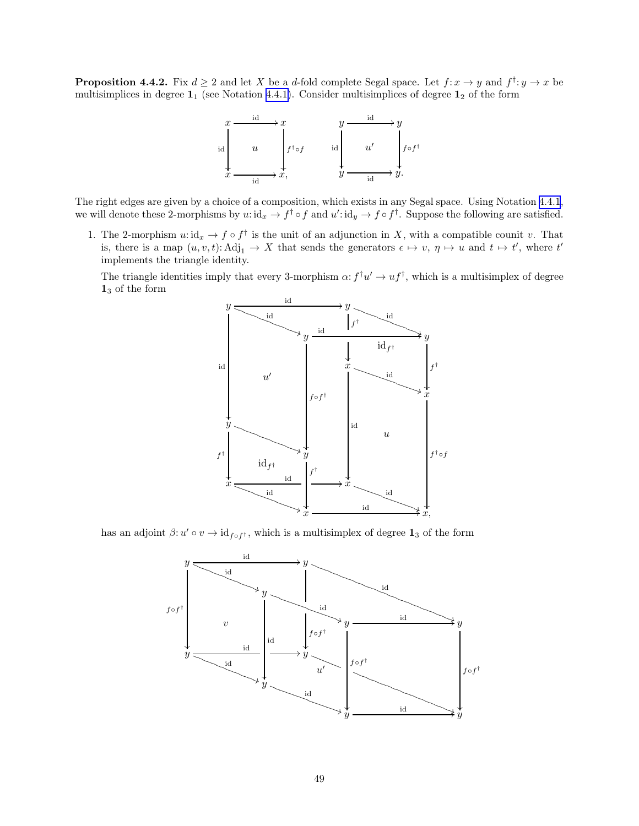**Proposition 4.4.2.** Fix  $d \geq 2$  and let X be a d-fold complete Segal space. Let  $f: x \to y$  and  $f^{\dagger}: y \to x$  be multisimplices in degree  $1_1$  (see Notation [4.4.1\)](#page-47-0). Consider multisimplices of degree  $1_2$  of the form



The right edges are given by a choice of a composition, which exists in any Segal space. Using Notation [4.4.1](#page-47-0), we will denote these 2-morphisms by  $u: id_x \to f^{\dagger} \circ f$  and  $u': id_y \to f \circ f^{\dagger}$ . Suppose the following are satisfied.

1. The 2-morphism  $u: id_x \to f \circ f^{\dagger}$  is the unit of an adjunction in X, with a compatible counit v. That is, there is a map  $(u, v, t)$ :  $\text{Adj}_1 \to X$  that sends the generators  $\epsilon \mapsto v, \eta \mapsto u$  and  $t \mapsto t'$ , where  $t'$ implements the triangle identity.

The triangle identities imply that every 3-morphism  $\alpha: f^{\dagger}u' \to uf^{\dagger}$ , which is a multisimplex of degree 1<sup>3</sup> of the form



has an adjoint  $\beta: u' \circ v \to id_{f \circ f^{\dagger}}$ , which is a multisimplex of degree  $\mathbf{1}_3$  of the form

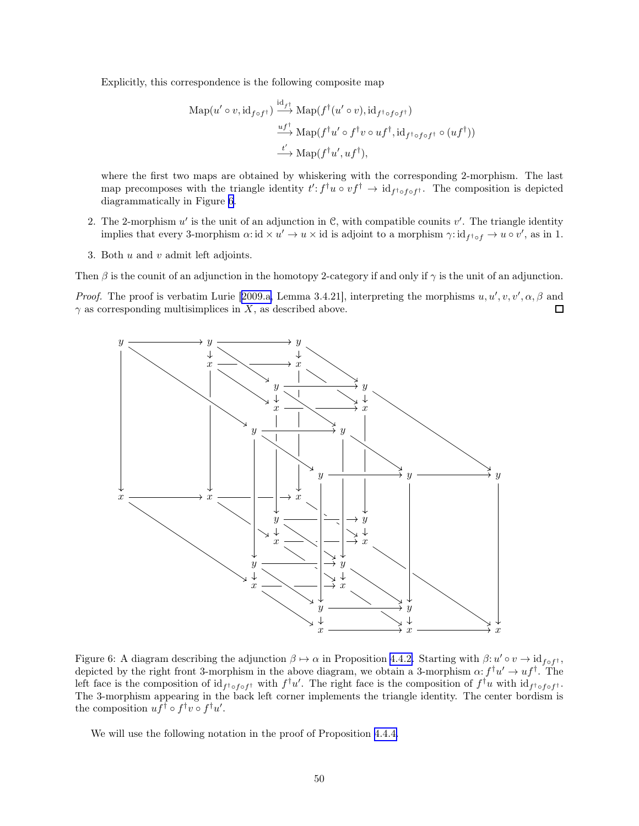<span id="page-49-0"></span>Explicitly, this correspondence is the following composite map

$$
\begin{aligned} \text{Map}(u' \circ v, \text{id}_{f \circ f^{\dagger}}) &\xrightarrow{\text{id}_{f^{\dagger}}} \text{Map}(f^{\dagger}(u' \circ v), \text{id}_{f^{\dagger} \circ f \circ f^{\dagger}}) \\ &\xrightarrow{uf^{\dagger}} \text{Map}(f^{\dagger}u' \circ f^{\dagger}v \circ uf^{\dagger}, \text{id}_{f^{\dagger} \circ f \circ f^{\dagger}} \circ (uf^{\dagger})) \\ &\xrightarrow{t'} \text{Map}(f^{\dagger}u', uf^{\dagger}), \end{aligned}
$$

where the first two maps are obtained by whiskering with the corresponding 2-morphism. The last map precomposes with the triangle identity  $t': f^{\dagger}u \circ vf^{\dagger} \to id_{f^{\dagger} \circ f \circ f^{\dagger}}$ . The composition is depicted diagrammatically in Figure 6.

- 2. The 2-morphism  $u'$  is the unit of an adjunction in  $\mathcal{C}$ , with compatible counits  $v'$ . The triangle identity implies that every 3-morphism  $\alpha$ : id  $\times u' \to u \times$  id is adjoint to a morphism  $\gamma$ : id $_{f^{\dagger} \circ f} \to u \circ v'$ , as in 1.
- 3. Both  $u$  and  $v$  admit left adjoints.

Then  $\beta$  is the counit of an adjunction in the homotopy 2-category if and only if  $\gamma$  is the unit of an adjunction.

*Proof.*The proof is verbatim Lurie [[2009.a,](#page-62-0) Lemma 3.4.21], interpreting the morphisms  $u, u', v, v', \alpha, \beta$  and  $\gamma$  as corresponding multisimplices in X, as described above. □



Figure 6: A diagram describing the adjunction  $\beta \mapsto \alpha$  in Proposition [4.4.2.](#page-47-0) Starting with  $\beta: u' \circ v \to id_{f \circ f^{\dagger}}$ , depicted by the right front 3-morphism in the above diagram, we obtain a 3-morphism  $\alpha: f^{\dagger}u' \to uf^{\dagger}$ . The left face is the composition of  $id_{f<sup>\dagger</sup> \circ f \circ f}$  with  $f<sup>\dagger</sup> u'$ . The right face is the composition of  $f<sup>\dagger</sup> u$  with  $id_{f<sup>\dagger</sup> \circ f \circ f}$ . The 3-morphism appearing in the back left corner implements the triangle identity. The center bordism is the composition  $uf^{\dagger} \circ f^{\dagger} v \circ f^{\dagger} u'$ .

We will use the following notation in the proof of Proposition [4.4.4.](#page-50-0)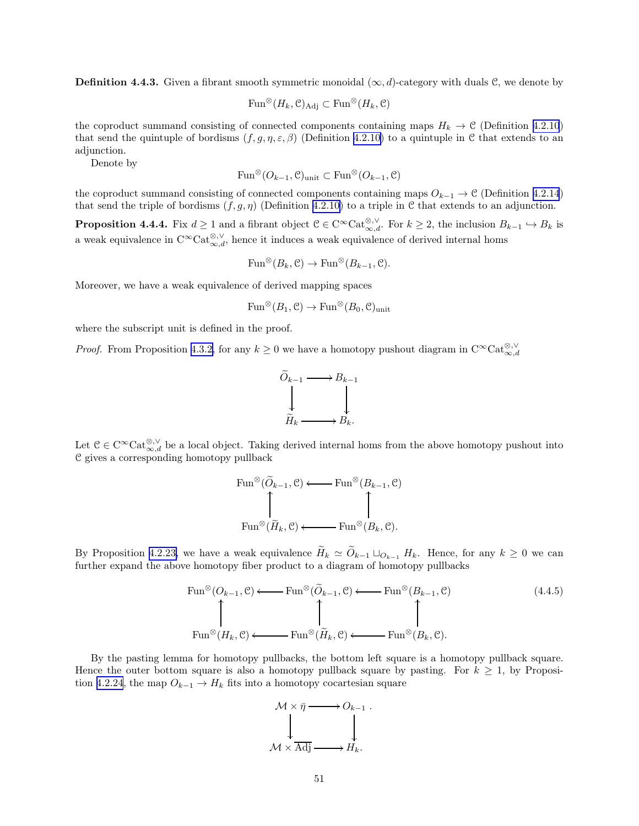<span id="page-50-0"></span>**Definition 4.4.3.** Given a fibrant smooth symmetric monoidal  $(\infty, d)$ -category with duals C, we denote by

$$
\operatorname{Fun}^{\otimes}(H_k, \mathcal{C})_{\operatorname{Adj}} \subset \operatorname{Fun}^{\otimes}(H_k, \mathcal{C})
$$

the coproduct summand consisting of connected components containing maps  $H_k \to \mathcal{C}$  (Definition [4.2.10](#page-36-0)) that send the quintuple of bordisms  $(f, g, \eta, \varepsilon, \beta)$  (Definition [4.2.10\)](#page-36-0) to a quintuple in C that extends to an adjunction.

Denote by

$$
\mathrm{Fun}^{\otimes} (O_{k-1}, \mathcal{C})_{\mathrm{unit}} \subset \mathrm{Fun}^{\otimes} (O_{k-1}, \mathcal{C})
$$

the coproduct summand consisting of connected components containing maps  $O_{k-1} \to \mathcal{C}$  (Definition [4.2.14](#page-37-0)) that send the triple of bordisms  $(f, g, \eta)$  (Definition [4.2.10\)](#page-36-0) to a triple in C that extends to an adjunction.

**Proposition 4.4.4.** Fix  $d \ge 1$  and a fibrant object  $C \in C^{\infty} \text{Cat}_{\infty,d}^{\otimes,\vee}$ . For  $k \ge 2$ , the inclusion  $B_{k-1} \hookrightarrow B_k$  is a weak equivalence in  $C^{\infty}$ Cat<sup>⊗,  $\vee$ </sup>, hence it induces a weak equivalence of derived internal homs

$$
\text{Fun}^{\otimes}(B_k, \mathcal{C}) \to \text{Fun}^{\otimes}(B_{k-1}, \mathcal{C}).
$$

Moreover, we have a weak equivalence of derived mapping spaces

$$
\mathrm{Fun}^{\otimes}(B_1,\mathcal{C}) \to \mathrm{Fun}^{\otimes}(B_0,\mathcal{C})_{\mathrm{unit}}
$$

where the subscript unit is defined in the proof.

*Proof.* From Proposition [4.3.2,](#page-46-0) for any  $k \geq 0$  we have a homotopy pushout diagram in  $C^{\infty}$ Cat $_{\infty,d}^{\otimes,\vee}$ 



Let  $C \in C^{\infty} \text{Cat}_{\infty,d}^{\otimes,\vee}$  be a local object. Taking derived internal homs from the above homotopy pushout into C gives a corresponding homotopy pullback

$$
\text{Fun}^{\otimes}(\widetilde{O}_{k-1}, \mathcal{C}) \longleftarrow \text{Fun}^{\otimes}(B_{k-1}, \mathcal{C})
$$
  

$$
\uparrow \qquad \qquad \uparrow
$$
  

$$
\text{Fun}^{\otimes}(\widetilde{H}_k, \mathcal{C}) \longleftarrow \text{Fun}^{\otimes}(B_k, \mathcal{C}).
$$

By Proposition [4.2.23,](#page-41-0) we have a weak equivalence  $\widetilde{H}_k \simeq \widetilde{O}_{k-1} \sqcup_{O_{k-1}} H_k$ . Hence, for any  $k \geq 0$  we can further expand the above homotopy fiber product to a diagram of homotopy pullbacks

$$
\text{Fun}^{\otimes}(O_{k-1}, \mathcal{C}) \longleftarrow \text{Fun}^{\otimes}(\widetilde{O}_{k-1}, \mathcal{C}) \longleftarrow \text{Fun}^{\otimes}(B_{k-1}, \mathcal{C})
$$
\n
$$
\uparrow \qquad \qquad \uparrow \qquad \qquad \uparrow
$$
\n
$$
\text{Fun}^{\otimes}(H_k, \mathcal{C}) \longleftarrow \text{Fun}^{\otimes}(\widetilde{H}_k, \mathcal{C}) \longleftarrow \text{Fun}^{\otimes}(B_k, \mathcal{C}).
$$
\n(4.4.5)

By the pasting lemma for homotopy pullbacks, the bottom left square is a homotopy pullback square. Hence the outer bottom square is also a homotopy pullback square by pasting. For  $k \geq 1$ , by Proposi-tion [4.2.24](#page-43-0), the map  $O_{k-1} \to H_k$  fits into a homotopy cocartesian square

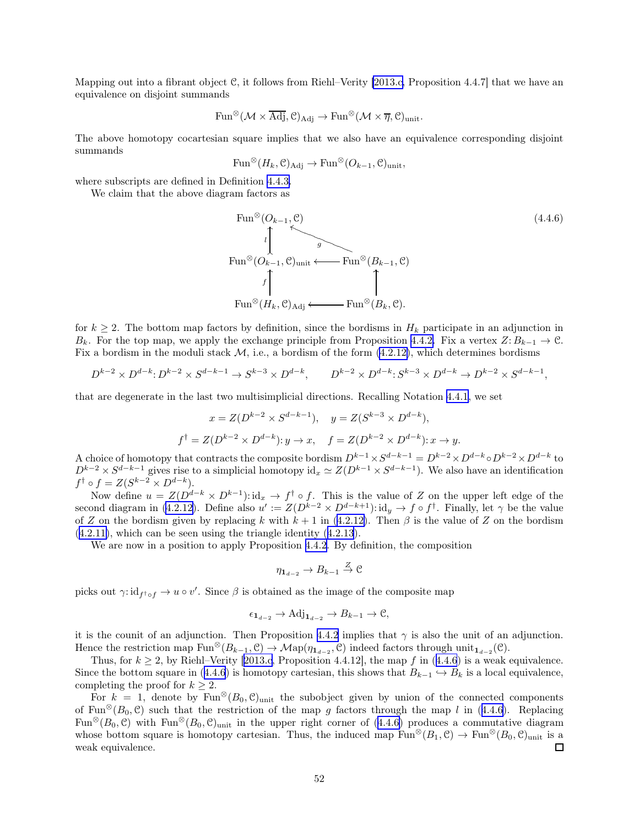<span id="page-51-0"></span>Mapping out into a fibrant object C, it follows from Riehl–Verity [\[2013.c,](#page-63-0) Proposition 4.4.7] that we have an equivalence on disjoint summands

$$
\mathrm{Fun}^{\otimes}(\mathcal{M}\times \overline{\mathrm{Adj}}, \mathcal{C})_{\mathrm{Adj}} \rightarrow \mathrm{Fun}^{\otimes}(\mathcal{M}\times \overline{\eta}, \mathcal{C})_{\mathrm{unit}}.
$$

The above homotopy cocartesian square implies that we also have an equivalence corresponding disjoint summands

$$
\mathrm{Fun}^{\otimes}(H_k, \mathcal{C})_{\mathrm{Adj}} \to \mathrm{Fun}^{\otimes}(O_{k-1}, \mathcal{C})_{\mathrm{unit}},
$$

where subscripts are defined in Definition [4.4.3.](#page-49-0)

We claim that the above diagram factors as

Fun<sup>®</sup>(O<sub>k-1</sub>, C)  
\n
$$
\downarrow
$$
\nFun<sup>®</sup>(O<sub>k-1</sub>, C)<sub>unit</sub> ← Fun<sup>®</sup>(B<sub>k-1</sub>, C)  
\n
$$
f \qquad \qquad \downarrow
$$
\nFun<sup>®</sup>(H<sub>k</sub>, C)<sub>Adj</sub> ← Fun<sup>®</sup>(B<sub>k</sub>, C).

for  $k \geq 2$ . The bottom map factors by definition, since the bordisms in  $H_k$  participate in an adjunction in  $B_k$ . For the top map, we apply the exchange principle from Proposition [4.4.2.](#page-47-0) Fix a vertex  $Z: B_{k-1} \to \mathcal{C}$ . Fix a bordism in the moduli stack  $M$ , i.e., a bordism of the form  $(4.2.12)$ , which determines bordisms

$$
D^{k-2} \times D^{d-k} \colon D^{k-2} \times S^{d-k-1} \to S^{k-3} \times D^{d-k}, \qquad D^{k-2} \times D^{d-k} \colon S^{k-3} \times D^{d-k} \to D^{k-2} \times S^{d-k-1},
$$

that are degenerate in the last two multisimplicial directions. Recalling Notation [4.4.1,](#page-47-0) we set

$$
x = Z(D^{k-2} \times S^{d-k-1}),
$$
  $y = Z(S^{k-3} \times D^{d-k}),$   
 $f^{\dagger} = Z(D^{k-2} \times D^{d-k}): y \to x,$   $f = Z(D^{k-2} \times D^{d-k}): x \to y.$ 

A choice of homotopy that contracts the composite bordism  $D^{k-1} \times S^{d-k-1} = D^{k-2} \times D^{d-k} \circ D^{k-2} \times D^{d-k}$  to  $D^{k-2} \times S^{d-k-1}$  gives rise to a simplicial homotopy id $x \simeq Z(D^{k-1} \times S^{d-k-1})$ . We also have an identification  $f^{\dagger} \circ f = Z(S^{k-2} \times D^{d-k}).$ 

Now define  $u = Z(D^{d-k} \times D^{k-1})$ : id<sub>x</sub>  $\rightarrow f^{\dagger} \circ f$ . This is the value of Z on the upper left edge of the second diagram in [\(4.2.12\)](#page-37-0). Define also  $u' := Z(D^{k-2} \times D^{d-k+1}) : id_y \to f \circ f^{\dagger}$ . Finally, let  $\gamma$  be the value of Z on the bordism given by replacing k with  $k + 1$  in [\(4.2.12\)](#page-37-0). Then  $\beta$  is the value of Z on the bordism ([4.2.11\)](#page-36-0), which can be seen using the triangle identity ([4.2.13](#page-37-0)).

We are now in a position to apply Proposition [4.4.2](#page-47-0). By definition, the composition

$$
\eta_{\mathbf{1}_{d-2}} \to B_{k-1} \overset{Z}{\to} \mathfrak{C}
$$

picks out  $\gamma:\mathrm{id}_{f^{\dagger}\circ f}\to u\circ v'$ . Since  $\beta$  is obtained as the image of the composite map

$$
\epsilon_{\mathbf{1}_{d-2}} \to \mathrm{Adj}_{\mathbf{1}_{d-2}} \to B_{k-1} \to \mathcal{C},
$$

it is the counit of an adjunction. Then Proposition [4.4.2](#page-47-0) implies that  $\gamma$  is also the unit of an adjunction. Hence the restriction map  $\text{Fun}^{\otimes}(B_{k-1}, \mathcal{C}) \to \mathcal{M}\text{ap}(\eta_{\mathbf{1}_{d-2}}, \mathcal{C})$  indeed factors through  $\text{unit}_{\mathbf{1}_{d-2}}(\mathcal{C})$ .

Thus,for  $k \ge 2$ , by Riehl–Verity [[2013.c,](#page-63-0) Proposition 4.4.12], the map f in (4.4.6) is a weak equivalence. Since the bottom square in (4.4.6) is homotopy cartesian, this shows that  $B_{k-1} \hookrightarrow B_k$  is a local equivalence, completing the proof for  $k \geq 2$ .

For  $k = 1$ , denote by Fun<sup>⊗</sup>( $B_0$ ,  $C$ )<sub>unit</sub> the subobject given by union of the connected components of Fun<sup>⊗</sup>( $B_0$ ,  $\mathcal{C}$ ) such that the restriction of the map g factors through the map l in (4.4.6). Replacing Fun<sup>⊗</sup>( $B_0$ , C) with Fun<sup>⊗</sup>( $B_0$ , C)<sub>unit</sub> in the upper right corner of (4.4.6) produces a commutative diagram whose bottom square is homotopy cartesian. Thus, the induced map  $\text{Fun}^{\otimes}(B_1,\mathcal{C}) \to \text{Fun}^{\otimes}(B_0,\mathcal{C})$ <sub>unit</sub> is a weak equivalence.  $\Box$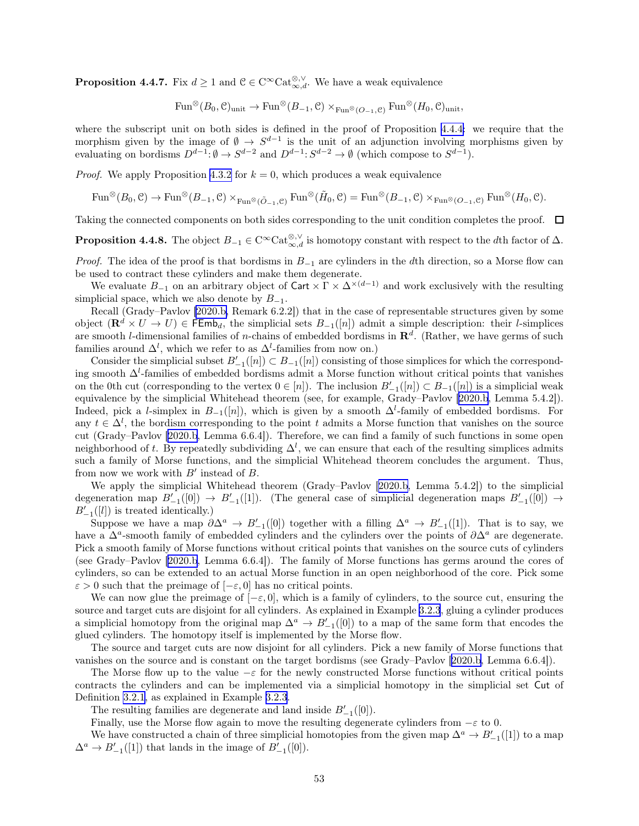<span id="page-52-0"></span>**Proposition 4.4.7.** Fix  $d \geq 1$  and  $\mathcal{C} \in C^{\infty} \text{Cat}_{\infty,d}^{\otimes,\vee}$ . We have a weak equivalence

 $\text{Fun}^{\otimes}(B_0,\mathcal{C})_{\text{unit}} \to \text{Fun}^{\otimes}(B_{-1},\mathcal{C}) \times_{\text{Fun}^{\otimes}(O_{-1},\mathcal{C})} \text{Fun}^{\otimes}(H_0,\mathcal{C})_{\text{unit}},$ 

where the subscript unit on both sides is defined in the proof of Proposition [4.4.4:](#page-50-0) we require that the morphism given by the image of  $\emptyset \to S^{d-1}$  is the unit of an adjunction involving morphisms given by evaluating on bordisms  $D^{d-1}$ :  $\emptyset \to S^{d-2}$  and  $D^{d-1}$ :  $S^{d-2} \to \emptyset$  (which compose to  $S^{d-1}$ ).

*Proof.* We apply Proposition [4.3.2](#page-46-0) for  $k = 0$ , which produces a weak equivalence

$$
\text{Fun}^{\otimes}(B_0, \mathcal{C}) \to \text{Fun}^{\otimes}(B_{-1}, \mathcal{C}) \times_{\text{Fun}^{\otimes}(\tilde{O}_{-1}, \mathcal{C})} \text{Fun}^{\otimes}(\tilde{H}_0, \mathcal{C}) = \text{Fun}^{\otimes}(B_{-1}, \mathcal{C}) \times_{\text{Fun}^{\otimes}(O_{-1}, \mathcal{C})} \text{Fun}^{\otimes}(H_0, \mathcal{C}).
$$

Taking the connected components on both sides corresponding to the unit condition completes the proof.  $\Box$ 

**Proposition 4.4.8.** The object  $B_{-1} \in C^{\infty} \text{Cat}_{\infty,d}^{\otimes,\vee}$  is homotopy constant with respect to the dth factor of  $\Delta$ .

*Proof.* The idea of the proof is that bordisms in  $B_{-1}$  are cylinders in the dth direction, so a Morse flow can be used to contract these cylinders and make them degenerate.

We evaluate  $B_{-1}$  on an arbitrary object of Cart  $\times \Gamma \times \Delta^{\times(d-1)}$  and work exclusively with the resulting simplicial space, which we also denote by  $B_{-1}$ .

Recall (Grady–Pavlov [\[2020.b,](#page-63-0) Remark 6.2.2]) that in the case of representable structures given by some object  $(\mathbf{R}^d \times U \to U) \in \mathsf{FEmb}_d$ , the simplicial sets  $B_{-1}([n])$  admit a simple description: their *l*-simplices are smooth *l*-dimensional families of *n*-chains of embedded bordisms in  $\mathbb{R}^d$ . (Rather, we have germs of such families around  $\Delta^l$ , which we refer to as  $\Delta^l$ -families from now on.)

Consider the simplicial subset  $B'_{-1}([n]) \subset B_{-1}([n])$  consisting of those simplices for which the corresponding smooth  $\Delta^l$ -families of embedded bordisms admit a Morse function without critical points that vanishes on the 0th cut (corresponding to the vertex  $0 \in [n]$ ). The inclusion  $B'_{-1}([n]) \subset B_{-1}([n])$  is a simplicial weak equivalence by the simplicial Whitehead theorem (see, for example, Grady–Pavlov[[2020.b,](#page-63-0) Lemma 5.4.2]). Indeed, pick a l-simplex in  $B_{-1}([n])$ , which is given by a smooth  $\Delta^l$ -family of embedded bordisms. For any  $t \in \Delta^l$ , the bordism corresponding to the point t admits a Morse function that vanishes on the source cut (Grady–Pavlov[[2020.b](#page-63-0), Lemma 6.6.4]). Therefore, we can find a family of such functions in some open neighborhood of t. By repeatedly subdividing  $\Delta^l$ , we can ensure that each of the resulting simplices admits such a family of Morse functions, and the simplicial Whitehead theorem concludes the argument. Thus, from now we work with  $B'$  instead of  $B$ .

We apply the simplicial Whitehead theorem (Grady–Pavlov[[2020.b,](#page-63-0) Lemma 5.4.2]) to the simplicial degeneration map  $B'_{-1}([0]) \to B'_{-1}([1])$ . (The general case of simplicial degeneration maps  $B'_{-1}([0]) \to$  $B'_{-1}([l])$  is treated identically.)

Suppose we have a map  $\partial \Delta^a \to B'_{-1}([0])$  together with a filling  $\Delta^a \to B'_{-1}([1])$ . That is to say, we have a  $\Delta^a$ -smooth family of embedded cylinders and the cylinders over the points of  $\partial \Delta^a$  are degenerate. Pick a smooth family of Morse functions without critical points that vanishes on the source cuts of cylinders (see Grady–Pavlov[[2020.b](#page-63-0), Lemma 6.6.4]). The family of Morse functions has germs around the cores of cylinders, so can be extended to an actual Morse function in an open neighborhood of the core. Pick some  $\varepsilon > 0$  such that the preimage of  $[-\varepsilon, 0]$  has no critical points.

We can now glue the preimage of  $[-\varepsilon, 0]$ , which is a family of cylinders, to the source cut, ensuring the source and target cuts are disjoint for all cylinders. As explained in Example [3.2.3](#page-16-0), gluing a cylinder produces a simplicial homotopy from the original map  $\Delta^a \to B'_{-1}([0])$  to a map of the same form that encodes the glued cylinders. The homotopy itself is implemented by the Morse flow.

The source and target cuts are now disjoint for all cylinders. Pick a new family of Morse functions that vanishes on the source and is constant on the target bordisms (see Grady–Pavlov[[2020.b,](#page-63-0) Lemma 6.6.4]).

The Morse flow up to the value  $-\varepsilon$  for the newly constructed Morse functions without critical points contracts the cylinders and can be implemented via a simplicial homotopy in the simplicial set Cut of Definition [3.2.1,](#page-16-0) as explained in Example [3.2.3](#page-16-0).

The resulting families are degenerate and land inside  $B'_{-1}([0])$ .

Finally, use the Morse flow again to move the resulting degenerate cylinders from  $-\varepsilon$  to 0.

We have constructed a chain of three simplicial homotopies from the given map  $\Delta^a \to B'_{-1}([1])$  to a map  $\Delta^a \to B'_{-1}([1])$  that lands in the image of  $B'_{-1}([0])$ .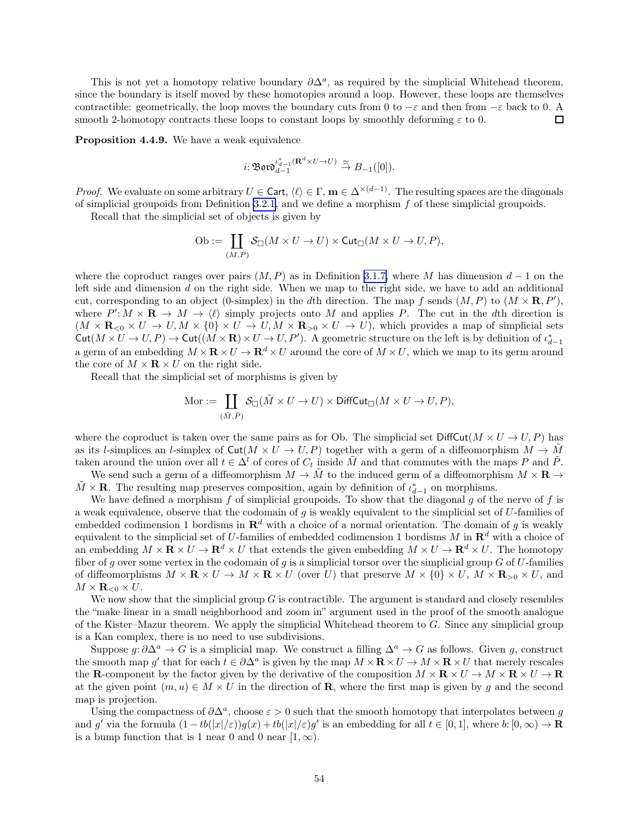<span id="page-53-0"></span>This is not yet a homotopy relative boundary  $\partial \Delta^a$ , as required by the simplicial Whitehead theorem, since the boundary is itself moved by these homotopies around a loop. However, these loops are themselves contractible: geometrically, the loop moves the boundary cuts from 0 to  $-\varepsilon$  and then from  $-\varepsilon$  back to 0. A smooth 2-homotopy contracts these loops to constant loops by smoothly deforming  $\varepsilon$  to 0.  $\Box$ 

Proposition 4.4.9. We have a weak equivalence

$$
i\!:\!\mathfrak{B}\mathfrak{ord}_{d-1}^{\iota_{d-1}^*(\mathbf{R}^d\times U\to U)}\stackrel{\simeq}{\to}B_{-1}([0]).
$$

*Proof.* We evaluate on some arbitrary  $U \in \mathsf{Cart}$ ,  $\langle \ell \rangle \in \Gamma$ ,  $\mathbf{m} \in \Delta^{\times(d-1)}$ . The resulting spaces are the diagonals of simplicial groupoids from Definition [3.2.1,](#page-16-0) and we define a morphism f of these simplicial groupoids.

Recall that the simplicial set of objects is given by

$$
\mathrm{Ob} := \coprod_{(M,P)} \mathcal{S}_{\square}(M \times U \to U) \times \mathrm{Cut}_{\square}(M \times U \to U, P),
$$

where the coproduct ranges over pairs  $(M, P)$  as in Definition [3.1.7,](#page-14-0) where M has dimension  $d-1$  on the left side and dimension d on the right side. When we map to the right side, we have to add an additional cut, corresponding to an object (0-simplex) in the dth direction. The map f sends  $(M, P)$  to  $(M \times \mathbf{R}, P')$ , where  $P' : M \times \mathbf{R} \to M \to \langle \ell \rangle$  simply projects onto M and applies P. The cut in the dth direction is  $(M \times \mathbf{R}_{\leq 0} \times U \to U, M \times \{0\} \times U \to U, M \times \mathbf{R}_{\geq 0} \times U \to U)$ , which provides a map of simplicial sets  $\text{Cut}(M \times U \to U, P) \to \text{Cut}((M \times \mathbf{R}) \times U \to U, P')$ . A geometric structure on the left is by definition of  $\iota_{d-1}^*$ a germ of an embedding  $M \times \mathbf{R} \times U \to \mathbf{R}^d \times U$  around the core of  $M \times U$ , which we map to its germ around the core of  $M \times \mathbf{R} \times U$  on the right side.

Recall that the simplicial set of morphisms is given by

$$
\text{Mor} := \coprod_{(\tilde{M}, \tilde{P})} \mathcal{S}_{\Box}(\tilde{M} \times U \to U) \times \text{DiffCut}_{\Box}(M \times U \to U, P),
$$

where the coproduct is taken over the same pairs as for Ob. The simplicial set  $\text{DiffCut}(M \times U \to U, P)$  has as its l-simplices an l-simplex of  $\text{Cut}(M \times U \to U, P)$  together with a germ of a diffeomorphism  $M \to \tilde{M}$ taken around the union over all  $t \in \Delta^l$  of cores of  $C_t$  inside M and that commutes with the maps P and P. We send such a germ of a diffeomorphism  $M \to M$  to the induced germ of a diffeomorphism  $M \times \mathbf{R} \to$ 

 $\tilde{M} \times \mathbf{R}$ . The resulting map preserves composition, again by definition of  $\iota_{d-1}^*$  on morphisms.

We have defined a morphism f of simplicial groupoids. To show that the diagonal  $q$  of the nerve of f is a weak equivalence, observe that the codomain of q is weakly equivalent to the simplicial set of  $U$ -families of embedded codimension 1 bordisms in  $\mathbb{R}^d$  with a choice of a normal orientation. The domain of g is weakly equivalent to the simplicial set of U-families of embedded codimension 1 bordisms M in  $\mathbb{R}^d$  with a choice of an embedding  $M \times \mathbf{R} \times U \to \mathbf{R}^d \times U$  that extends the given embedding  $M \times U \to \mathbf{R}^d \times U$ . The homotopy fiber of g over some vertex in the codomain of g is a simplicial torsor over the simplicial group  $G$  of  $U$ -families of diffeomorphisms  $M \times \mathbf{R} \times U \to M \times \mathbf{R} \times U$  (over U) that preserve  $M \times \{0\} \times U$ ,  $M \times \mathbf{R}_{>0} \times U$ , and  $M \times \mathbf{R}_{\leq 0} \times U$ .

We now show that the simplicial group  $G$  is contractible. The argument is standard and closely resembles the "make linear in a small neighborhood and zoom in" argument used in the proof of the smooth analogue of the Kister–Mazur theorem. We apply the simplicial Whitehead theorem to G. Since any simplicial group is a Kan complex, there is no need to use subdivisions.

Suppose  $g: \partial \Delta^a \to G$  is a simplicial map. We construct a filling  $\Delta^a \to G$  as follows. Given g, construct the smooth map g' that for each  $t \in \partial \Delta^a$  is given by the map  $M \times \mathbf{R} \times U \to M \times \mathbf{R} \times U$  that merely rescales the **R**-component by the factor given by the derivative of the composition  $M \times \mathbf{R} \times U \to M \times \mathbf{R} \times U \to \mathbf{R}$ at the given point  $(m, u) \in M \times U$  in the direction of **R**, where the first map is given by g and the second map is projection.

Using the compactness of  $\partial \Delta^a$ , choose  $\varepsilon > 0$  such that the smooth homotopy that interpolates between g and g' via the formula  $(1 - tb(|x|/\varepsilon))g(x) + tb(|x|/\varepsilon)g'$  is an embedding for all  $t \in [0, 1]$ , where  $b: [0, \infty) \to \mathbf{R}$ is a bump function that is 1 near 0 and 0 near  $[1, \infty)$ .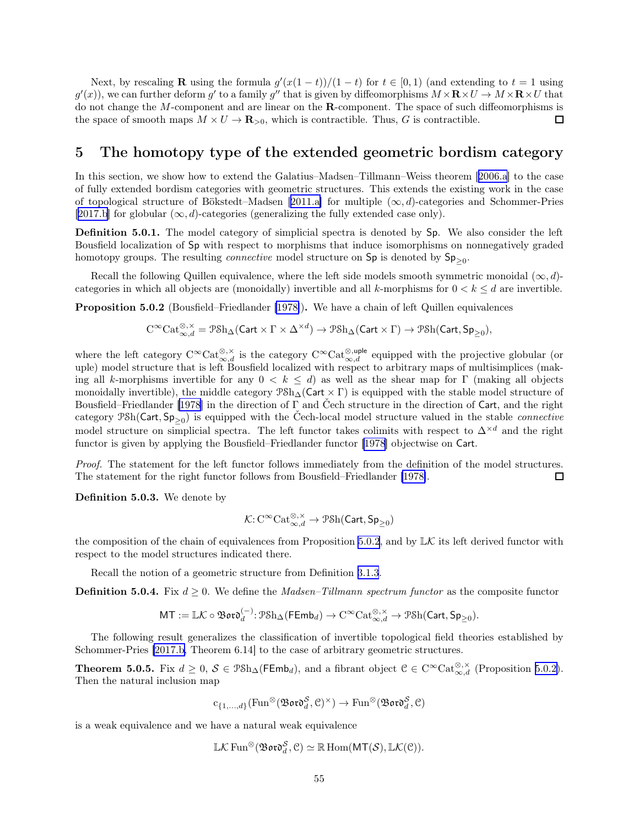<span id="page-54-0"></span>Next, by rescaling **R** using the formula  $g'(x(1-t))/(1-t)$  for  $t \in [0,1)$  (and extending to  $t = 1$  using  $g'(x)$ , we can further deform g' to a family g'' that is given by diffeomorphisms  $M \times \mathbf{R} \times U \to M \times \mathbf{R} \times U$  that do not change the M-component and are linear on the R-component. The space of such diffeomorphisms is the space of smooth maps  $M \times U \to \mathbf{R}_{>0}$ , which is contractible. Thus, G is contractible.  $\Box$ 

# 5 The homotopy type of the extended geometric bordism category

In this section, we show how to extend the Galatius–Madsen–Tillmann–Weiss theorem[[2006.a](#page-62-0)] to the case of fully extended bordism categories with geometric structures. This extends the existing work in the case oftopological structure of Bökstedt–Madsen [[2011.a\]](#page-62-0) for multiple  $(\infty, d)$ -categories and Schommer-Pries [[2017.b\]](#page-63-0) for globular  $(\infty, d)$ -categories (generalizing the fully extended case only).

Definition 5.0.1. The model category of simplicial spectra is denoted by Sp. We also consider the left Bousfield localization of Sp with respect to morphisms that induce isomorphisms on nonnegatively graded homotopy groups. The resulting *connective* model structure on  $Sp$  is denoted by  $Sp_{\geq 0}$ .

Recall the following Quillen equivalence, where the left side models smooth symmetric monoidal  $(\infty, d)$ categories in which all objects are (monoidally) invertible and all k-morphisms for  $0 < k < d$  are invertible.

Proposition 5.0.2 (Bousfield–Friedlander [\[1978\]](#page-61-0)). We have a chain of left Quillen equivalences

$$
\mathrm{C}^\infty\mathrm{Cat}_{\infty,d}^{\otimes,\times}=\mathcal{P}\mathrm{Sh}_\Delta(\mathsf{Cart}\times\Gamma\times\Delta^{\times d})\rightarrow\mathcal{P}\mathrm{Sh}_\Delta(\mathsf{Cart}\times\Gamma)\rightarrow\mathcal{P}\mathrm{Sh}(\mathsf{Cart},\mathsf{Sp}_{\geq 0}),
$$

where the left category  $C^{\infty}$ Cat<sup>⊗<sub>, $\chi$ </sub><sup> $\chi$ </sup> is the category  $C^{\infty}$ Cat<sup>⊗<sub>,*u*ple</sub> equipped with the projective globular (or</sup></sup> uple) model structure that is left Bousfield localized with respect to arbitrary maps of multisimplices (making all k-morphisms invertible for any  $0 < k \leq d$ ) as well as the shear map for Γ (making all objects monoidally invertible), the middle category  $\mathcal{P}Sh_{\Delta}(\mathsf{Cart} \times \Gamma)$  is equipped with the stable model structure of Bousfield–Friedlander [\[1978](#page-61-0)] in the direction of Γ and Čech structure in the direction of Cart, and the right category  $\mathcal{P}Sh(Cart, Sp_{\geq 0})$  is equipped with the Čech-local model structure valued in the stable *connective* model structure on simplicial spectra. The left functor takes colimits with respect to  $\Delta^{\times d}$  and the right functor is given by applying the Bousfield–Friedlander functor [\[1978](#page-61-0)] objectwise on Cart.

Proof. The statement for the left functor follows immediately from the definition of the model structures. The statement for the right functor follows from Bousfield–Friedlander [\[1978\]](#page-61-0).  $\square$ 

Definition 5.0.3. We denote by

$$
\mathcal{K}\!:\!\mathrm{C}^\infty\mathrm{Cat}_{\infty,d}^{\otimes,\times}\rightarrow\mathrm{P\mathcal{S}\mathrm{h}}(\mathsf{Cart},\mathsf{Sp}_{\geq 0})
$$

the composition of the chain of equivalences from Proposition 5.0.2, and by  $\mathbb{L}\mathcal{K}$  its left derived functor with respect to the model structures indicated there.

Recall the notion of a geometric structure from Definition [3.1.3](#page-13-0).

**Definition 5.0.4.** Fix  $d \geq 0$ . We define the *Madsen–Tillmann spectrum functor* as the composite functor

$$
\mathsf{MT}:=\mathbb{L}\mathcal{K}\circ\mathfrak{B}\mathfrak{o}\mathfrak{r}\mathfrak{d}^{(-)}_d\!:\!\mathfrak{P}\mathrm{Sh}_\Delta(\mathsf{FEmb}_d)\rightarrow\mathrm{C}^\infty\mathrm{Cat}_{\infty,d}^{\otimes,\times}\rightarrow\mathfrak{P}\mathrm{Sh}(\mathsf{Cart},\mathsf{Sp}_{\geq 0}).
$$

The following result generalizes the classification of invertible topological field theories established by Schommer-Pries [\[2017.b,](#page-63-0) Theorem 6.14] to the case of arbitrary geometric structures.

**Theorem 5.0.5.** Fix  $d \geq 0$ ,  $S \in \mathcal{P} \text{Sh}_{\Delta}(\mathsf{FEmb}_d)$ , and a fibrant object  $\mathcal{C} \in \text{C}^{\infty} \text{Cat}_{\infty,d}^{\otimes,\times}$  (Proposition 5.0.2). Then the natural inclusion map

$$
\mathrm{c}_{\{1,\ldots,d\}}(\mathrm{Fun}^{\otimes}(\mathfrak{B}\mathfrak{o}\mathfrak{r}\mathfrak{d}_d^{\mathcal{S}},\mathcal{C})^{\times}) \rightarrow \mathrm{Fun}^{\otimes}(\mathfrak{B}\mathfrak{o}\mathfrak{r}\mathfrak{d}_d^{\mathcal{S}},\mathcal{C})
$$

is a weak equivalence and we have a natural weak equivalence

$$
\mathbb{L}\mathcal{K}\operatorname{Fun}^{\otimes}(\mathfrak{B}\mathfrak{o}\mathfrak{r}\mathfrak{d}^{\mathcal{S}}_d, \mathcal{C}) \simeq \mathbb{R}\operatorname{Hom}(\mathsf{MT}(\mathcal{S}), \mathbb{L}\mathcal{K}(\mathcal{C})).
$$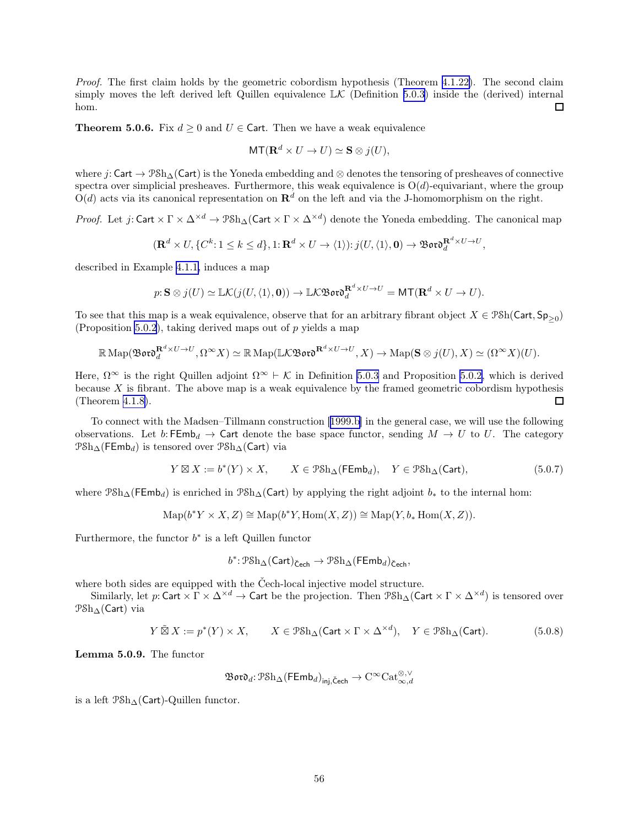<span id="page-55-0"></span>Proof. The first claim holds by the geometric cobordism hypothesis (Theorem [4.1.22\)](#page-28-0). The second claim simply moves the left derived left Quillen equivalence  $\mathbb{L}\mathcal{K}$  (Definition [5.0.3](#page-54-0)) inside the (derived) internal hom.  $\Box$ 

**Theorem 5.0.6.** Fix  $d \ge 0$  and  $U \in \text{Cart.}$  Then we have a weak equivalence

$$
MT(\mathbf{R}^d \times U \to U) \simeq \mathbf{S} \otimes j(U),
$$

where  $i: \mathsf{Cart} \to \mathcal{P}Sh_\Delta(\mathsf{Cart})$  is the Yoneda embedding and  $\otimes$  denotes the tensoring of presheaves of connective spectra over simplicial presheaves. Furthermore, this weak equivalence is  $O(d)$ -equivariant, where the group  $O(d)$  acts via its canonical representation on  $\mathbb{R}^d$  on the left and via the J-homomorphism on the right.

*Proof.* Let  $j:$  Cart  $\times \Gamma \times \Delta^{\times d} \to \mathcal{P} \mathcal{S} h_{\Delta}$  (Cart  $\times \Gamma \times \Delta^{\times d}$ ) denote the Yoneda embedding. The canonical map

$$
(\mathbf{R}^d \times U, \{C^k : 1 \le k \le d\}, 1: \mathbf{R}^d \times U \to \langle 1 \rangle): j(U, \langle 1 \rangle, \mathbf{0}) \to \mathfrak{B}\mathfrak{ord}_d^{\mathbf{R}^d \times U \to U},
$$

described in Example [4.1.1,](#page-23-0) induces a map

$$
p: \mathbf{S} \otimes j(U) \simeq \mathbb{L}\mathcal{K}(j(U,\langle 1 \rangle,\mathbf{0})) \to \mathbb{L}\mathcal{K}\mathfrak{B}\mathfrak{ov} \mathfrak{d}_d^{\mathbf{R}^d \times U \to U} = \mathsf{MT}(\mathbf{R}^d \times U \to U).
$$

To see that this map is a weak equivalence, observe that for an arbitrary fibrant object  $X \in \mathcal{P}Sh(Cart, Sp_{\geq 0})$ (Proposition [5.0.2](#page-54-0)), taking derived maps out of  $p$  yields a map

$$
\mathbb{R} \operatorname{Map}(\mathfrak{B}\mathfrak{o}\mathfrak{r}\mathfrak{d}^{R^d \times U \to U}_d, \Omega^{\infty} X) \simeq \mathbb{R} \operatorname{Map}(\mathbb{L} \mathcal{K}\mathfrak{B}\mathfrak{o}\mathfrak{r}\mathfrak{d}^{R^d \times U \to U}, X) \to \operatorname{Map}(\mathbf{S} \otimes j(U), X) \simeq (\Omega^{\infty} X)(U).
$$

Here,  $\Omega^{\infty}$  is the right Quillen adjoint  $\Omega^{\infty} \vdash \mathcal{K}$  in Definition [5.0.3](#page-54-0) and Proposition [5.0.2,](#page-54-0) which is derived because X is fibrant. The above map is a weak equivalence by the framed geometric cobordism hypothesis (Theorem [4.1.8\)](#page-24-0).  $\Box$ 

To connect with the Madsen–Tillmann construction[[1999.b\]](#page-62-0) in the general case, we will use the following observations. Let b: FEmb<sub>d</sub>  $\rightarrow$  Cart denote the base space functor, sending  $M \rightarrow U$  to U. The category  $PSh_{\Delta}(\mathsf{FEmb}_d)$  is tensored over  $PSh_{\Delta}(\mathsf{Cart})$  via

$$
Y \boxtimes X := b^*(Y) \times X, \qquad X \in \mathcal{P} \mathcal{S} \mathcal{h}_\Delta(\mathsf{FEmb}_d), \quad Y \in \mathcal{P} \mathcal{S} \mathcal{h}_\Delta(\mathsf{Cart}), \tag{5.0.7}
$$

where  $\mathcal{P}Sh_{\Delta}(\mathsf{FEmb}_d)$  is enriched in  $\mathcal{P}Sh_{\Delta}(\mathsf{Cart})$  by applying the right adjoint  $b_*$  to the internal hom:

$$
\mathrm{Map}(b^*Y \times X, Z) \cong \mathrm{Map}(b^*Y, \mathrm{Hom}(X, Z)) \cong \mathrm{Map}(Y, b_* \mathrm{Hom}(X, Z)).
$$

Furthermore, the functor  $b^*$  is a left Quillen functor

$$
b^*\colon \mathcal{P}\mathrm{Sh}_\Delta(\mathsf{Cart})_{\check{\mathsf{C}}\mathsf{ech}} \to \mathcal{P}\mathrm{Sh}_\Delta(\mathsf{FEmb}_d)_{\check{\mathsf{C}}\mathsf{ech}},
$$

where both sides are equipped with the Čech-local injective model structure.

Similarly, let  $p:$  Cart  $\times$   $\Gamma\times\Delta^{\times d}\to$  Cart be the projection. Then  $\mathcal{P}Sh_\Delta(\mathsf{Cart}\times\Gamma\times\Delta^{\times d})$  is tensored over PSh∆(Cart) via

$$
Y \tilde{\boxtimes} X := p^*(Y) \times X, \qquad X \in \mathcal{P} \mathcal{S} \mathcal{h}_\Delta(\mathsf{Cart} \times \Gamma \times \Delta^{\times d}), \quad Y \in \mathcal{P} \mathcal{S} \mathcal{h}_\Delta(\mathsf{Cart}). \tag{5.0.8}
$$

Lemma 5.0.9. The functor

$$
\mathfrak{B}\mathfrak{o}\mathfrak{r}\mathfrak{d}_d\!:\!\mathfrak{P}\mathrm{Sh}_\Delta(\mathsf{FEmb}_d)_{\mathsf{inj},\mathsf{\check{C}ech}}\to \mathrm{C}^\infty\mathrm{Cat}_{\infty,d}^{\otimes,\vee}
$$

is a left PSh∆(Cart)-Quillen functor.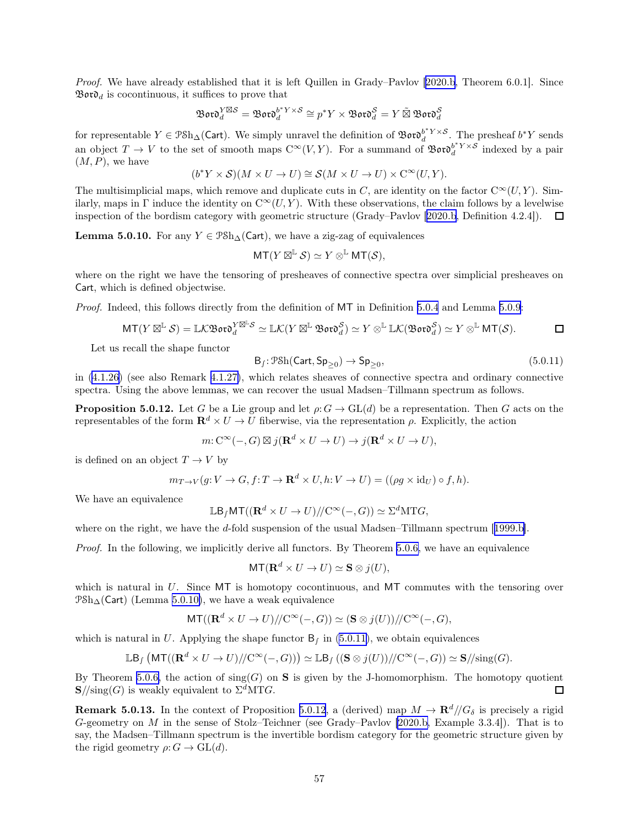<span id="page-56-0"></span>Proof. We have already established that it is left Quillen in Grady–Pavlov [\[2020.b](#page-63-0), Theorem 6.0.1]. Since  $\mathfrak{B}$ or $\mathfrak{d}_d$  is cocontinuous, it suffices to prove that

$$
\mathfrak{B}\mathfrak{o}\mathfrak{r}\mathfrak{d}^{Y\boxtimes S}_d=\mathfrak{B}\mathfrak{o}\mathfrak{r}\mathfrak{d}^{b^*Y\times S}_d\cong p^*Y\times \mathfrak{B}\mathfrak{o}\mathfrak{r}\mathfrak{d}^S_d=Y\tilde{\boxtimes}\,\mathfrak{B}\mathfrak{o}\mathfrak{r}\mathfrak{d}^S_d
$$

for representable  $Y \in \mathcal{P} \delta h_{\Delta}(\mathsf{Cart})$ . We simply unravel the definition of  $\mathfrak{B} \mathfrak{or} \mathfrak{d}^{b^*Y \times S}_{d}$ . The presheaf  $b^*Y$  sends an object  $T \to V$  to the set of smooth maps  $C^{\infty}(V, Y)$ . For a summand of  $\mathfrak{B}ov \delta_d^{b^*Y \times S}$  indexed by a pair  $(M, P)$ , we have

$$
(b^*Y \times S)(M \times U \to U) \cong \mathcal{S}(M \times U \to U) \times C^{\infty}(U, Y).
$$

The multisimplicial maps, which remove and duplicate cuts in C, are identity on the factor  $C^{\infty}(U, Y)$ . Similarly, maps in Γ induce the identity on  $C^{\infty}(U, Y)$ . With these observations, the claim follows by a levelwise inspectionof the bordism category with geometric structure (Grady–Pavlov [[2020.b](#page-63-0), Definition 4.2.4]).  $\Box$ 

**Lemma 5.0.10.** For any  $Y \in \mathcal{P}Sh_{\Lambda}(\mathsf{Cart})$ , we have a zig-zag of equivalences

$$
\mathsf{MT}(Y\boxtimes^{\mathbb{L}}\mathcal{S})\simeq Y\otimes^{\mathbb{L}}\mathsf{MT}(\mathcal{S}),
$$

where on the right we have the tensoring of presheaves of connective spectra over simplicial presheaves on Cart, which is defined objectwise.

Proof. Indeed, this follows directly from the definition of MT in Definition [5.0.4](#page-54-0) and Lemma [5.0.9](#page-55-0):

$$
\mathsf{MT}(Y\boxtimes^{\mathbb{L}}\mathcal{S})=\mathbb{L}\mathcal{K}\mathfrak{B}\mathfrak{o}\mathfrak{r}\mathfrak{d}_{d}^{Y\boxtimes^{\mathbb{L}}\mathcal{S}}\simeq \mathbb{L}\mathcal{K}(Y\boxtimes^{\mathbb{L}}\mathfrak{B}\mathfrak{o}\mathfrak{r}\mathfrak{d}_{d}^{\mathcal{S}})\simeq Y\otimes^{\mathbb{L}}\mathbb{L}\mathcal{K}(\mathfrak{B}\mathfrak{o}\mathfrak{r}\mathfrak{d}_{d}^{\mathcal{S}})\simeq Y\otimes^{\mathbb{L}}\mathsf{MT}(\mathcal{S}).
$$

Let us recall the shape functor

$$
\mathsf{B}_{f} \colon \mathcal{P}\mathcal{S}\mathrm{h}(\mathsf{Cart}, \mathsf{Sp}_{\geq 0}) \to \mathsf{Sp}_{\geq 0},\tag{5.0.11}
$$

in [\(4.1.26](#page-30-0)) (see also Remark [4.1.27\)](#page-30-0), which relates sheaves of connective spectra and ordinary connective spectra. Using the above lemmas, we can recover the usual Madsen–Tillmann spectrum as follows.

**Proposition 5.0.12.** Let G be a Lie group and let  $\rho: G \to GL(d)$  be a representation. Then G acts on the representables of the form  $\mathbf{R}^d \times U \to U$  fiberwise, via the representation  $\rho$ . Explicitly, the action

$$
m: \mathrm{C}^{\infty}(-, G) \boxtimes j(\mathbf{R}^d \times U \to U) \to j(\mathbf{R}^d \times U \to U),
$$

is defined on an object  $T \to V$  by

$$
m_{T\to V}(g:V\to G,f: T\to \mathbf{R}^d\times U, h:V\to U) = ((\rho g\times id_U) \circ f, h).
$$

We have an equivalence

$$
\mathbb{L}\mathsf{B}_{f}\mathsf{MT}((\mathbf{R}^{d}\times U\to U)/\!/ \mathrm{C}^{\infty}(-,G))\simeq \Sigma^{d}\mathrm{MT}G,
$$

whereon the right, we have the d-fold suspension of the usual Madsen–Tillmann spectrum [[1999.b\]](#page-62-0).

Proof. In the following, we implicitly derive all functors. By Theorem [5.0.6,](#page-55-0) we have an equivalence

$$
MT(\mathbf{R}^d \times U \to U) \simeq \mathbf{S} \otimes j(U),
$$

which is natural in  $U$ . Since  $MT$  is homotopy cocontinuous, and  $MT$  commutes with the tensoring over  $P\text{Sh}_{\Delta}(\text{Cart})$  (Lemma 5.0.10), we have a weak equivalence

$$
\mathsf{MT}((\mathbf{R}^d \times U \to U) \mathord{/\!/} \mathrm{C}^\infty(-,G)) \simeq (\mathbf{S} \otimes j(U)) \mathord{/\!/} \mathrm{C}^\infty(-,G),
$$

which is natural in U. Applying the shape functor  $B_f$  in (5.0.11), we obtain equivalences

$$
\mathbb{L}\mathsf{B}_{f}\left(\mathsf{MT}((\mathbf{R}^{d}\times U\rightarrow U)/\!/\mathbf{C}^{\infty}(-,G))\right)\simeq \mathbb{L}\mathsf{B}_{f}\left((\mathbf{S}\otimes j(U))/\!/\mathbf{C}^{\infty}(-,G)\right)\simeq \mathbf{S}/\!/\mathrm{sing}(G).
$$

By Theorem [5.0.6,](#page-55-0) the action of  $\text{sing}(G)$  on **S** is given by the J-homomorphism. The homotopy quotient  $\mathbf{S}/\!/\text{sing}(G)$  is weakly equivalent to  $\Sigma^d\text{MT}G$ . □

**Remark 5.0.13.** In the context of Proposition 5.0.12, a (derived) map  $M \to \mathbf{R}^d/\!/G_\delta$  is precisely a rigid G-geometry on M in the sense of Stolz–Teichner (see Grady–Pavlov [\[2020.b,](#page-63-0) Example 3.3.4]). That is to say, the Madsen–Tillmann spectrum is the invertible bordism category for the geometric structure given by the rigid geometry  $\rho: G \to GL(d)$ .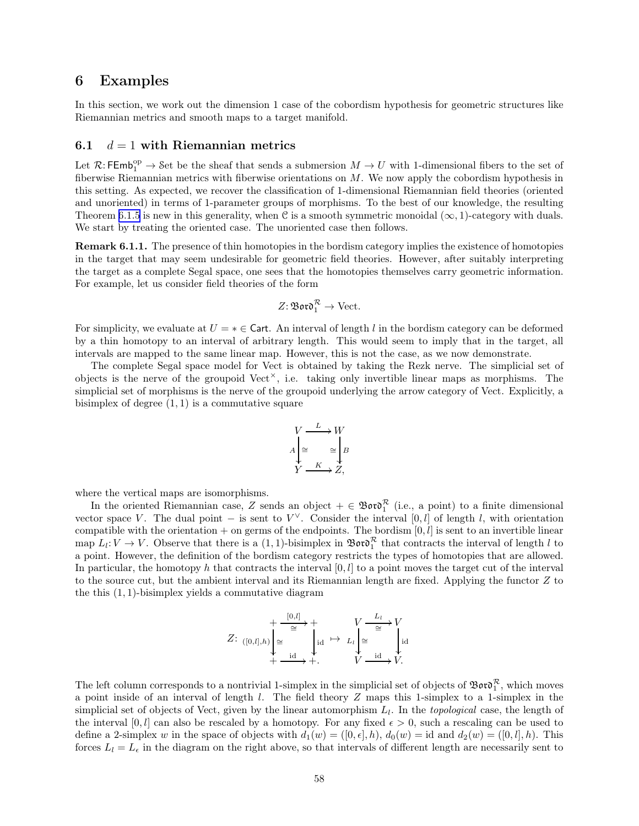### <span id="page-57-0"></span>6 Examples

In this section, we work out the dimension 1 case of the cobordism hypothesis for geometric structures like Riemannian metrics and smooth maps to a target manifold.

#### 6.1  $d = 1$  with Riemannian metrics

Let  $\mathcal{R}:\mathsf{FEmb}_1^{\text{op}}\to \mathsf{Set}$  be the sheaf that sends a submersion  $M\to U$  with 1-dimensional fibers to the set of fiberwise Riemannian metrics with fiberwise orientations on M. We now apply the cobordism hypothesis in this setting. As expected, we recover the classification of 1-dimensional Riemannian field theories (oriented and unoriented) in terms of 1-parameter groups of morphisms. To the best of our knowledge, the resulting Theorem [6.1.5](#page-59-0) is new in this generality, when C is a smooth symmetric monoidal  $(\infty, 1)$ -category with duals. We start by treating the oriented case. The unoriented case then follows.

Remark 6.1.1. The presence of thin homotopies in the bordism category implies the existence of homotopies in the target that may seem undesirable for geometric field theories. However, after suitably interpreting the target as a complete Segal space, one sees that the homotopies themselves carry geometric information. For example, let us consider field theories of the form

$$
Z\colon \mathfrak{B}\mathfrak{o}\mathfrak{r}\mathfrak{d}_1^{\mathcal{R}} \to \text{Vect}.
$$

For simplicity, we evaluate at  $U = * \in \mathsf{Cart}$ . An interval of length l in the bordism category can be deformed by a thin homotopy to an interval of arbitrary length. This would seem to imply that in the target, all intervals are mapped to the same linear map. However, this is not the case, as we now demonstrate.

The complete Segal space model for Vect is obtained by taking the Rezk nerve. The simplicial set of objects is the nerve of the groupoid  $Vect^{\times}$ , i.e. taking only invertible linear maps as morphisms. The simplicial set of morphisms is the nerve of the groupoid underlying the arrow category of Vect. Explicitly, a bisimplex of degree  $(1, 1)$  is a commutative square

$$
V \xrightarrow{L} W
$$
  
\n
$$
A \downarrow \cong \cong \downarrow B
$$
  
\n
$$
Y \xrightarrow{K} Z,
$$

where the vertical maps are isomorphisms.

In the oriented Riemannian case, Z sends an object  $+ \in \mathfrak{B}$  or  $\mathfrak{d}^{\mathcal{R}}_1$  (i.e., a point) to a finite dimensional vector space V. The dual point – is sent to  $V^{\vee}$ . Consider the interval [0, l] of length l, with orientation compatible with the orientation + on germs of the endpoints. The bordism  $[0, l]$  is sent to an invertible linear map  $L_l: V \to V$ . Observe that there is a  $(1,1)$ -bisimplex in  $\mathfrak{B}$ oro $\mathfrak{D}_1^{\mathcal{R}}$  that contracts the interval of length l to a point. However, the definition of the bordism category restricts the types of homotopies that are allowed. In particular, the homotopy h that contracts the interval  $[0, l]$  to a point moves the target cut of the interval to the source cut, but the ambient interval and its Riemannian length are fixed. Applying the functor Z to the this  $(1, 1)$ -bisimplex yields a commutative diagram

Z: <sup>+</sup> <sup>∼</sup><sup>=</sup> [0,l] / ([0,l],h) ∼= + id + id /+. 7→ <sup>V</sup> <sup>∼</sup><sup>=</sup> L<sup>l</sup> L<sup>l</sup> ∼= V id V id /V.

The left column corresponds to a nontrivial 1-simplex in the simplicial set of objects of  $\mathfrak{B}$ or $\mathfrak{d}_1^{\mathcal{R}}$ , which moves a point inside of an interval of length  $l$ . The field theory  $Z$  maps this 1-simplex to a 1-simplex in the simplicial set of objects of Vect, given by the linear automorphism  $L_l$ . In the *topological* case, the length of the interval [0, l] can also be rescaled by a homotopy. For any fixed  $\epsilon > 0$ , such a rescaling can be used to define a 2-simplex w in the space of objects with  $d_1(w) = ([0, \epsilon], h)$ ,  $d_0(w) = id$  and  $d_2(w) = ([0, l], h)$ . This forces  $L_l = L_{\epsilon}$  in the diagram on the right above, so that intervals of different length are necessarily sent to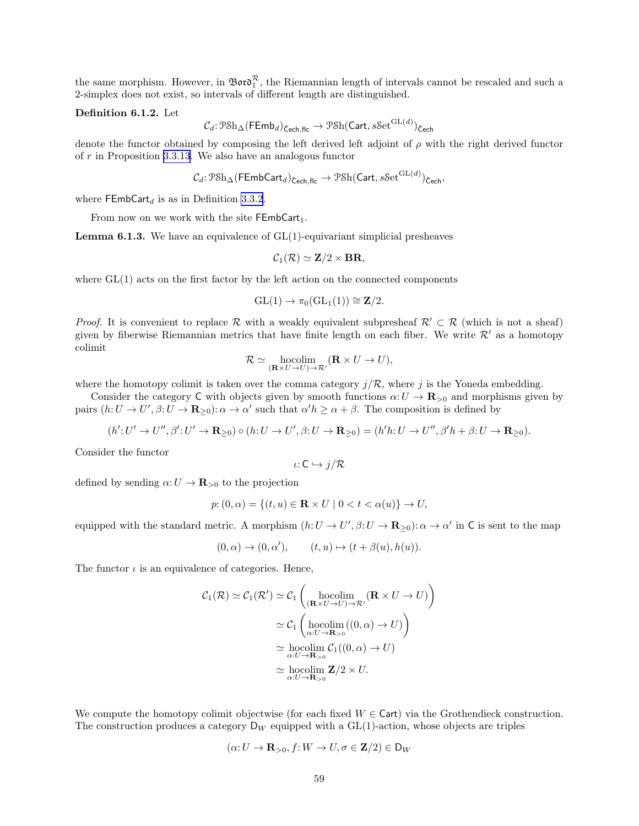<span id="page-58-0"></span>the same morphism. However, in  $\mathfrak{Boro}_1^{\mathcal{R}}$ , the Riemannian length of intervals cannot be rescaled and such a 2-simplex does not exist, so intervals of different length are distinguished.

#### Definition 6.1.2. Let

$$
\mathcal{C}_{d}: \mathcal{P}\mathrm{Sh}_{\Delta}(\mathsf{FEmb}_{d})_{\mathsf{\check{C}ech,flc}}\rightarrow \mathcal{P}\mathrm{Sh}(\mathsf{Cart},s\mathrm{Set}^{\mathrm{GL}(d)})_{\mathsf{\check{C}ech}}
$$

denote the functor obtained by composing the left derived left adjoint of  $\rho$  with the right derived functor of r in Proposition [3.3.13](#page-20-0). We also have an analogous functor

$$
\mathcal{C}_d \colon \text{PSh}_{\Delta}(\mathsf{FEmbCart}_d)_{\text{Cech,flc}} \to \text{PSh}(\mathsf{Cart}, s\mathsf{Set}^{\mathrm{GL}(d)})_{\text{Cech}},
$$

where  $\mathsf{FEmbCart}_d$  is as in Definition [3.3.2](#page-18-0).

From now on we work with the site  $FEmbCart_1$ .

**Lemma 6.1.3.** We have an equivalence of  $GL(1)$ -equivariant simplicial presheaves

$$
\mathcal{C}_1(\mathcal{R}) \simeq \mathbf{Z}/2 \times \mathbf{BR},
$$

where  $GL(1)$  acts on the first factor by the left action on the connected components

$$
GL(1) \to \pi_0(GL_1(1)) \cong \mathbf{Z}/2.
$$

*Proof.* It is convenient to replace R with a weakly equivalent subpresheaf  $\mathcal{R}' \subset \mathcal{R}$  (which is not a sheaf) given by fiberwise Riemannian metrics that have finite length on each fiber. We write  $\mathcal{R}'$  as a homotopy colimit

$$
\mathcal{R} \simeq \underset{(\mathbf{R} \times U \to U) \to \mathcal{R}'}{\text{hocolim}} (\mathbf{R} \times U \to U),
$$

where the homotopy colimit is taken over the comma category  $j/R$ , where j is the Yoneda embedding.

Consider the category C with objects given by smooth functions  $\alpha: U \to \mathbf{R}_{>0}$  and morphisms given by pairs  $(h: U \to U', \beta: U \to \mathbf{R}_{\geq 0})$ :  $\alpha \to \alpha'$  such that  $\alpha' h \geq \alpha + \beta$ . The composition is defined by

$$
(h':U'\to U'',\beta':U'\to \mathbf{R}_{\geq 0})\circ (h:U\to U',\beta:U\to \mathbf{R}_{\geq 0})=(h'h:U\to U'',\beta'h+\beta:U\to \mathbf{R}_{\geq 0}).
$$

Consider the functor

$$
\iota\colon C\hookrightarrow j/\mathcal{R}
$$

defined by sending  $\alpha: U \to \mathbf{R}_{>0}$  to the projection

$$
p{:} (0, \alpha) = \{(t, u) \in \mathbf{R} \times U \mid 0 < t < \alpha(u)\} \to U,
$$

equipped with the standard metric. A morphism  $(h: U \to U', \beta: U \to \mathbf{R}_{\geq 0})$ :  $\alpha \to \alpha'$  in C is sent to the map

$$
(0, \alpha) \to (0, \alpha'), \qquad (t, u) \mapsto (t + \beta(u), h(u)).
$$

The functor  $\iota$  is an equivalence of categories. Hence,

$$
C_1(\mathcal{R}) \simeq C_1(\mathcal{R}') \simeq C_1\left(\underset{(\mathbf{R}\times U \to U)}{\text{hocolim}}_{(\mathbf{R}\times U \to U)\to \mathcal{R}'}(\mathbf{R}\times U \to U)\right)
$$

$$
\simeq C_1\left(\underset{\alpha:U\to\mathbf{R}_{>0}}{\text{hocolim}}((0,\alpha)\to U)\right)
$$

$$
\simeq \underset{\alpha:U\to\mathbf{R}_{>0}}{\text{hocolim}} C_1((0,\alpha)\to U)
$$

$$
\simeq \underset{\alpha:U\to\mathbf{R}_{>0}}{\text{hocolim}} \mathbf{Z}/2 \times U.
$$

We compute the homotopy colimit objectwise (for each fixed  $W \in \text{Cart}$ ) via the Grothendieck construction. The construction produces a category  $D_W$  equipped with a  $GL(1)$ -action, whose objects are triples

$$
(\alpha: U \to \mathbf{R}_{>0}, f: W \to U, \sigma \in \mathbf{Z}/2) \in \mathsf{D}_W
$$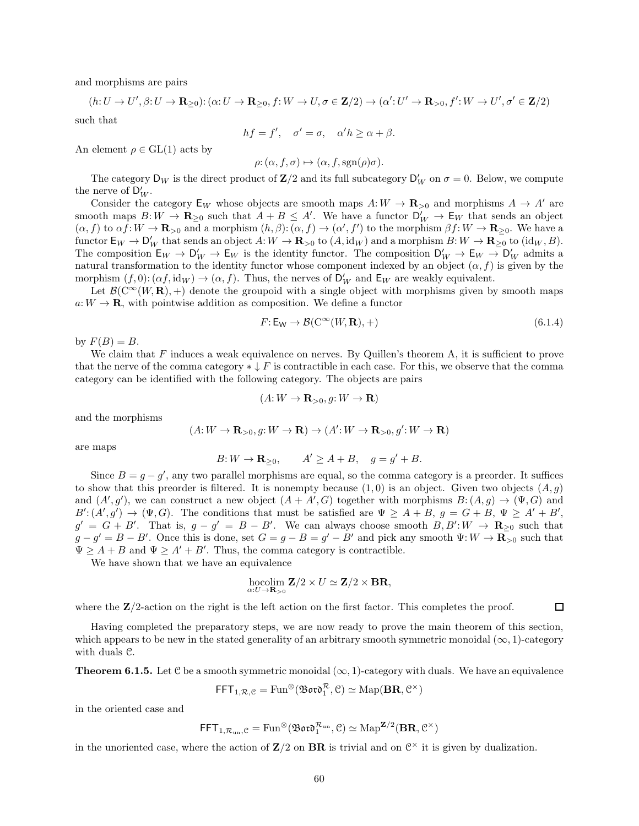<span id="page-59-0"></span>and morphisms are pairs

$$
(h: U \to U', \beta: U \to \mathbf{R}_{\geq 0}) : (\alpha: U \to \mathbf{R}_{\geq 0}, f: W \to U, \sigma \in \mathbf{Z}/2) \to (\alpha': U' \to \mathbf{R}_{>0}, f': W \to U', \sigma' \in \mathbf{Z}/2)
$$

such that

$$
hf = f', \quad \sigma' = \sigma, \quad \alpha'h \ge \alpha + \beta.
$$

An element  $\rho \in GL(1)$  acts by

$$
\rho: (\alpha, f, \sigma) \mapsto (\alpha, f, \text{sgn}(\rho)\sigma).
$$

The category  $D_W$  is the direct product of  $\mathbb{Z}/2$  and its full subcategory  $D'_W$  on  $\sigma = 0$ . Below, we compute the nerve of  $\mathsf{D}'_W$ .

Consider the category  $E_W$  whose objects are smooth maps  $A: W \to \mathbf{R}_{>0}$  and morphisms  $A \to A'$  are smooth maps  $B: W \to \mathbf{R}_{\geq 0}$  such that  $A + B \leq A'$ . We have a functor  $D'_W \to E_W$  that sends an object  $(\alpha, f)$  to  $\alpha f: W \to \mathbf{R}_{>0}$  and a morphism  $(h, \beta): (\alpha, f) \to (\alpha', f')$  to the morphism  $\beta f: W \to \mathbf{R}_{\geq 0}$ . We have a functor  $\mathsf{E}_W \to \mathsf{D}'_W$  that sends an object  $A: W \to \mathbf{R}_{\geq 0}$  to  $(A, \text{id}_W)$  and a morphism  $B: W \to \mathbf{R}_{\geq 0}$  to  $(\text{id}_W, B)$ . The composition  $E_W \to D'_W \to E_W$  is the identity functor. The composition  $D'_W \to E_W \to D'_W$  admits a natural transformation to the identity functor whose component indexed by an object  $(\alpha, f)$  is given by the morphism  $(f, 0)$ :  $(\alpha f, id_W) \to (\alpha, f)$ . Thus, the nerves of  $\mathsf{D}'_W$  and  $\mathsf{E}_W$  are weakly equivalent.

Let  $\mathcal{B}(\mathbb{C}^{\infty}(W,\mathbf{R}),+)$  denote the groupoid with a single object with morphisms given by smooth maps  $a: W \to \mathbf{R}$ , with pointwise addition as composition. We define a functor

$$
F: \mathsf{E}_{\mathsf{W}} \to \mathcal{B}(\mathcal{C}^{\infty}(W, \mathbf{R}), +)
$$
\n
$$
(6.1.4)
$$

by  $F(B) = B$ .

We claim that F induces a weak equivalence on nerves. By Quillen's theorem A, it is sufficient to prove that the nerve of the comma category  $*\downarrow F$  is contractible in each case. For this, we observe that the comma category can be identified with the following category. The objects are pairs

$$
(A:W\to\mathbf{R}_{>0}, g:W\to\mathbf{R})
$$

and the morphisms

$$
(A:W \to \mathbf{R}_{>0}, g:W \to \mathbf{R}) \to (A':W \to \mathbf{R}_{>0}, g':W \to \mathbf{R})
$$

are maps

$$
B: W \to \mathbf{R}_{\geq 0}, \qquad A' \geq A + B, \quad g = g' + B.
$$

Since  $B = g - g'$ , any two parallel morphisms are equal, so the comma category is a preorder. It suffices to show that this preorder is filtered. It is nonempty because  $(1, 0)$  is an object. Given two objects  $(A, g)$ and  $(A', g')$ , we can construct a new object  $(A + A', G)$  together with morphisms  $B: (A, g) \to (\Psi, G)$  and  $B'(A', g') \to (\Psi, G)$ . The conditions that must be satisfied are  $\Psi \geq A + B$ ,  $g = G + B$ ,  $\Psi \geq A' + B'$ ,  $g' = G + B'$ . That is,  $g - g' = B - B'$ . We can always choose smooth  $B, B' : W \to \mathbb{R}_{\geq 0}$  such that  $g - g' = B - B'$ . Once this is done, set  $G = g - B = g' - B'$  and pick any smooth  $\Psi: W \to \mathbf{R}_{\geq 0}$  such that  $\Psi \geq A + B$  and  $\Psi \geq A' + B'$ . Thus, the comma category is contractible.

We have shown that we have an equivalence

$$
\underset{\alpha: U \rightarrow \mathbf{R}_{>0}}{\mathrm{hocolim}} \mathbf{Z}/2 \times U \simeq \mathbf{Z}/2 \times \mathbf{BR},
$$

where the  $\mathbb{Z}/2$ -action on the right is the left action on the first factor. This completes the proof.  $\Box$ 

Having completed the preparatory steps, we are now ready to prove the main theorem of this section, which appears to be new in the stated generality of an arbitrary smooth symmetric monoidal  $(\infty, 1)$ -category with duals C.

**Theorem 6.1.5.** Let C be a smooth symmetric monoidal  $(\infty, 1)$ -category with duals. We have an equivalence

$$
\mathsf{FFT}_{1,\mathcal{R},\mathcal{C}} = \mathrm{Fun}^{\otimes}(\mathfrak{B}\mathfrak{o}\mathfrak{r}\mathfrak{o}_1^\mathcal{R}, \mathcal{C}) \simeq \mathrm{Map}(\mathbf{BR}, \mathcal{C}^{\times})
$$

in the oriented case and

$$
\mathsf{FFT}_{1,\mathcal{R}_{\mathrm{un}},\mathcal{C}} = \mathrm{Fun}^{\otimes}(\mathfrak{B}\mathfrak{o}\mathfrak{r}\mathfrak{d}_1^{\mathcal{R}_{\mathrm{un}}}, \mathcal{C}) \simeq \mathrm{Map}^{\mathbf{Z}/2}(\mathbf{BR}, \mathcal{C}^{\times})
$$

in the unoriented case, where the action of  $\mathbb{Z}/2$  on  $\mathbf{BR}$  is trivial and on  $\mathcal{C}^{\times}$  it is given by dualization.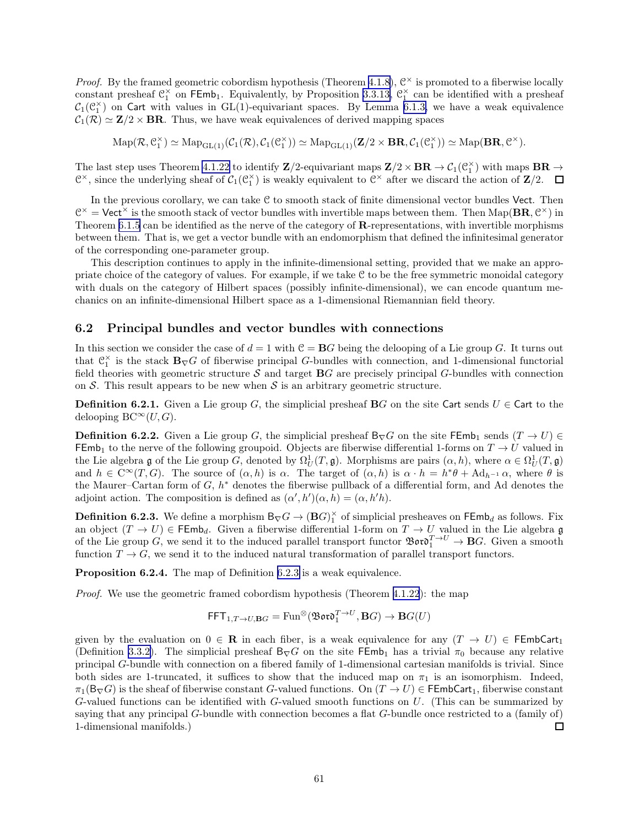<span id="page-60-0"></span>*Proof.* By the framed geometric cobordism hypothesis (Theorem [4.1.8\)](#page-24-0),  $\mathcal{C}^{\times}$  is promoted to a fiberwise locally constant presheaf  $\mathcal{C}_1^{\times}$  on FEmb<sub>1</sub>. Equivalently, by Proposition [3.3.13,](#page-20-0)  $\mathcal{C}_1^{\times}$  can be identified with a presheaf  $C_1(\mathcal{C}_1^{\times})$  on Cart with values in GL(1)-equivariant spaces. By Lemma [6.1.3,](#page-58-0) we have a weak equivalence  $C_1(\mathcal{R}) \simeq \mathbf{Z}/2 \times \mathbf{BR}$ . Thus, we have weak equivalences of derived mapping spaces

 $\mathrm{Map}(\mathcal{R}, \mathcal{C}_1^{\times}) \simeq \mathrm{Map}_{\mathrm{GL}(1)}(\mathcal{C}_1(\mathcal{R}), \mathcal{C}_1(\mathcal{C}_1^{\times})) \simeq \mathrm{Map}_{\mathrm{GL}(1)}(\mathbf{Z}/2 \times \mathbf{BR}, \mathcal{C}_1(\mathcal{C}_1^{\times})) \simeq \mathrm{Map}(\mathbf{BR}, \mathcal{C}^{\times}).$ 

The last step uses Theorem [4.1.22](#page-28-0) to identify  $\mathbf{Z}/2$ -equivariant maps  $\mathbf{Z}/2 \times \mathbf{BR} \to \mathcal{C}_1(\mathbb{C}_1^{\times})$  with maps  $\mathbf{BR} \to$  $\mathbb{C}^{\times}$ , since the underlying sheaf of  $\mathcal{C}_1(\mathbb{C}_1^{\times})$  is weakly equivalent to  $\mathbb{C}^{\times}$  after we discard the action of  $\mathbb{Z}/2$ .  $\Box$ 

In the previous corollary, we can take  $C$  to smooth stack of finite dimensional vector bundles Vect. Then  $\mathcal{C}^{\times} =$  Vect<sup> $\times$ </sup> is the smooth stack of vector bundles with invertible maps between them. Then Map( $\mathbf{BR}, \mathcal{C}^{\times}$ ) in Theorem [6.1.5](#page-59-0) can be identified as the nerve of the category of R-representations, with invertible morphisms between them. That is, we get a vector bundle with an endomorphism that defined the infinitesimal generator of the corresponding one-parameter group.

This description continues to apply in the infinite-dimensional setting, provided that we make an appropriate choice of the category of values. For example, if we take  $C$  to be the free symmetric monoidal category with duals on the category of Hilbert spaces (possibly infinite-dimensional), we can encode quantum mechanics on an infinite-dimensional Hilbert space as a 1-dimensional Riemannian field theory.

#### 6.2 Principal bundles and vector bundles with connections

In this section we consider the case of  $d = 1$  with  $C = BG$  being the delooping of a Lie group G. It turns out that  $\mathfrak{C}_1^{\times}$  is the stack  $\mathbf{B}_{\nabla}G$  of fiberwise principal G-bundles with connection, and 1-dimensional functorial field theories with geometric structure  $\mathcal S$  and target  $\mathbf{B}G$  are precisely principal G-bundles with connection on  $S$ . This result appears to be new when  $S$  is an arbitrary geometric structure.

**Definition 6.2.1.** Given a Lie group G, the simplicial presheaf BG on the site Cart sends  $U \in$  Cart to the delooping BC<sup>∞</sup> $(U, G)$ .

**Definition 6.2.2.** Given a Lie group G, the simplicial presheaf  $B_{\nabla}G$  on the site FEmb<sub>1</sub> sends  $(T \to U) \in$ FEmb<sub>1</sub> to the nerve of the following groupoid. Objects are fiberwise differential 1-forms on  $T \to U$  valued in the Lie algebra g of the Lie group G, denoted by  $\Omega_U^1(T, \mathfrak{g})$ . Morphisms are pairs  $(\alpha, h)$ , where  $\alpha \in \Omega_U^1(T, \mathfrak{g})$ and  $h \in C^{\infty}(T, G)$ . The source of  $(\alpha, h)$  is  $\alpha$ . The target of  $(\alpha, h)$  is  $\alpha \cdot h = h^* \theta + \mathrm{Ad}_{h^{-1}} \alpha$ , where  $\theta$  is the Maurer–Cartan form of  $G, h^*$  denotes the fiberwise pullback of a differential form, and Ad denotes the adjoint action. The composition is defined as  $(\alpha', h')(\alpha, h) = (\alpha, h'h)$ .

**Definition 6.2.3.** We define a morphism  $B_{\nabla}G \to (\mathbf{B}G)^{\times}_{1}$  of simplicial presheaves on  $\mathsf{FEmb}_d$  as follows. Fix an object  $(T \to U) \in \mathsf{FEmb}_d$ . Given a fiberwise differential 1-form on  $T \to U$  valued in the Lie algebra g of the Lie group G, we send it to the induced parallel transport functor  $\mathfrak{B}ov^T \to BG$ . Given a smooth function  $T \to G$ , we send it to the induced natural transformation of parallel transport functors.

Proposition 6.2.4. The map of Definition 6.2.3 is a weak equivalence.

Proof. We use the geometric framed cobordism hypothesis (Theorem [4.1.22](#page-28-0)): the map

$$
\mathsf{FFT}_{1,T \to U, \mathbf{B}G} = \text{Fun}^{\otimes}(\mathfrak{B} \text{ord}_1^{T \to U}, \mathbf{B}G) \to \mathbf{B}G(U)
$$

given by the evaluation on  $0 \in \mathbf{R}$  in each fiber, is a weak equivalence for any  $(T \to U) \in \mathsf{FEmbCart}_1$ (Definition [3.3.2\)](#page-18-0). The simplicial presheaf  $B_{\nabla}G$  on the site  $\mathsf{FEmb}_1$  has a trivial  $\pi_0$  because any relative principal G-bundle with connection on a fibered family of 1-dimensional cartesian manifolds is trivial. Since both sides are 1-truncated, it suffices to show that the induced map on  $\pi_1$  is an isomorphism. Indeed,  $\pi_1(B_\nabla G)$  is the sheaf of fiberwise constant G-valued functions. On  $(T \to U) \in \mathsf{FEmbCart}_1$ , fiberwise constant G-valued functions can be identified with G-valued smooth functions on  $U$ . (This can be summarized by saying that any principal G-bundle with connection becomes a flat G-bundle once restricted to a (family of) 1-dimensional manifolds.)  $\Box$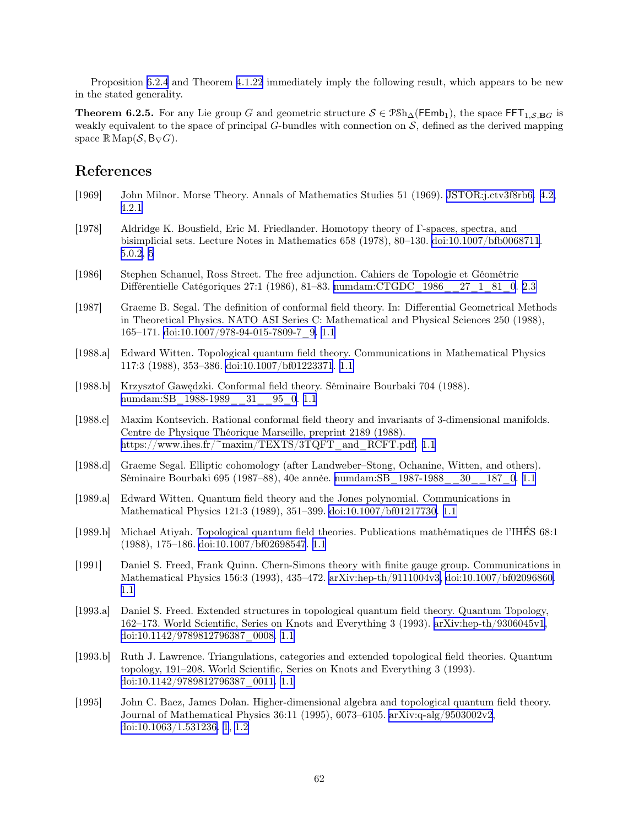<span id="page-61-0"></span>Proposition [6.2.4](#page-60-0) and Theorem [4.1.22](#page-28-0) immediately imply the following result, which appears to be new in the stated generality.

**Theorem 6.2.5.** For any Lie group G and geometric structure  $S \in \mathcal{P}Sh_{\Delta}(\mathsf{FEmb}_1)$ , the space  $\mathsf{FFT}_{1,\mathcal{S},\mathbf{B}G}$  is weakly equivalent to the space of principal G-bundles with connection on  $S$ , defined as the derived mapping space  $\mathbb{R}$  Map( $\mathcal{S}, \mathsf{B}_{\nabla} G$ ).

## References

- [1969] John Milnor. Morse Theory. Annals of Mathematics Studies 51 (1969). [JSTOR:j.ctv3f8rb6.](https://www.jstor.org/stable/j.ctv3f8rb6) [4.2,](#page-30-0) [4.2.1](#page-32-0)
- [1978] Aldridge K. Bousfield, Eric M. Friedlander. Homotopy theory of Γ-spaces, spectra, and bisimplicial sets. Lecture Notes in Mathematics 658 (1978), 80–130. [doi:10.1007/bfb0068711](https://doi.org/10.1007/bfb0068711). [5.0.2](#page-54-0), [5](#page-54-0)
- [1986] Stephen Schanuel, Ross Street. The free adjunction. Cahiers de Topologie et Géométrie Différentielle Catégoriques 27:1 (1986), 81–83. [numdam:CTGDC\\_1986\\_\\_27\\_1\\_81\\_0](http://www.numdam.org/item/CTGDC_1986__27_1_81_0). [2.3](#page-10-0)
- [1987] Graeme B. Segal. The definition of conformal field theory. In: Differential Geometrical Methods in Theoretical Physics. NATO ASI Series C: Mathematical and Physical Sciences 250 (1988), 165–171. [doi:10.1007/978-94-015-7809-7\\_9.](https://doi.org/10.1007/978-94-015-7809-7_9) [1.1](#page-4-0)
- [1988.a] Edward Witten. Topological quantum field theory. Communications in Mathematical Physics 117:3 (1988), 353–386. [doi:10.1007/bf01223371](https://doi.org/10.1007/bf01223371). [1.1](#page-4-0)
- [1988.b] Krzysztof Gawędzki. Conformal field theory. Séminaire Bourbaki 704 (1988). numdam:SB 1988-1989 31 95 0.1.1
- [1988.c] Maxim Kontsevich. Rational conformal field theory and invariants of 3-dimensional manifolds. Centre de Physique Théorique Marseille, preprint 2189 (1988). [https://www.ihes.fr/~maxim/TEXTS/3TQFT\\_and\\_RCFT.pdf.](https://www.ihes.fr/~maxim/TEXTS/3TQFT_and_RCFT.pdf) [1.1](#page-4-0)
- [1988.d] Graeme Segal. Elliptic cohomology (after Landweber–Stong, Ochanine, Witten, and others). Séminaire Bourbaki 695 (1987–88), 40e année. [numdam:SB\\_1987-1988\\_\\_30\\_\\_187\\_0](http://www.numdam.org/item/SB_1987-1988__30__187_0). [1.1](#page-4-0)
- [1989.a] Edward Witten. Quantum field theory and the Jones polynomial. Communications in Mathematical Physics 121:3 (1989), 351–399. [doi:10.1007/bf01217730](https://doi.org/10.1007/bf01217730). [1.1](#page-4-0)
- [1989.b] Michael Atiyah. Topological quantum field theories. Publications mathématiques de l'IHÉS 68:1 (1988), 175–186. [doi:10.1007/bf02698547](https://doi.org/10.1007/bf02698547). [1.1](#page-4-0)
- [1991] Daniel S. Freed, Frank Quinn. Chern-Simons theory with finite gauge group. Communications in Mathematical Physics 156:3 (1993), 435–472. [arXiv:hep-th/9111004v3,](https://arxiv.org/abs/hep-th/9111004v3) [doi:10.1007/bf02096860.](https://doi.org/10.1007/bf02096860) [1.1](#page-4-0)
- [1993.a] Daniel S. Freed. Extended structures in topological quantum field theory. Quantum Topology, 162–173. World Scientific, Series on Knots and Everything 3 (1993). [arXiv:hep-th/9306045v1](https://arxiv.org/abs/hep-th/9306045v1), [doi:10.1142/9789812796387\\_0008.](https://doi.org/10.1142/9789812796387_0008) [1.1](#page-4-0)
- [1993.b] Ruth J. Lawrence. Triangulations, categories and extended topological field theories. Quantum topology, 191–208. World Scientific, Series on Knots and Everything 3 (1993). [doi:10.1142/9789812796387\\_0011.](https://doi.org/10.1142/9789812796387_0011) [1.1](#page-4-0)
- [1995] John C. Baez, James Dolan. Higher-dimensional algebra and topological quantum field theory. Journal of Mathematical Physics 36:11 (1995), 6073–6105. [arXiv:q-alg/9503002v2](https://arxiv.org/abs/q-alg/9503002v2), [doi:10.1063/1.531236.](https://doi.org/10.1063/1.531236) [1](#page-1-0), [1.2](#page-5-0)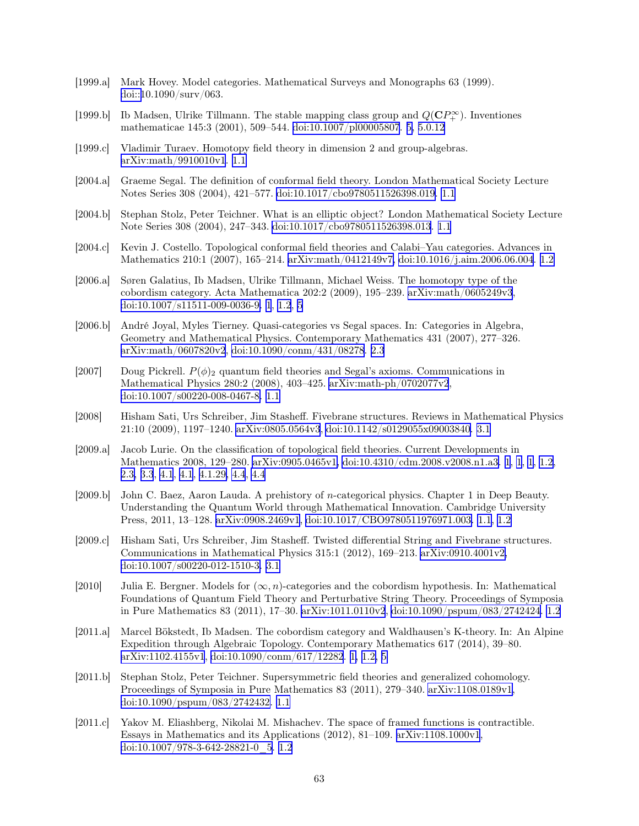- <span id="page-62-0"></span>[1999.a] Mark Hovey. Model categories. Mathematical Surveys and Monographs 63 (1999). [doi::1](https://doi.org/:)0.1090/surv/063.
- [1999.b] Ib Madsen, Ulrike Tillmann. The stable mapping class group and  $Q(\mathbb{C}P^{\infty}_+)$ . Inventiones mathematicae 145:3 (2001), 509–544. [doi:10.1007/pl00005807](https://doi.org/10.1007/pl00005807). [5,](#page-55-0) [5.0.12](#page-56-0)
- [1999.c] Vladimir Turaev. Homotopy field theory in dimension 2 and group-algebras. [arXiv:math/9910010v1](https://arxiv.org/abs/math/9910010v1). [1.1](#page-4-0)
- [2004.a] Graeme Segal. The definition of conformal field theory. London Mathematical Society Lecture Notes Series 308 (2004), 421–577. [doi:10.1017/cbo9780511526398.019](https://doi.org/10.1017/cbo9780511526398.019). [1.1](#page-4-0)
- [2004.b] Stephan Stolz, Peter Teichner. What is an elliptic object? London Mathematical Society Lecture Note Series 308 (2004), 247–343. [doi:10.1017/cbo9780511526398.013](https://doi.org/10.1017/cbo9780511526398.013). [1.1](#page-4-0)
- [2004.c] Kevin J. Costello. Topological conformal field theories and Calabi–Yau categories. Advances in Mathematics 210:1 (2007), 165–214. [arXiv:math/0412149v7,](https://arxiv.org/abs/math/0412149v7) [doi:10.1016/j.aim.2006.06.004](https://doi.org/10.1016/j.aim.2006.06.004). [1.2](#page-5-0)
- [2006.a] Søren Galatius, Ib Madsen, Ulrike Tillmann, Michael Weiss. The homotopy type of the cobordism category. Acta Mathematica 202:2 (2009), 195–239. [arXiv:math/0605249v3](https://arxiv.org/abs/math/0605249v3), [doi:10.1007/s11511-009-0036-9.](https://doi.org/10.1007/s11511-009-0036-9) [1](#page-3-0), [1.2](#page-5-0), [5](#page-54-0)
- [2006.b] André Joyal, Myles Tierney. Quasi-categories vs Segal spaces. In: Categories in Algebra, Geometry and Mathematical Physics. Contemporary Mathematics 431 (2007), 277–326. [arXiv:math/0607820v2](https://arxiv.org/abs/math/0607820v2), [doi:10.1090/conm/431/08278](https://doi.org/10.1090/conm/431/08278). [2.3](#page-11-0)
- [2007] Doug Pickrell.  $P(\phi)$ <sub>2</sub> quantum field theories and Segal's axioms. Communications in Mathematical Physics 280:2 (2008), 403–425. [arXiv:math-ph/0702077v2](https://arxiv.org/abs/math-ph/0702077v2), [doi:10.1007/s00220-008-0467-8.](https://doi.org/10.1007/s00220-008-0467-8) [1.1](#page-4-0)
- [2008] Hisham Sati, Urs Schreiber, Jim Stasheff. Fivebrane structures. Reviews in Mathematical Physics 21:10 (2009), 1197–1240. [arXiv:0805.0564v3](https://arxiv.org/abs/0805.0564v3), [doi:10.1142/s0129055x09003840.](https://doi.org/10.1142/s0129055x09003840) [3.1](#page-13-0)
- [2009.a] Jacob Lurie. On the classification of topological field theories. Current Developments in Mathematics 2008, 129–280. [arXiv:0905.0465v1,](https://arxiv.org/abs/0905.0465v1) [doi:10.4310/cdm.2008.v2008.n1.a3.](https://doi.org/10.4310/cdm.2008.v2008.n1.a3) [1](#page-1-0), [1](#page-2-0), [1](#page-3-0), [1.2](#page-5-0), [2.3,](#page-9-0) [3.3](#page-20-0), [4.1](#page-23-0), [4.1](#page-29-0), [4.1.29,](#page-30-0) [4.4](#page-47-0), [4.4](#page-49-0)
- [2009.b] John C. Baez, Aaron Lauda. A prehistory of n-categorical physics. Chapter 1 in Deep Beauty. Understanding the Quantum World through Mathematical Innovation. Cambridge University Press, 2011, 13–128. [arXiv:0908.2469v1](https://arxiv.org/abs/0908.2469v1), [doi:10.1017/CBO9780511976971.003.](https://doi.org/10.1017/CBO9780511976971.003) [1.1](#page-4-0), [1.2](#page-5-0)
- [2009.c] Hisham Sati, Urs Schreiber, Jim Stasheff. Twisted differential String and Fivebrane structures. Communications in Mathematical Physics 315:1 (2012), 169–213. [arXiv:0910.4001v2,](https://arxiv.org/abs/0910.4001v2) [doi:10.1007/s00220-012-1510-3.](https://doi.org/10.1007/s00220-012-1510-3) [3.1](#page-13-0)
- [2010] Julia E. Bergner. Models for  $(\infty, n)$ -categories and the cobordism hypothesis. In: Mathematical Foundations of Quantum Field Theory and Perturbative String Theory. Proceedings of Symposia in Pure Mathematics 83 (2011), 17–30. [arXiv:1011.0110v2](https://arxiv.org/abs/1011.0110v2), [doi:10.1090/pspum/083/2742424.](https://doi.org/10.1090/pspum/083/2742424) [1.2](#page-5-0)
- [2011.a] Marcel Bökstedt, Ib Madsen. The cobordism category and Waldhausen's K-theory. In: An Alpine Expedition through Algebraic Topology. Contemporary Mathematics 617 (2014), 39–80. [arXiv:1102.4155v1](https://arxiv.org/abs/1102.4155v1), [doi:10.1090/conm/617/12282](https://doi.org/10.1090/conm/617/12282). [1,](#page-3-0) [1.2,](#page-5-0) [5](#page-54-0)
- [2011.b] Stephan Stolz, Peter Teichner. Supersymmetric field theories and generalized cohomology. Proceedings of Symposia in Pure Mathematics 83 (2011), 279–340. [arXiv:1108.0189v1,](https://arxiv.org/abs/1108.0189v1) [doi:10.1090/pspum/083/2742432.](https://doi.org/10.1090/pspum/083/2742432) [1.1](#page-4-0)
- [2011.c] Yakov M. Eliashberg, Nikolai M. Mishachev. The space of framed functions is contractible. Essays in Mathematics and its Applications (2012), 81–109. [arXiv:1108.1000v1](https://arxiv.org/abs/1108.1000v1), [doi:10.1007/978-3-642-28821-0\\_5.](https://doi.org/10.1007/978-3-642-28821-0_5) [1.2](#page-5-0)